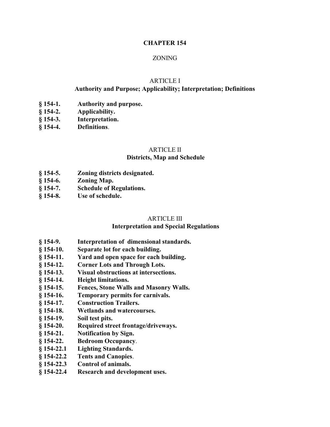### **CHAPTER 154**

### ZONING

#### ARTICLE I

### **Authority and Purpose; Applicability; Interpretation; Definitions**

- **§ 154-1. Authority and purpose.**
- **§ 154-2. Applicability.**
- **§ 154-3. Interpretation.**
- **§ 154-4. Definitions**.

# ARTICLE II

### **Districts, Map and Schedule**

- **§ 154-5. Zoning districts designated.**
- **§ 154-6. Zoning Map.**
- **§ 154-7. Schedule of Regulations.**
- **§ 154-8. Use of schedule.**

#### ARTICLE III

#### **Interpretation and Special Regulations**

- **§ 154-9. Interpretation of dimensional standards.**
- **§ 154-10. Separate lot for each building.**
- **§ 154-11. Yard and open space for each building.**
- **§ 154-12. Corner Lots and Through Lots.**
- **§ 154-13. Visual obstructions at intersections.**
- **§ 154-14. Height limitations.**
- **§ 154-15. Fences, Stone Walls and Masonry Walls.**
- **§ 154-16. Temporary permits for carnivals.**
- **§ 154-17. Construction Trailers.**
- **§ 154-18. Wetlands and watercourses.**
- **§ 154-19. Soil test pits.**
- **§ 154-20. Required street frontage/driveways.**
- **§ 154-21. Notification by Sign.**
- **§ 154-22. Bedroom Occupancy**.
- **§ 154-22.1 Lighting Standards.**
- **§ 154-22.2 Tents and Canopies**.
- **§ 154-22.3 Control of animals.**
- **§ 154-22.4 Research and development uses.**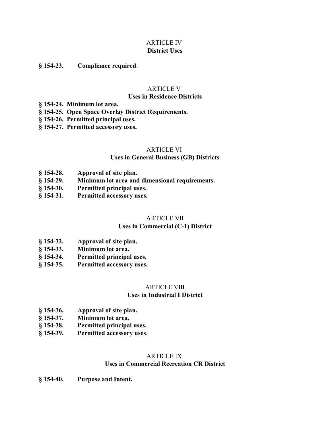### ARTICLE IV **District Uses**

### **§ 154-23. Compliance required**.

### ARTICLE V

#### **Uses in Residence Districts**

- **§ 154-24. Minimum lot area.**
- **§ 154-25. Open Space Overlay District Requirements.**
- **§ 154-26. Permitted principal uses.**
- **§ 154-27. Permitted accessory uses.**

#### ARTICLE VI

#### **Uses in General Business (GB) Districts**

- **§ 154-28. Approval of site plan.**
- **§ 154-29. Minimum lot area and dimensional requirements.**
- **§ 154-30. Permitted principal uses.**
- **§ 154-31. Permitted accessory uses.**

#### ARTICLE VII

### **Uses in Commercial (C-1) District**

- **§ 154-32. Approval of site plan.**
- **§ 154-33. Minimum lot area.**
- **§ 154-34. Permitted principal uses.**
- **§ 154-35. Permitted accessory uses.**

# ARTICLE VIII

### **Uses in Industrial I District**

- **§ 154-36. Approval of site plan.**
- **§ 154-37. Minimum lot area.**
- **§ 154-38. Permitted principal uses.**
- **§ 154-39. Permitted accessory uses**.

#### ARTICLE IX

### **Uses in Commercial Recreation CR District**

**§ 154-40. Purpose and Intent.**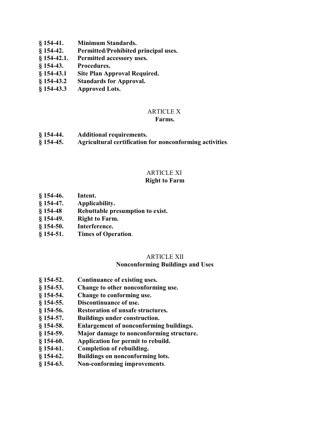- **§ 154-41. Minimum Standards.**
- **§ 154-42. Permitted/Prohibited principal uses.**
- **§ 154-42.1. Permitted accessory uses.**
- **§ 154-43. Procedures.**
- **§ 154-43.1 Site Plan Approval Required.**
- **§ 154-43.2 Standards for Approval.**
- **§ 154-43.3 Approved Lots.**

### ARTICLE X

#### **Farms.**

- **§ 154-44. Additional requirements.**
- **§ 154-45. Agricultural certification for nonconforming activities**.

### ARTICLE XI

### **Right to Farm**

- **§ 154-46. Intent.**
- **§ 154-47. Applicability.**
- **§ 154-48 Rebuttable presumption to exist.**
- **§ 154-49. Right to Farm.**
- **§ 154-50. Interference.**
- **§ 154-51. Times of Operation**.

### ARTICLE XII

### **Nonconforming Buildings and Uses**

- **§ 154-52. Continuance of existing uses.**
- **§ 154-53. Change to other nonconforming use.**
- **§ 154-54. Change to conforming use.**
- **§ 154-55. Discontinuance of use.**
- **§ 154-56. Restoration of unsafe structures.**
- **§ 154-57. Buildings under construction.**
- **§ 154-58. Enlargement of nonconforming buildings.**
- **§ 154-59. Major damage to nonconforming structure.**
- **§ 154-60. Application for permit to rebuild.**
- **§ 154-61. Completion of rebuilding.**
- **§ 154-62. Buildings on nonconforming lots.**
- **§ 154-63. Non-conforming improvements**.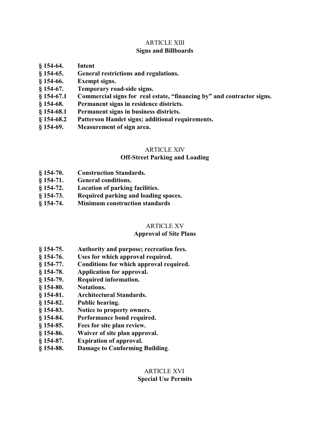## ARTICLE XIII **Signs and Billboards**

- **§ 154-64. Intent**
- **§ 154-65. General restrictions and regulations.**
- **§ 154-66. Exempt signs.**
- **§ 154-67. Temporary road-side signs.**
- **§ 154-67.1 Commercial signs for real estate, "financing by" and contractor signs.**
- **§ 154-68. Permanent signs in residence districts.**
- **§ 154-68.1 Permanent signs in business districts.**
- **§ 154-68.2 Patterson Hamlet signs; additional requirements.**
- **§ 154-69. Measurement of sign area.**

### ARTICLE XIV

### **Off-Street Parking and Loading**

- **§ 154-70. Construction Standards.**
- **§ 154-71. General conditions.**
- **§ 154-72. Location of parking facilities.**
- **§ 154-73. Required parking and loading spaces.**
- **§ 154-74. Minimum construction standards**

### ARTICLE XV

### **Approval of Site Plans**

- **§ 154-75. Authority and purpose; recreation fees.**
- **§ 154-76. Uses for which approval required.**
- **§ 154-77. Conditions for which approval required.**
- **§ 154-78. Application for approval.**
- **§ 154-79. Required information.**
- **§ 154-80. Notations.**
- **§ 154-81. Architectural Standards.**
- **§ 154-82. Public hearing.**
- **§ 154-83. Notice to property owners.**
- **§ 154-84. Performance bond required.**
- **§ 154-85. Fees for site plan review.**
- **§ 154-86. Waiver of site plan approval.**
- **§ 154-87. Expiration of approval.**
- **§ 154-88. Damage to Conforming Building**.

### ARTICLE XVI **Special Use Permits**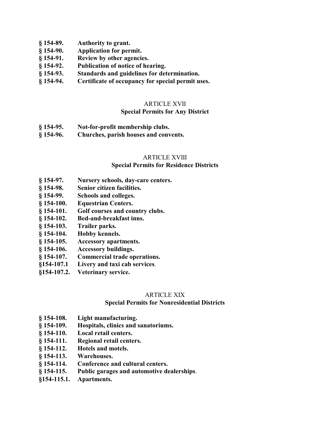- **§ 154-89. Authority to grant.**
- **§ 154-90. Application for permit.**
- **§ 154-91. Review by other agencies.**
- **§ 154-92. Publication of notice of hearing.**
- **§ 154-93. Standards and guidelines for determination.**
- **§ 154-94. Certificate of occupancy for special permit uses.**

### ARTICLE XVII

### **Special Permits for Any District**

- **§ 154-95. Not-for-profit membership clubs.**
- **§ 154-96. Churches, parish houses and convents.**

#### ARTICLE XVIII

#### **Special Permits for Residence Districts**

- **§ 154-97. Nursery schools, day-care centers.**
- **§ 154-98. Senior citizen facilities.**
- **§ 154-99. Schools and colleges.**
- **§ 154-100. Equestrian Centers.**
- **§ 154-101. Golf courses and country clubs.**
- **§ 154-102. Bed-and-breakfast inns.**
- **§ 154-103. Trailer parks.**
- **§ 154-104. Hobby kennels.**
- **§ 154-105. Accessory apartments.**
- **§ 154-106. Accessory buildings.**
- **§ 154-107. Commercial trade operations.**
- **§154-107.1 Livery and taxi cab services**.
- **§154-107.2. Veterinary service.**

### ARTICLE XIX

### **Special Permits for Nonresidential Districts**

- **§ 154-108. Light manufacturing.**
- **§ 154-109. Hospitals, clinics and sanatoriums.**
- **§ 154-110. Local retail centers.**
- **§ 154-111. Regional retail centers.**
- **§ 154-112. Hotels and motels.**
- **§ 154-113. Warehouses.**
- **§ 154-114. Conference and cultural centers.**
- **§ 154-115. Public garages and automotive dealerships**.
- **§154-115.1. Apartments.**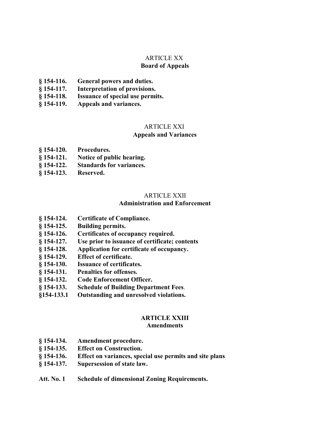# ARTICLE XX

# **Board of Appeals**

- **§ 154-116. General powers and duties.**
- **§ 154-117. Interpretation of provisions.**
- **§ 154-118. Issuance of special use permits.**
- **§ 154-119. Appeals and variances.**

### ARTICLE XXI

### **Appeals and Variances**

- **§ 154-120. Procedures.**
- **§ 154-121. Notice of public hearing.**
- **§ 154-122. Standards for variances.**
- **§ 154-123. Reserved.**

### ARTICLE XXII

### **Administration and Enforcement**

- **§ 154-124. Certificate of Compliance.**
- **§ 154-125. Building permits.**
- **§ 154-126. Certificates of occupancy required.**
- **§ 154-127. Use prior to issuance of certificate; contents**
- **§ 154-128. Application for certificate of occupancy.**
- **§ 154-129. Effect of certificate.**
- **§ 154-130. Issuance of certificates.**
- **§ 154-131. Penalties for offenses.**
- **§ 154-132. Code Enforcement Officer.**
- **§ 154-133. Schedule of Building Department Fees**.
- **§154-133.1 Outstanding and unresolved violations.**

# **ARTICLE XXIII**

### **Amendments**

- **§ 154-134. Amendment procedure.**
- **§ 154-135. Effect on Construction.**
- **§ 154-136. Effect on variances, special use permits and site plans**
- **§ 154-137. Supersession of state law.**
- **Att. No. 1 Schedule of dimensional Zoning Requirements.**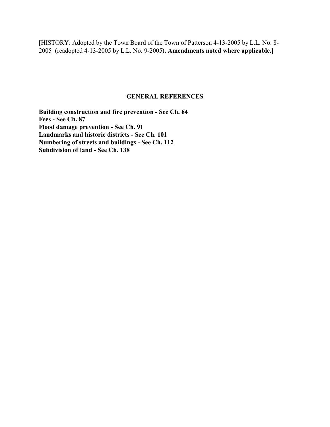[HISTORY: Adopted by the Town Board of the Town of Patterson 4-13-2005 by L.L. No. 8- 2005 (readopted 4-13-2005 by L.L. No. 9-2005**). Amendments noted where applicable.]**

### **GENERAL REFERENCES**

**Building construction and fire prevention - See Ch. 64 Fees - See Ch. 87 Flood damage prevention - See Ch. 91 Landmarks and historic districts - See Ch. 101 Numbering of streets and buildings - See Ch. 112 Subdivision of land - See Ch. 138**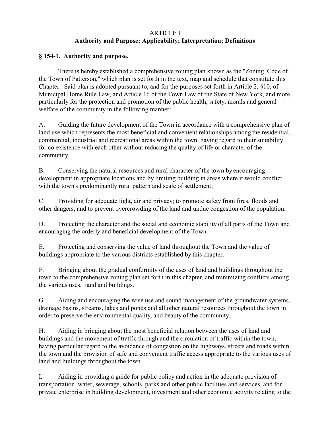# ARTICLE I **Authority and Purpose; Applicability; Interpretation; Definitions**

## **§ 154-1. Authority and purpose.**

There is hereby established a comprehensive zoning plan known as the "Zoning Code of the Town of Patterson," which plan is set forth in the text, map and schedule that constitute this Chapter. Said plan is adopted pursuant to, and for the purposes set forth in Article 2, §10, of Municipal Home Rule Law, and Article 16 of the Town Law of the State of New York, and more particularly for the protection and promotion of the public health, safety, morals and general welfare of the community in the following manner:

A. Guiding the future development of the Town in accordance with a comprehensive plan of land use which represents the most beneficial and convenient relationships among the residential, commercial, industrial and recreational areas within the town, having regard to their suitability for co-existence with each other without reducing the quality of life or character of the community.

B. Conserving the natural resources and rural character of the town by encouraging development in appropriate locations and by limiting building in areas where it would conflict with the town's predominantly rural pattern and scale of settlement;

C. Providing for adequate light, air and privacy; to promote safety from fires, floods and other dangers, and to prevent overcrowding of the land and undue congestion of the population.

D. Protecting the character and the social and economic stability of all parts of the Town and encouraging the orderly and beneficial development of the Town.

E. Protecting and conserving the value of land throughout the Town and the value of buildings appropriate to the various districts established by this chapter.

F. Bringing about the gradual conformity of the uses of land and buildings throughout the town to the comprehensive zoning plan set forth in this chapter, and minimizing conflicts among the various uses, land and buildings.

G. Aiding and encouraging the wise use and sound management of the groundwater systems, drainage basins, streams, lakes and ponds and all other natural resources throughout the town in order to preserve the environmental quality, and beauty of the community.

H. Aiding in bringing about the most beneficial relation between the uses of land and buildings and the movement of traffic through and the circulation of traffic within the town, having particular regard to the avoidance of congestion on the highways, streets and roads within the town and the provision of safe and convenient traffic access appropriate to the various uses of land and buildings throughout the town.

I. Aiding in providing a guide for public policy and action in the adequate provision of transportation, water, sewerage, schools, parks and other public facilities and services, and for private enterprise in building development, investment and other economic activity relating to the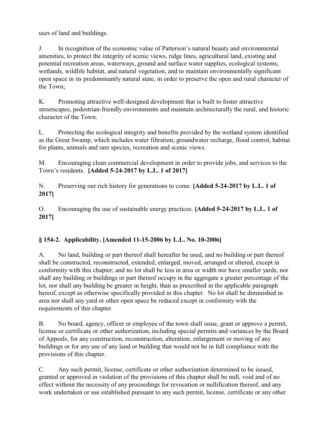uses of land and buildings.

J. In recognition of the economic value of Patterson's natural beauty and environmental amenities, to protect the integrity of scenic views, ridge lines, agricultural land, existing and potential recreation areas, waterways, ground and surface water supplies, ecological systems, wetlands, wildlife habitat, and natural vegetation, and to maintain environmentally significant open space in its predominantly natural state, in order to preserve the open and rural character of the Town;

K. Promoting attractive well-designed development that is built to foster attractive streetscapes, pedestrian-friendly environments and maintain architecturally the rural, and historic character of the Town.

L. Protecting the ecological integrity and benefits provided by the wetland system identified as the Great Swamp, which includes water filtration, groundwater recharge, flood control, habitat for plants, animals and rare species, recreation and scenic views.

M. Encouraging clean commercial development in order to provide jobs, and services to the Town's residents. **[Added 5-24-2017 by L.L. 1 of 2017]** 

N. Preserving our rich history for generations to come. **[Added 5-24-2017 by L.L. 1 of 2017]** 

O. Encouraging the use of sustainable energy practices. **[Added 5-24-2017 by L.L. 1 of 2017]** 

# **§ 154-2. Applicability. [Amended 11-15-2006 by L.L. No. 10-2006]**

A. No land, building or part thereof shall hereafter be used, and no building or part thereof shall be constructed, reconstructed, extended, enlarged, moved, arranged or altered, except in conformity with this chapter; and no lot shall be less in area or width nor have smaller yards, nor shall any building or buildings or part thereof occupy in the aggregate a greater percentage of the lot, nor shall any building be greater in height, than as prescribed in the applicable paragraph hereof, except as otherwise specifically provided in this chapter. No lot shall be diminished in area nor shall any yard or other open space be reduced except in conformity with the requirements of this chapter.

B. No board, agency, officer or employee of the town shall issue, grant or approve a permit, license or certificate or other authorization, including special permits and variances by the Board of Appeals, for any construction, reconstruction, alteration, enlargement or moving of any buildings or for any use of any land or building that would not be in full compliance with the provisions of this chapter.

C. Any such permit, license, certificate or other authorization determined to be issued, granted or approved in violation of the provisions of this chapter shall be null, void and of no effect without the necessity of any proceedings for revocation or nullification thereof, and any work undertaken or use established pursuant to any such permit, license, certificate or any other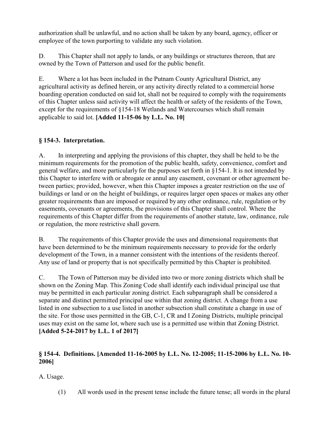authorization shall be unlawful, and no action shall be taken by any board, agency, officer or employee of the town purporting to validate any such violation.

D. This Chapter shall not apply to lands, or any buildings or structures thereon, that are owned by the Town of Patterson and used for the public benefit.

E. Where a lot has been included in the Putnam County Agricultural District, any agricultural activity as defined herein, or any activity directly related to a commercial horse boarding operation conducted on said lot, shall not be required to comply with the requirements of this Chapter unless said activity will affect the health or safety of the residents of the Town, except for the requirements of §154-18 Wetlands and Watercourses which shall remain applicable to said lot. **[Added 11-15-06 by L.L. No. 10]**

# **§ 154-3. Interpretation.**

A. In interpreting and applying the provisions of this chapter, they shall be held to be the minimum requirements for the promotion of the public health, safety, convenience, comfort and general welfare, and more particularly for the purposes set forth in §154-1. It is not intended by this Chapter to interfere with or abrogate or annul any easement, covenant or other agreement between parties; provided, however, when this Chapter imposes a greater restriction on the use of buildings or land or on the height of buildings, or requires larger open spaces or makes any other greater requirements than are imposed or required by any other ordinance, rule, regulation or by easements, covenants or agreements, the provisions of this Chapter shall control. Where the requirements of this Chapter differ from the requirements of another statute, law, ordinance, rule or regulation, the more restrictive shall govern.

B. The requirements of this Chapter provide the uses and dimensional requirements that have been determined to be the minimum requirements necessary to provide for the orderly development of the Town, in a manner consistent with the intentions of the residents thereof. Any use of land or property that is not specifically permitted by this Chapter is prohibited.

C. The Town of Patterson may be divided into two or more zoning districts which shall be shown on the Zoning Map. This Zoning Code shall identify each individual principal use that may be permitted in each particular zoning district. Each subparagraph shall be considered a separate and distinct permitted principal use within that zoning district. A change from a use listed in one subsection to a use listed in another subsection shall constitute a change in use of the site. For those uses permitted in the GB, C-1, CR and I Zoning Districts, multiple principal uses may exist on the same lot, where such use is a permitted use within that Zoning District. **[Added 5-24-2017 by L.L. 1 of 2017]**

# **§ 154-4. Definitions. [Amended 11-16-2005 by L.L. No. 12-2005; 11-15-2006 by L.L. No. 10- 2006]**

A. Usage.

(1) All words used in the present tense include the future tense; all words in the plural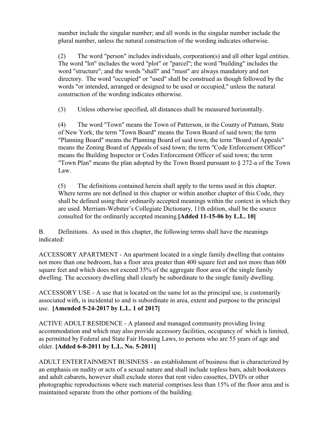number include the singular number; and all words in the singular number include the plural number, unless the natural construction of the wording indicates otherwise.

(2) The word "person" includes individuals, corporation(s) and all other legal entities. The word "lot" includes the word "plot" or "parcel"; the word "building" includes the word "structure"; and the words "shall" and "must" are always mandatory and not directory. The word "occupied" or "used" shall be construed as though followed by the words "or intended, arranged or designed to be used or occupied," unless the natural construction of the wording indicates otherwise.

(3) Unless otherwise specified, all distances shall be measured horizontally.

(4) The word "Town" means the Town of Patterson, in the County of Putnam, State of New York; the term "Town Board" means the Town Board of said town; the term "Planning Board" means the Planning Board of said town; the term "Board of Appeals" means the Zoning Board of Appeals of said town; the term "Code Enforcement Officer" means the Building Inspector or Codes Enforcement Officer of said town; the term "Town Plan" means the plan adopted by the Town Board pursuant to § 272-a of the Town Law.

(5) The definitions contained herein shall apply to the terms used in this chapter. Where terms are not defined in this chapter or within another chapter of this Code, they shall be defined using their ordinarily accepted meanings within the context in which they are used. Merriam-Webster's Collegiate Dictionary, 11th edition, shall be the source consulted for the ordinarily accepted meaning.**[Added 11-15-06 by L.L. 10]**

B. Definitions. As used in this chapter, the following terms shall have the meanings indicated:

ACCESSORY APARTMENT - An apartment located in a single family dwelling that contains not more than one bedroom, has a floor area greater than 400 square feet and not more than 600 square feet and which does not exceed 35% of the aggregate floor area of the single family dwelling. The accessory dwelling shall clearly be subordinate to the single family dwelling.

ACCESSORY USE - A use that is located on the same lot as the principal use, is customarily associated with, is incidental to and is subordinate in area, extent and purpose to the principal use. **[Amended 5-24-2017 by L.L. 1 of 2017]** 

ACTIVE ADULT RESIDENCE - A planned and managed community providing living accommodation and which may also provide accessory facilities, occupancy of which is limited, as permitted by Federal and State Fair Housing Laws, to persons who are 55 years of age and older. **[Added 6-8-2011 by L.L. No. 5-2011]**

ADULT ENTERTAINMENT BUSINESS - an establishment of business that is characterized by an emphasis on nudity or acts of a sexual nature and shall include topless bars, adult bookstores and adult cabarets, however shall exclude stores that rent video cassettes, DVD's or other photographic reproductions where such material comprises less than 15% of the floor area and is maintained separate from the other portions of the building.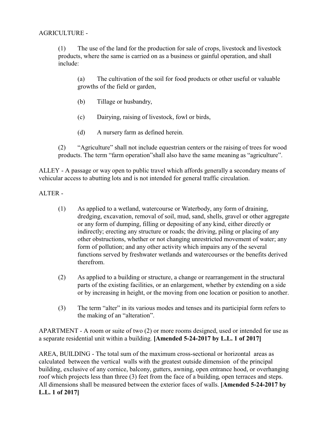AGRICULTURE -

(1) The use of the land for the production for sale of crops, livestock and livestock products, where the same is carried on as a business or gainful operation, and shall include:

(a) The cultivation of the soil for food products or other useful or valuable growths of the field or garden,

- (b) Tillage or husbandry,
- (c) Dairying, raising of livestock, fowl or birds,
- (d) A nursery farm as defined herein.

(2) "Agriculture" shall not include equestrian centers or the raising of trees for wood products. The term "farm operation"shall also have the same meaning as "agriculture".

ALLEY - A passage or way open to public travel which affords generally a secondary means of vehicular access to abutting lots and is not intended for general traffic circulation.

ALTER -

- (1) As applied to a wetland, watercourse or Waterbody, any form of draining, dredging, excavation, removal of soil, mud, sand, shells, gravel or other aggregate or any form of dumping, filling or depositing of any kind, either directly or indirectly; erecting any structure or roads; the driving, piling or placing of any other obstructions, whether or not changing unrestricted movement of water; any form of pollution; and any other activity which impairs any of the several functions served by freshwater wetlands and watercourses or the benefits derived therefrom.
- (2) As applied to a building or structure, a change or rearrangement in the structural parts of the existing facilities, or an enlargement, whether by extending on a side or by increasing in height, or the moving from one location or position to another.
- (3) The term "alter" in its various modes and tenses and its participial form refers to the making of an "alteration".

APARTMENT - A room or suite of two (2) or more rooms designed, used or intended for use as a separate residential unit within a building. **[Amended 5-24-2017 by L.L. 1 of 2017]**

AREA, BUILDING - The total sum of the maximum cross-sectional or horizontal areas as calculated between the vertical walls with the greatest outside dimension of the principal building, exclusive of any cornice, balcony, gutters, awning, open entrance hood, or overhanging roof which projects less than three (3) feet from the face of a building, open terraces and steps. All dimensions shall be measured between the exterior faces of walls. **[Amended 5-24-2017 by L.L. 1 of 2017]**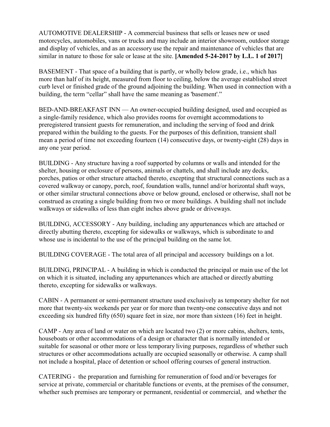AUTOMOTIVE DEALERSHIP - A commercial business that sells or leases new or used motorcycles, automobiles, vans or trucks and may include an interior showroom, outdoor storage and display of vehicles, and as an accessory use the repair and maintenance of vehicles that are similar in nature to those for sale or lease at the site. **[Amended 5-24-2017 by L.L. 1 of 2017]**

BASEMENT - That space of a building that is partly, or wholly below grade, i.e., which has more than half of its height, measured from floor to ceiling, below the average established street curb level or finished grade of the ground adjoining the building. When used in connection with a building, the term "cellar" shall have the same meaning as 'basement'."

BED-AND-BREAKFAST INN — An owner-occupied building designed, used and occupied as a single-family residence, which also provides rooms for overnight accommodations to preregistered transient guests for remuneration, and including the serving of food and drink prepared within the building to the guests. For the purposes of this definition, transient shall mean a period of time not exceeding fourteen (14) consecutive days, or twenty-eight (28) days in any one year period.

BUILDING - Any structure having a roof supported by columns or walls and intended for the shelter, housing or enclosure of persons, animals or chattels, and shall include any decks, porches, patios or other structure attached thereto, excepting that structural connections such as a covered walkway or canopy, porch, roof, foundation walls, tunnel and/or horizontal shaft ways, or other similar structural connections above or below ground, enclosed or otherwise, shall not be construed as creating a single building from two or more buildings. A building shall not include walkways or sidewalks of less than eight inches above grade or driveways.

BUILDING, ACCESSORY - Any building, including any appurtenances which are attached or directly abutting thereto, excepting for sidewalks or walkways, which is subordinate to and whose use is incidental to the use of the principal building on the same lot.

BUILDING COVERAGE - The total area of all principal and accessory buildings on a lot.

BUILDING, PRINCIPAL - A building in which is conducted the principal or main use of the lot on which it is situated, including any appurtenances which are attached or directly abutting thereto, excepting for sidewalks or walkways.

CABIN - A permanent or semi-permanent structure used exclusively as temporary shelter for not more that twenty-six weekends per year or for more than twenty-one consecutive days and not exceeding six hundred fifty (650) square feet in size, nor more than sixteen (16) feet in height.

CAMP - Any area of land or water on which are located two (2) or more cabins, shelters, tents, houseboats or other accommodations of a design or character that is normally intended or suitable for seasonal or other more or less temporary living purposes, regardless of whether such structures or other accommodations actually are occupied seasonally or otherwise. A camp shall not include a hospital, place of detention or school offering courses of general instruction.

CATERING - the preparation and furnishing for remuneration of food and/or beverages for service at private, commercial or charitable functions or events, at the premises of the consumer, whether such premises are temporary or permanent, residential or commercial, and whether the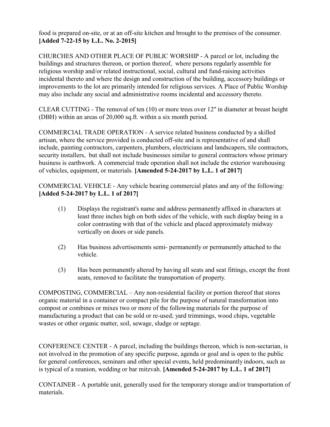food is prepared on-site, or at an off-site kitchen and brought to the premises of the consumer. **[Added 7-22-15 by L.L. No. 2-2015]**

CHURCHES AND OTHER PLACE OF PUBLIC WORSHIP - A parcel or lot, including the buildings and structures thereon, or portion thereof, where persons regularly assemble for religious worship and/or related instructional, social, cultural and fund-raising activities incidental thereto and where the design and construction of the building, accessory buildings or improvements to the lot are primarily intended for religious services. A Place of Public Worship may also include any social and administrative rooms incidental and accessory thereto.

CLEAR CUTTING - The removal of ten (10) or more trees over 12" in diameter at breast height (DBH) within an areas of 20,000 sq.ft. within a six month period.

COMMERCIAL TRADE OPERATION - A service related business conducted by a skilled artisan, where the service provided is conducted off-site and is representative of and shall include, painting contractors, carpenters, plumbers, electricians and landscapers, tile contractors, security installers, but shall not include businesses similar to general contractors whose primary business is earthwork. A commercial trade operation shall not include the exterior warehousing of vehicles, equipment, or materials. **[Amended 5-24-2017 by L.L. 1 of 2017]** 

COMMERCIAL VEHICLE - Any vehicle bearing commercial plates and any of the following: **[Added 5-24-2017 by L.L. 1 of 2017]** 

- (1) Displays the registrant's name and address permanently affixed in characters at least three inches high on both sides of the vehicle, with such display being in a color contrasting with that of the vehicle and placed approximately midway vertically on doors or side panels.
- (2) Has business advertisements semi- permanently or permanently attached to the vehicle.
- (3) Has been permanently altered by having all seats and seat fittings, except the front seats, removed to facilitate the transportation of property.

COMPOSTING, COMMERCIAL – Any non-residential facility or portion thereof that stores organic material in a container or compact pile for the purpose of natural transformation into compost or combines or mixes two or more of the following materials for the purpose of manufacturing a product that can be sold or re-used; yard trimmings, wood chips, vegetable wastes or other organic matter, soil, sewage, sludge or septage.

CONFERENCE CENTER - A parcel, including the buildings thereon, which is non-sectarian, is not involved in the promotion of any specific purpose, agenda or goal and is open to the public for general conferences, seminars and other special events, held predominantly indoors, such as is typical of a reunion, wedding or bar mitzvah. **[Amended 5-24-2017 by L.L. 1 of 2017]** 

CONTAINER - A portable unit, generally used for the temporary storage and/or transportation of materials.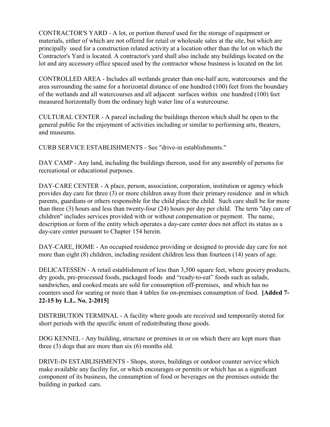CONTRACTOR'S YARD - A lot, or portion thereof used for the storage of equipment or materials, either of which are not offered for retail or wholesale sales at the site, but which are principally used for a construction related activity at a location other than the lot on which the Contractor's Yard is located. A contractor's yard shall also include any buildings located on the lot and any accessory office spaced used by the contractor whose business is located on the lot.

CONTROLLED AREA - Includes all wetlands greater than one-half acre, watercourses and the area surrounding the same for a horizontal distance of one hundred (100) feet from the boundary of the wetlands and all watercourses and all adjacent surfaces within one hundred (100) feet measured horizontally from the ordinary high water line of a watercourse.

CULTURAL CENTER - A parcel including the buildings thereon which shall be open to the general public for the enjoyment of activities including or similar to performing arts, theaters, and museums.

CURB SERVICE ESTABLISHMENTS - See "drive-in establishments."

DAY CAMP - Any land, including the buildings thereon, used for any assembly of persons for recreational or educational purposes.

DAY-CARE CENTER - A place, person, association, corporation, institution or agency which provides day care for three (3) or more children away from their primary residence and in which parents, guardians or others responsible for the child place the child. Such care shall be for more than three (3) hours and less than twenty-four (24) hours per day per child. The term "day care of children" includes services provided with or without compensation or payment. The name, description or form of the entity which operates a day-care center does not affect its status as a day-care center pursuant to Chapter 154 herein.

DAY-CARE, HOME - An occupied residence providing or designed to provide day care for not more than eight (8) children, including resident children less than fourteen (14) years of age.

DELICATESSEN - A retail establishment of less than 3,500 square feet, where grocery products, dry goods, pre-processed foods, packaged foods and "ready-to-eat" foods such as salads, sandwiches, and cooked meats are sold for consumption off-premises, and which has no counters used for seating or more than 4 tables for on-premises consumption of food. **[Added 7- 22-15 by L.L. No. 2-2015]**

DISTRIBUTION TERMINAL - A facility where goods are received and temporarily stored for short periods with the specific intent of redistributing those goods.

DOG KENNEL - Any building, structure or premises in or on which there are kept more than three (3) dogs that are more than six (6) months old.

DRIVE-IN ESTABLISHMENTS - Shops, stores, buildings or outdoor counter service which make available any facility for, or which encourages or permits or which has as a significant component of its business, the consumption of food or beverages on the premises outside the building in parked cars.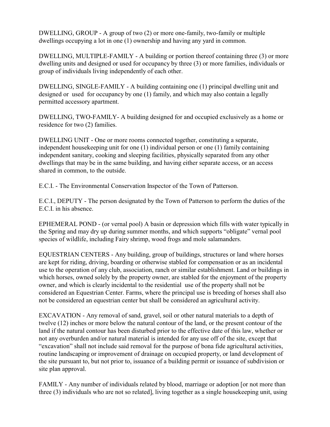DWELLING, GROUP - A group of two (2) or more one-family, two-family or multiple dwellings occupying a lot in one (1) ownership and having any yard in common.

DWELLING, MULTIPLE-FAMILY - A building or portion thereof containing three (3) or more dwelling units and designed or used for occupancy by three (3) or more families, individuals or group of individuals living independently of each other.

DWELLING, SINGLE-FAMILY - A building containing one (1) principal dwelling unit and designed or used for occupancy by one (1) family, and which may also contain a legally permitted accessory apartment.

DWELLING, TWO-FAMILY- A building designed for and occupied exclusively as a home or residence for two (2) families.

DWELLING UNIT - One or more rooms connected together, constituting a separate, independent housekeeping unit for one (1) individual person or one (1) family containing independent sanitary, cooking and sleeping facilities, physically separated from any other dwellings that may be in the same building, and having either separate access, or an access shared in common, to the outside.

E.C.I. - The Environmental Conservation Inspector of the Town of Patterson.

E.C.I., DEPUTY - The person designated by the Town of Patterson to perform the duties of the E.C.I. in his absence.

EPHEMERAL POND - (or vernal pool) A basin or depression which fills with water typically in the Spring and may dry up during summer months, and which supports "obligate" vernal pool species of wildlife, including Fairy shrimp, wood frogs and mole salamanders.

EQUESTRIAN CENTERS - Any building, group of buildings, structures or land where horses are kept for riding, driving, boarding or otherwise stabled for compensation or as an incidental use to the operation of any club, association, ranch or similar establishment. Land or buildings in which horses, owned solely by the property owner, are stabled for the enjoyment of the property owner, and which is clearly incidental to the residential use of the property shall not be considered an Equestrian Center. Farms, where the principal use is breeding of horses shall also not be considered an equestrian center but shall be considered an agricultural activity.

EXCAVATION - Any removal of sand, gravel, soil or other natural materials to a depth of twelve (12) inches or more below the natural contour of the land, or the present contour of the land if the natural contour has been disturbed prior to the effective date of this law, whether or not any overburden and/or natural material is intended for any use off of the site, except that "excavation" shall not include said removal for the purpose of bona fide agricultural activities, routine landscaping or improvement of drainage on occupied property, or land development of the site pursuant to, but not prior to, issuance of a building permit or issuance of subdivision or site plan approval.

FAMILY - Any number of individuals related by blood, marriage or adoption [or not more than three (3) individuals who are not so related], living together as a single housekeeping unit, using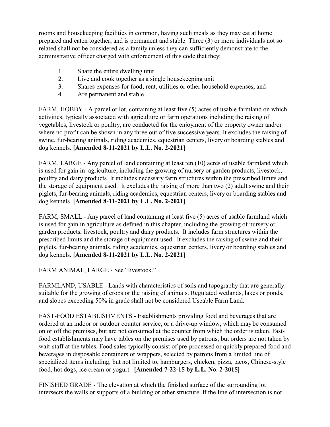rooms and housekeeping facilities in common, having such meals as they may eat at home prepared and eaten together, and is permanent and stable. Three (3) or more individuals not so related shall not be considered as a family unless they can sufficiently demonstrate to the administrative officer charged with enforcement of this code that they:

- 1. Share the entire dwelling unit
- 2. Live and cook together as a single housekeeping unit
- 3. Shares expenses for food, rent, utilities or other household expenses, and
- 4. Are permanent and stable

FARM, HOBBY - A parcel or lot, containing at least five (5) acres of usable farmland on which activities, typically associated with agriculture or farm operations including the raising of vegetables, livestock or poultry, are conducted for the enjoyment of the property owner and/or where no profit can be shown in any three out of five successive years. It excludes the raising of swine, fur-bearing animals, riding academies, equestrian centers, livery or boarding stables and dog kennels. **[Amended 8-11-2021 by L.L. No. 2-2021]**

FARM, LARGE - Any parcel of land containing at least ten (10) acres of usable farmland which is used for gain in agriculture, including the growing of nursery or garden products, livestock, poultry and dairy products. It includes necessary farm structures within the prescribed limits and the storage of equipment used. It excludes the raising of more than two (2) adult swine and their piglets, fur-bearing animals, riding academies, equestrian centers, livery or boarding stables and dog kennels. **[Amended 8-11-2021 by L.L. No. 2-2021]**

FARM, SMALL - Any parcel of land containing at least five (5) acres of usable farmland which is used for gain in agriculture as defined in this chapter, including the growing of nursery or garden products, livestock, poultry and dairy products. It includes farm structures within the prescribed limits and the storage of equipment used. It excludes the raising of swine and their piglets, fur-bearing animals, riding academies, equestrian centers, livery or boarding stables and dog kennels. **[Amended 8-11-2021 by L.L. No. 2-2021]**

FARM ANIMAL, LARGE - See "livestock."

FARMLAND, USABLE - Lands with characteristics of soils and topography that are generally suitable for the growing of crops or the raising of animals. Regulated wetlands, lakes or ponds, and slopes exceeding 50% in grade shall not be considered Useable Farm Land.

FAST-FOOD ESTABLISHMENTS - Establishments providing food and beverages that are ordered at an indoor or outdoor counter service, or a drive-up window, which may be consumed on or off the premises, but are not consumed at the counter from which the order is taken. Fastfood establishments may have tables on the premises used by patrons, but orders are not taken by wait-staff at the tables. Food sales typically consist of pre-processed or quickly prepared food and beverages in disposable containers or wrappers, selected by patrons from a limited line of specialized items including, but not limited to, hamburgers, chicken, pizza, tacos, Chinese-style food, hot dogs, ice cream or yogurt. **[Amended 7-22-15 by L.L. No. 2-2015]**

FINISHED GRADE - The elevation at which the finished surface of the surrounding lot intersects the walls or supports of a building or other structure. If the line of intersection is not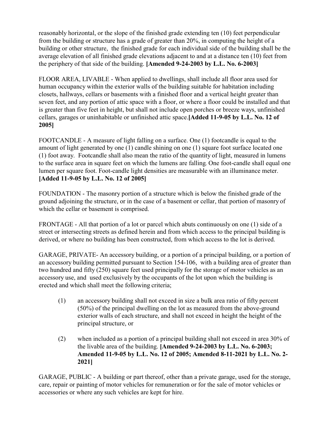reasonably horizontal, or the slope of the finished grade extending ten (10) feet perpendicular from the building or structure has a grade of greater than 20%, in computing the height of a building or other structure, the finished grade for each individual side of the building shall be the average elevation of all finished grade elevations adjacent to and at a distance ten (10) feet from the periphery of that side of the building. **[Amended 9-24-2003 by L.L. No. 6-2003]**

FLOOR AREA, LIVABLE - When applied to dwellings, shall include all floor area used for human occupancy within the exterior walls of the building suitable for habitation including closets, hallways, cellars or basements with a finished floor and a vertical height greater than seven feet, and any portion of attic space with a floor, or where a floor could be installed and that is greater than five feet in height, but shall not include open porches or breeze ways, unfinished cellars, garages or uninhabitable or unfinished attic space.**[Added 11-9-05 by L.L. No. 12 of 2005]**

FOOTCANDLE - A measure of light falling on a surface. One (1) footcandle is equal to the amount of light generated by one (1) candle shining on one (1) square foot surface located one (1) foot away. Footcandle shall also mean the ratio of the quantity of light, measured in lumens to the surface area in square feet on which the lumens are falling. One foot-candle shall equal one lumen per square foot. Foot-candle light densities are measurable with an illuminance meter. **[Added 11-9-05 by L.L. No. 12 of 2005]**

FOUNDATION - The masonry portion of a structure which is below the finished grade of the ground adjoining the structure, or in the case of a basement or cellar, that portion of masonry of which the cellar or basement is comprised.

FRONTAGE - All that portion of a lot or parcel which abuts continuously on one (1) side of a street or intersecting streets as defined herein and from which access to the principal building is derived, or where no building has been constructed, from which access to the lot is derived.

GARAGE, PRIVATE- An accessory building, or a portion of a principal building, or a portion of an accessory building permitted pursuant to Section 154-106, with a building area of greater than two hundred and fifty (250) square feet used principally for the storage of motor vehicles as an accessory use, and used exclusively by the occupants of the lot upon which the building is erected and which shall meet the following criteria;

- (1) an accessory building shall not exceed in size a bulk area ratio of fifty percent (50%) of the principal dwelling on the lot as measured from the above-ground exterior walls of each structure, and shall not exceed in height the height of the principal structure, or
- (2) when included as a portion of a principal building shall not exceed in area 30% of the livable area of the building. **[Amended 9-24-2003 by L.L. No. 6-2003; Amended 11-9-05 by L.L. No. 12 of 2005; Amended 8-11-2021 by L.L. No. 2- 2021]**

GARAGE, PUBLIC - A building or part thereof, other than a private garage, used for the storage, care, repair or painting of motor vehicles for remuneration or for the sale of motor vehicles or accessories or where any such vehicles are kept for hire.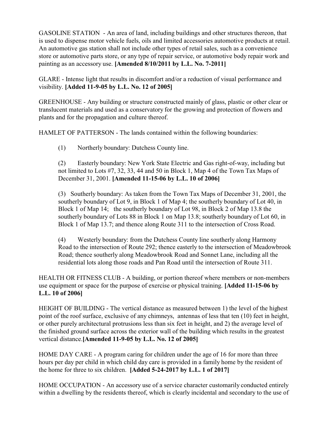GASOLINE STATION - An area of land, including buildings and other structures thereon, that is used to dispense motor vehicle fuels, oils and limited accessories automotive products at retail. An automotive gas station shall not include other types of retail sales, such as a convenience store or automotive parts store, or any type of repair service, or automotive body repair work and painting as an accessory use. **[Amended 8/10/2011 by L.L. No. 7-2011]**

GLARE - Intense light that results in discomfort and/or a reduction of visual performance and visibility. **[Added 11-9-05 by L.L. No. 12 of 2005]**

GREENHOUSE - Any building or structure constructed mainly of glass, plastic or other clear or translucent materials and used as a conservatory for the growing and protection of flowers and plants and for the propagation and culture thereof.

HAMLET OF PATTERSON - The lands contained within the following boundaries:

(1) Northerly boundary: Dutchess County line.

(2) Easterly boundary: New York State Electric and Gas right-of-way, including but not limited to Lots #7, 32, 33, 44 and 50 in Block 1, Map 4 of the Town Tax Maps of December 31, 2001. **[Amended 11-15-06 by L.L. 10 of 2006]** 

(3) Southerly boundary: As taken from the Town Tax Maps of December 31, 2001, the southerly boundary of Lot 9, in Block 1 of Map 4; the southerly boundary of Lot 40, in Block 1 of Map 14; the southerly boundary of Lot 98, in Block 2 of Map 13.8 the southerly boundary of Lots 88 in Block 1 on Map 13.8; southerly boundary of Lot 60, in Block 1 of Map 13.7; and thence along Route 311 to the intersection of Cross Road.

(4) Westerly boundary: from the Dutchess County line southerly along Harmony Road to the intersection of Route 292; thence easterly to the intersection of Meadowbrook Road; thence southerly along Meadowbrook Road and Sonnet Lane, including all the residential lots along those roads and Pan Road until the intersection of Route 311.

HEALTH OR FITNESS CLUB - A building, or portion thereof where members or non-members use equipment or space for the purpose of exercise or physical training. **[Added 11-15-06 by L.L. 10 of 2006]** 

HEIGHT OF BUILDING - The vertical distance as measured between 1) the level of the highest point of the roof surface, exclusive of any chimneys, antennas of less that ten (10) feet in height, or other purely architectural protrusions less than six feet in height, and 2) the average level of the finished ground surface across the exterior wall of the building which results in the greatest vertical distance.**[Amended 11-9-05 by L.L. No. 12 of 2005]**

HOME DAY CARE - A program caring for children under the age of 16 for more than three hours per day per child in which child day care is provided in a family home by the resident of the home for three to six children. **[Added 5-24-2017 by L.L. 1 of 2017]** 

HOME OCCUPATION - An accessory use of a service character customarily conducted entirely within a dwelling by the residents thereof, which is clearly incidental and secondary to the use of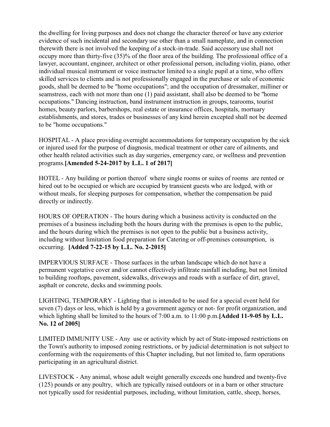the dwelling for living purposes and does not change the character thereof or have any exterior evidence of such incidental and secondary use other than a small nameplate, and in connection therewith there is not involved the keeping of a stock-in-trade. Said accessory use shall not occupy more than thirty-five (35)% of the floor area of the building. The professional office of a lawyer, accountant, engineer, architect or other professional person, including violin, piano, other individual musical instrument or voice instructor limited to a single pupil at a time, who offers skilled services to clients and is not professionally engaged in the purchase or sale of economic goods, shall be deemed to be "home occupations"; and the occupation of dressmaker, milliner or seamstress, each with not more than one (1) paid assistant, shall also be deemed to be "home occupations." Dancing instruction, band instrument instruction in groups, tearooms, tourist homes, beauty parlors, barbershops, real estate or insurance offices, hospitals, mortuary establishments, and stores, trades or businesses of any kind herein excepted shall not be deemed to be "home occupations."

HOSPITAL - A place providing overnight accommodations for temporary occupation by the sick or injured used for the purpose of diagnosis, medical treatment or other care of ailments, and other health related activities such as day surgeries, emergency care, or wellness and prevention programs.**[Amended 5-24-2017 by L.L. 1 of 2017]** 

HOTEL - Any building or portion thereof where single rooms or suites of rooms are rented or hired out to be occupied or which are occupied by transient guests who are lodged, with or without meals, for sleeping purposes for compensation, whether the compensation be paid directly or indirectly.

HOURS OF OPERATION - The hours during which a business activity is conducted on the premises of a business including both the hours during with the premises is open to the public, and the hours during which the premises is not open to the public but a business activity, including without limitation food preparation for Catering or off-premises consumption, is occurring. **[Added 7-22-15 by L.L. No. 2-2015]**

IMPERVIOUS SURFACE - Those surfaces in the urban landscape which do not have a permanent vegetative cover and/or cannot effectively infiltrate rainfall including, but not limited to building rooftops, pavement, sidewalks, driveways and roads with a surface of dirt, gravel, asphalt or concrete, decks and swimming pools.

LIGHTING, TEMPORARY - Lighting that is intended to be used for a special event held for seven (7) days or less, which is held by a government agency or not- for profit organization, and which lighting shall be limited to the hours of 7:00 a.m. to 11:00 p.m.**[Added 11-9-05 by L.L. No. 12 of 2005]**

LIMITED IMMUNITY USE - Any use or activity which by act of State-imposed restrictions on the Town's authority to imposed zoning restrictions, or by judicial determination is not subject to conforming with the requirements of this Chapter including, but not limited to, farm operations participating in an agricultural district.

LIVESTOCK - Any animal, whose adult weight generally exceeds one hundred and twenty-five (125) pounds or any poultry, which are typically raised outdoors or in a barn or other structure not typically used for residential purposes, including, without limitation, cattle, sheep, horses,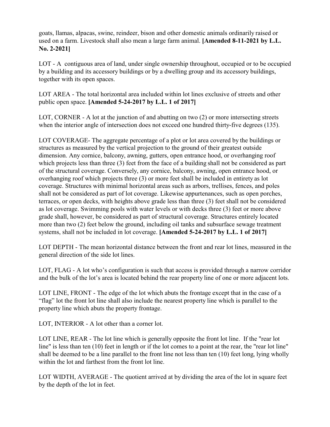goats, llamas, alpacas, swine, reindeer, bison and other domestic animals ordinarily raised or used on a farm. Livestock shall also mean a large farm animal. **[Amended 8-11-2021 by L.L. No. 2-2021]**

LOT - A contiguous area of land, under single ownership throughout, occupied or to be occupied by a building and its accessory buildings or by a dwelling group and its accessory buildings, together with its open spaces.

LOT AREA - The total horizontal area included within lot lines exclusive of streets and other public open space. **[Amended 5-24-2017 by L.L. 1 of 2017]** 

LOT, CORNER - A lot at the junction of and abutting on two (2) or more intersecting streets when the interior angle of intersection does not exceed one hundred thirty-five degrees (135).

LOT COVERAGE- The aggregate percentage of a plot or lot area covered by the buildings or structures as measured by the vertical projection to the ground of their greatest outside dimension. Any cornice, balcony, awning, gutters, open entrance hood, or overhanging roof which projects less than three (3) feet from the face of a building shall not be considered as part of the structural coverage. Conversely, any cornice, balcony, awning, open entrance hood, or overhanging roof which projects three (3) or more feet shall be included in entirety as lot coverage. Structures with minimal horizontal areas such as arbors, trellises, fences, and poles shall not be considered as part of lot coverage. Likewise appurtenances, such as open porches, terraces, or open decks, with heights above grade less than three (3) feet shall not be considered as lot coverage. Swimming pools with water levels or with decks three (3) feet or more above grade shall, however, be considered as part of structural coverage. Structures entirely located more than two (2) feet below the ground, including oil tanks and subsurface sewage treatment systems, shall not be included in lot coverage. **[Amended 5-24-2017 by L.L. 1 of 2017]** 

LOT DEPTH - The mean horizontal distance between the front and rear lot lines, measured in the general direction of the side lot lines.

LOT, FLAG - A lot who's configuration is such that access is provided through a narrow corridor and the bulk of the lot's area is located behind the rear property line of one or more adjacent lots.

LOT LINE, FRONT - The edge of the lot which abuts the frontage except that in the case of a "flag" lot the front lot line shall also include the nearest property line which is parallel to the property line which abuts the property frontage.

LOT, INTERIOR - A lot other than a corner lot.

LOT LINE, REAR - The lot line which is generally opposite the front lot line. If the "rear lot line" is less than ten (10) feet in length or if the lot comes to a point at the rear, the "rear lot line" shall be deemed to be a line parallel to the front line not less than ten (10) feet long, lying wholly within the lot and farthest from the front lot line.

LOT WIDTH, AVERAGE - The quotient arrived at by dividing the area of the lot in square feet by the depth of the lot in feet.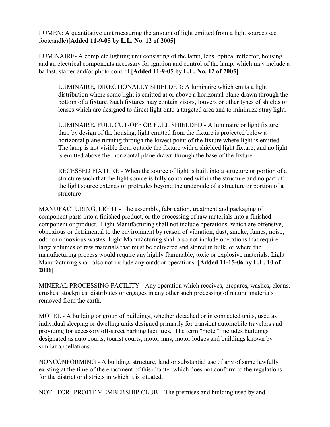LUMEN: A quantitative unit measuring the amount of light emitted from a light source.(see footcandle)**[Added 11-9-05 by L.L. No. 12 of 2005]**

LUMINAIRE- A complete lighting unit consisting of the lamp, lens, optical reflector, housing and an electrical components necessary for ignition and control of the lamp, which may include a ballast, starter and/or photo control.**[Added 11-9-05 by L.L. No. 12 of 2005]**

LUMINAIRE, DIRECTIONALLY SHIELDED: A luminaire which emits a light distribution where some light is emitted at or above a horizontal plane drawn through the bottom of a fixture. Such fixtures may contain visors, louvers or other types of shields or lenses which are designed to direct light onto a targeted area and to minimize stray light.

LUMINAIRE, FULL CUT-OFF OR FULL SHIELDED - A luminaire or light fixture that; by design of the housing, light emitted from the fixture is projected below a horizontal plane running through the lowest point of the fixture where light is emitted. The lamp is not visible from outside the fixture with a shielded light fixture, and no light is emitted above the horizontal plane drawn through the base of the fixture.

RECESSED FIXTURE - When the source of light is built into a structure or portion of a structure such that the light source is fully contained within the structure and no part of the light source extends or protrudes beyond the underside of a structure or portion of a structure

MANUFACTURING, LIGHT - The assembly, fabrication, treatment and packaging of component parts into a finished product, or the processing of raw materials into a finished component or product. Light Manufacturing shall not include operations which are offensive, obnoxious or detrimental to the environment by reason of vibration, dust, smoke, fumes, noise, odor or obnoxious wastes. Light Manufacturing shall also not include operations that require large volumes of raw materials that must be delivered and stored in bulk, or where the manufacturing process would require any highly flammable, toxic or explosive materials. Light Manufacturing shall also not include any outdoor operations. **[Added 11-15-06 by L.L. 10 of 2006]** 

MINERAL PROCESSING FACILITY - Any operation which receives, prepares, washes, cleans, crushes, stockpiles, distributes or engages in any other such processing of natural materials removed from the earth.

MOTEL - A building or group of buildings, whether detached or in connected units, used as individual sleeping or dwelling units designed primarily for transient automobile travelers and providing for accessory off-street parking facilities. The term "motel" includes buildings designated as auto courts, tourist courts, motor inns, motor lodges and buildings known by similar appellations.

NONCONFORMING - A building, structure, land or substantial use of any of same lawfully existing at the time of the enactment of this chapter which does not conform to the regulations for the district or districts in which it is situated.

NOT - FOR- PROFIT MEMBERSHIP CLUB – The premises and building used by and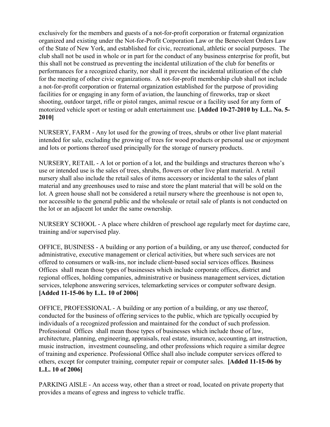exclusively for the members and guests of a not-for-profit corporation or fraternal organization organized and existing under the Not-for-Profit Corporation Law or the Benevolent Orders Law of the State of New York, and established for civic, recreational, athletic or social purposes. The club shall not be used in whole or in part for the conduct of any business enterprise for profit, but this shall not be construed as preventing the incidental utilization of the club for benefits or performances for a recognized charity, nor shall it prevent the incidental utilization of the club for the meeting of other civic organizations. A not-for-profit membership club shall not include a not-for-profit corporation or fraternal organization established for the purpose of providing facilities for or engaging in any form of aviation, the launching of fireworks, trap or skeet shooting, outdoor target, rifle or pistol ranges, animal rescue or a facility used for any form of motorized vehicle sport or testing or adult entertainment use. **[Added 10-27-2010 by L.L. No. 5- 2010]**

NURSERY, FARM - Any lot used for the growing of trees, shrubs or other live plant material intended for sale, excluding the growing of trees for wood products or personal use or enjoyment and lots or portions thereof used principally for the storage of nursery products.

NURSERY, RETAIL - A lot or portion of a lot, and the buildings and structures thereon who's use or intended use is the sales of trees, shrubs, flowers or other live plant material. A retail nursery shall also include the retail sales of items accessory or incidental to the sales of plant material and any greenhouses used to raise and store the plant material that will be sold on the lot. A green house shall not be considered a retail nursery where the greenhouse is not open to, nor accessible to the general public and the wholesale or retail sale of plants is not conducted on the lot or an adjacent lot under the same ownership.

NURSERY SCHOOL - A place where children of preschool age regularly meet for daytime care, training and/or supervised play.

OFFICE, BUSINESS - A building or any portion of a building, or any use thereof, conducted for administrative, executive management or clerical activities, but where such services are not offered to consumers or walk-ins, nor include client-based social services offices. Business Offices shall mean those types of businesses which include corporate offices, district and regional offices, holding companies, administrative or business management services, dictation services, telephone answering services, telemarketing services or computer software design. **[Added 11-15-06 by L.L. 10 of 2006]** 

OFFICE, PROFESSIONAL - A building or any portion of a building, or any use thereof, conducted for the business of offering services to the public, which are typically occupied by individuals of a recognized profession and maintained for the conduct of such profession. Professional Offices shall mean those types of businesses which include those of law, architecture, planning, engineering, appraisals, real estate, insurance, accounting, art instruction, music instruction, investment counseling, and other professions which require a similar degree of training and experience. Professional Office shall also include computer services offered to others, except for computer training, computer repair or computer sales. **[Added 11-15-06 by L.L. 10 of 2006]** 

PARKING AISLE - An access way, other than a street or road, located on private property that provides a means of egress and ingress to vehicle traffic.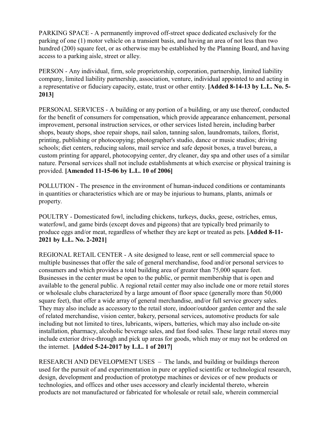PARKING SPACE - A permanently improved off-street space dedicated exclusively for the parking of one (1) motor vehicle on a transient basis, and having an area of not less than two hundred (200) square feet, or as otherwise may be established by the Planning Board, and having access to a parking aisle, street or alley.

PERSON - Any individual, firm, sole proprietorship, corporation, partnership, limited liability company, limited liability partnership, association, venture, individual appointed to and acting in a representative or fiduciary capacity, estate, trust or other entity. **[Added 8-14-13 by L.L. No. 5- 2013]**

PERSONAL SERVICES - A building or any portion of a building, or any use thereof, conducted for the benefit of consumers for compensation, which provide appearance enhancement, personal improvement, personal instruction services, or other services listed herein, including barber shops, beauty shops, shoe repair shops, nail salon, tanning salon, laundromats, tailors, florist, printing, publishing or photocopying; photographer's studio, dance or music studios; driving schools; diet centers, reducing salons, mail service and safe deposit boxes, a travel bureau, a custom printing for apparel, photocopying center, dry cleaner, day spa and other uses of a similar nature. Personal services shall not include establishments at which exercise or physical training is provided. **[Amended 11-15-06 by L.L. 10 of 2006]** 

POLLUTION - The presence in the environment of human-induced conditions or contaminants in quantities or characteristics which are or may be injurious to humans, plants, animals or property.

POULTRY - Domesticated fowl, including chickens, turkeys, ducks, geese, ostriches, emus, waterfowl, and game birds (except doves and pigeons) that are typically bred primarily to produce eggs and/or meat, regardless of whether they are kept or treated as pets. **[Added 8-11- 2021 by L.L. No. 2-2021]**

REGIONAL RETAIL CENTER - A site designed to lease, rent or sell commercial space to multiple businesses that offer the sale of general merchandise, food and/or personal services to consumers and which provides a total building area of greater than 75,000 square feet. Businesses in the center must be open to the public, or permit membership that is open and available to the general public. A regional retail center may also include one or more retail stores or wholesale clubs characterized by a large amount of floor space (generally more than 50,000 square feet), that offer a wide array of general merchandise, and/or full service grocery sales. They may also include as accessory to the retail store, indoor/outdoor garden center and the sale of related merchandise, vision center, bakery, personal services, automotive products for sale including but not limited to tires, lubricants, wipers, batteries, which may also include on-site installation, pharmacy, alcoholic beverage sales, and fast food sales. These large retail stores may include exterior drive-through and pick up areas for goods, which may or may not be ordered on the internet. **[Added 5-24-2017 by L.L. 1 of 2017]** 

RESEARCH AND DEVELOPMENT USES – The lands, and building or buildings thereon used for the pursuit of and experimentation in pure or applied scientific or technological research, design, development and production of prototype machines or devices or of new products or technologies, and offices and other uses accessory and clearly incidental thereto, wherein products are not manufactured or fabricated for wholesale or retail sale, wherein commercial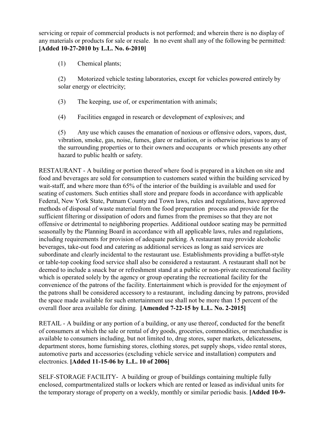servicing or repair of commercial products is not performed; and wherein there is no display of any materials or products for sale or resale. In no event shall any of the following be permitted: **[Added 10-27-2010 by L.L. No. 6-2010]**

(1) Chemical plants;

(2) Motorized vehicle testing laboratories, except for vehicles powered entirely by solar energy or electricity;

- (3) The keeping, use of, or experimentation with animals;
- (4) Facilities engaged in research or development of explosives; and

(5) Any use which causes the emanation of noxious or offensive odors, vapors, dust, vibration, smoke, gas, noise, fumes, glare or radiation, or is otherwise injurious to any of the surrounding properties or to their owners and occupants or which presents any other hazard to public health or safety.

RESTAURANT - A building or portion thereof where food is prepared in a kitchen on site and food and beverages are sold for consumption to customers seated within the building serviced by wait-staff, and where more than 65% of the interior of the building is available and used for seating of customers. Such entities shall store and prepare foods in accordance with applicable Federal, New York State, Putnam County and Town laws, rules and regulations, have approved methods of disposal of waste material from the food preparation process and provide for the sufficient filtering or dissipation of odors and fumes from the premises so that they are not offensive or detrimental to neighboring properties. Additional outdoor seating may be permitted seasonally by the Planning Board in accordance with all applicable laws, rules and regulations, including requirements for provision of adequate parking. A restaurant may provide alcoholic beverages, take-out food and catering as additional services as long as said services are subordinate and clearly incidental to the restaurant use. Establishments providing a buffet-style or table-top cooking food service shall also be considered a restaurant. A restaurant shall not be deemed to include a snack bar or refreshment stand at a public or non-private recreational facility which is operated solely by the agency or group operating the recreational facility for the convenience of the patrons of the facility. Entertainment which is provided for the enjoyment of the patrons shall be considered accessory to a restaurant, including dancing by patrons, provided the space made available for such entertainment use shall not be more than 15 percent of the overall floor area available for dining. **[Amended 7-22-15 by L.L. No. 2-2015]**

RETAIL - A building or any portion of a building, or any use thereof, conducted for the benefit of consumers at which the sale or rental of dry goods, groceries, commodities, or merchandise is available to consumers including, but not limited to, drug stores, super markets, delicatessens, department stores, home furnishing stores, clothing stores, pet supply shops, video rental stores, automotive parts and accessories (excluding vehicle service and installation) computers and electronics. **[Added 11-15-06 by L.L. 10 of 2006]** 

SELF-STORAGE FACILITY- A building or group of buildings containing multiple fully enclosed, compartmentalized stalls or lockers which are rented or leased as individual units for the temporary storage of property on a weekly, monthly or similar periodic basis. **[Added 10-9-**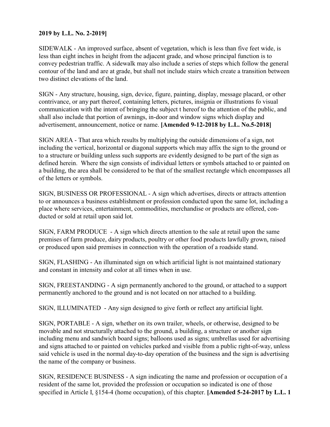## **2019 by L.L. No. 2-2019]**

SIDEWALK - An improved surface, absent of vegetation, which is less than five feet wide, is less than eight inches in height from the adjacent grade, and whose principal function is to convey pedestrian traffic. A sidewalk may also include a series of steps which follow the general contour of the land and are at grade, but shall not include stairs which create a transition between two distinct elevations of the land.

SIGN - Any structure, housing, sign, device, figure, painting, display, message placard, or other contrivance, or any part thereof, containing letters, pictures, insignia or illustrations fo visual communication with the intent of bringing the subject t hereof to the attention of the public, and shall also include that portion of awnings, in-door and window signs which display and advertisement, announcement, notice or name. **[Amended 9-12-2018 by L.L. No.5-2018]**

SIGN AREA - That area which results by multiplying the outside dimensions of a sign, not including the vertical, horizontal or diagonal supports which may affix the sign to the ground or to a structure or building unless such supports are evidently designed to be part of the sign as defined herein. Where the sign consists of individual letters or symbols attached to or painted on a building, the area shall be considered to be that of the smallest rectangle which encompasses all of the letters or symbols.

SIGN, BUSINESS OR PROFESSIONAL - A sign which advertises, directs or attracts attention to or announces a business establishment or profession conducted upon the same lot, including a place where services, entertainment, commodities, merchandise or products are offered, conducted or sold at retail upon said lot.

SIGN, FARM PRODUCE - A sign which directs attention to the sale at retail upon the same premises of farm produce, dairy products, poultry or other food products lawfully grown, raised or produced upon said premises in connection with the operation of a roadside stand.

SIGN, FLASHING - An illuminated sign on which artificial light is not maintained stationary and constant in intensity and color at all times when in use.

SIGN, FREESTANDING - A sign permanently anchored to the ground, or attached to a support permanently anchored to the ground and is not located on nor attached to a building.

SIGN, ILLUMINATED - Any sign designed to give forth or reflect any artificial light.

SIGN, PORTABLE - A sign, whether on its own trailer, wheels, or otherwise, designed to be movable and not structurally attached to the ground, a building, a structure or another sign including menu and sandwich board signs; balloons used as signs; umbrellas used for advertising and signs attached to or painted on vehicles parked and visible from a public right-of-way, unless said vehicle is used in the normal day-to-day operation of the business and the sign is advertising the name of the company or business.

SIGN, RESIDENCE BUSINESS - A sign indicating the name and profession or occupation of a resident of the same lot, provided the profession or occupation so indicated is one of those specified in Article I, §154-4 (home occupation), of this chapter. **[Amended 5-24-2017 by L.L. 1**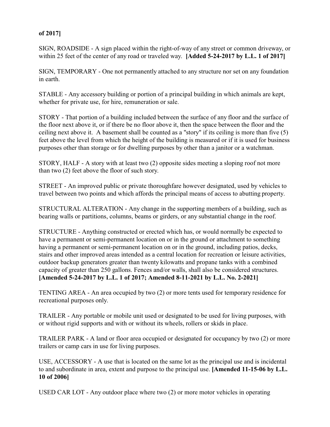## **of 2017]**

SIGN, ROADSIDE - A sign placed within the right-of-way of any street or common driveway, or within 25 feet of the center of any road or traveled way. **[Added 5-24-2017 by L.L. 1 of 2017]** 

SIGN, TEMPORARY - One not permanently attached to any structure nor set on any foundation in earth.

STABLE - Any accessory building or portion of a principal building in which animals are kept, whether for private use, for hire, remuneration or sale.

STORY - That portion of a building included between the surface of any floor and the surface of the floor next above it, or if there be no floor above it, then the space between the floor and the ceiling next above it. A basement shall be counted as a "story" if its ceiling is more than five (5) feet above the level from which the height of the building is measured or if it is used for business purposes other than storage or for dwelling purposes by other than a janitor or a watchman.

STORY, HALF - A story with at least two (2) opposite sides meeting a sloping roof not more than two (2) feet above the floor of such story.

STREET - An improved public or private thoroughfare however designated, used by vehicles to travel between two points and which affords the principal means of access to abutting property.

STRUCTURAL ALTERATION - Any change in the supporting members of a building, such as bearing walls or partitions, columns, beams or girders, or any substantial change in the roof.

STRUCTURE - Anything constructed or erected which has, or would normally be expected to have a permanent or semi-permanent location on or in the ground or attachment to something having a permanent or semi-permanent location on or in the ground, including patios, decks, stairs and other improved areas intended as a central location for recreation or leisure activities, outdoor backup generators greater than twenty kilowatts and propane tanks with a combined capacity of greater than 250 gallons. Fences and/or walls, shall also be considered structures. **[Amended 5-24-2017 by L.L. 1 of 2017; Amended 8-11-2021 by L.L. No. 2-2021]**

TENTING AREA - An area occupied by two (2) or more tents used for temporary residence for recreational purposes only.

TRAILER - Any portable or mobile unit used or designated to be used for living purposes, with or without rigid supports and with or without its wheels, rollers or skids in place.

TRAILER PARK - A land or floor area occupied or designated for occupancy by two (2) or more trailers or camp cars in use for living purposes.

USE, ACCESSORY - A use that is located on the same lot as the principal use and is incidental to and subordinate in area, extent and purpose to the principal use. **[Amended 11-15-06 by L.L. 10 of 2006]** 

USED CAR LOT - Any outdoor place where two (2) or more motor vehicles in operating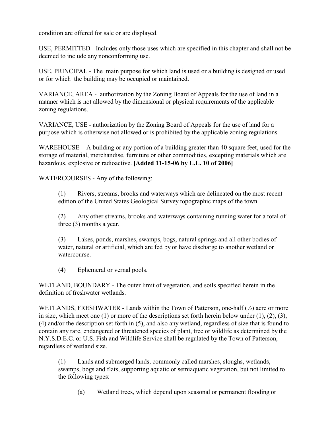condition are offered for sale or are displayed.

USE, PERMITTED - Includes only those uses which are specified in this chapter and shall not be deemed to include any nonconforming use.

USE, PRINCIPAL - The main purpose for which land is used or a building is designed or used or for which the building may be occupied or maintained.

VARIANCE, AREA - authorization by the Zoning Board of Appeals for the use of land in a manner which is not allowed by the dimensional or physical requirements of the applicable zoning regulations.

VARIANCE, USE - authorization by the Zoning Board of Appeals for the use of land for a purpose which is otherwise not allowed or is prohibited by the applicable zoning regulations.

WAREHOUSE - A building or any portion of a building greater than 40 square feet, used for the storage of material, merchandise, furniture or other commodities, excepting materials which are hazardous, explosive or radioactive. **[Added 11-15-06 by L.L. 10 of 2006]** 

WATERCOURSES - Any of the following:

(1) Rivers, streams, brooks and waterways which are delineated on the most recent edition of the United States Geological Survey topographic maps of the town.

(2) Any other streams, brooks and waterways containing running water for a total of three (3) months a year.

(3) Lakes, ponds, marshes, swamps, bogs, natural springs and all other bodies of water, natural or artificial, which are fed by or have discharge to another wetland or watercourse.

(4) Ephemeral or vernal pools.

WETLAND, BOUNDARY - The outer limit of vegetation, and soils specified herein in the definition of freshwater wetlands.

WETLANDS, FRESHWATER - Lands within the Town of Patterson, one-half  $(\frac{1}{2})$  acre or more in size, which meet one  $(1)$  or more of the descriptions set forth herein below under  $(1)$ ,  $(2)$ ,  $(3)$ , (4) and/or the description set forth in (5), and also any wetland, regardless of size that is found to contain any rare, endangered or threatened species of plant, tree or wildlife as determined by the N.Y.S.D.E.C. or U.S. Fish and Wildlife Service shall be regulated by the Town of Patterson, regardless of wetland size.

(1) Lands and submerged lands, commonly called marshes, sloughs, wetlands, swamps, bogs and flats, supporting aquatic or semiaquatic vegetation, but not limited to the following types:

(a) Wetland trees, which depend upon seasonal or permanent flooding or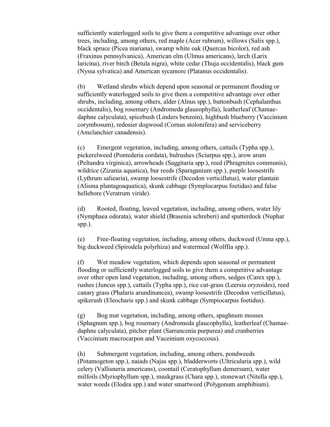sufficiently waterlogged soils to give them a competitive advantage over other trees, including, among others, red maple (Acer rubrum), willows (Salix spp.), black spruce (Picea mariana), swamp white oak (Quercus bicolor), red ash (Fraxinus pennsylvanica), American elm (Ulmus americans), larch (Larix laricina), river birch (Betula nigra), white cedar (Thuja occidentalis), black gum (Nyssa sylvatica) and American sycamore (Platanus occidentalis).

(b) Wetland shrubs which depend upon seasonal or permanent flooding or sufficiently waterlogged soils to give them a competitive advantage over other shrubs, including, among others, alder (Alnus spp.), buttonbush (Cephalanthus occidentalis), bog rosemary (Andromeda glaueophylla), leatherleaf (Chamaedaphne calyculata), spicebush (Linders benzoin), highbush blueberry (Vaccinium corymbosum), redosier dogwood (Cornus stolonifera) and serviceberry (Amclanchier canadensis).

(c) Emergent vegetation, including, among others, cattails (Typha spp.), pickerelweed (Pontederia cordata), bulrushes (Sciurpus spp.), arow arum (Peltandra virginica), arrowheads (Saggitaria spp.), reed (Phragmites communis), wildrice (Zizania aquatica), bur reeds (Sparaganium spp.), purple loosestrife (Lythrum saliearia), swamp loosestrife (Decodon verticillatus), water plantain (Alisma plantagoaquatica), skunk cabbage (Symplocarpus foetidas) and false hellebore (Veratrum viride).

(d) Rooted, floating, leaved vegetation, including, among others, water lily (Nymphaea odorata), water shield (Brasenia schreberi) and spatterdock (Nuphar spp.).

(e) Free-floating vegetation, including, among others, duckweed (Umna spp.), big duckweed (Spirodela polyrhiza) and watermeal (Wolffia spp.).

(f) Wet meadow vegetation, which depends upon seasonal or permanent flooding or sufficiently waterlogged soils to give them a competitive advantage over other open land vegetation, including, among others, sedges (Carex spp.), rushes (Juncus spp.), cattails (Typha spp.), rice cut-grass (Leersia oryzoides), reed canary grass (Phalaris arundinancea), swamp loosestrife (Decodon verticillatus), spikerush (Eleocharis spp.) and skunk cabbage (Sympiocarpus foetidus).

(g) Bog mat vegetation, including, among others, spaghnum mosses (Sphagnum spp.), bog rosemary (Andromeda glaucophylla), leatherleaf (Chamaedaphne calyculata), pitcher plant (Sarrancenia purpurea) and cranberries (Vaccinium macrocarpon and Vaceinium oxycoccous).

(h) Submergent vegetation, including, among others, pondweeds (Potamogeton spp.), naiads (Najas spp.), bladderworts (Ultricularia spp.), wild celery (Vallisneria americans), coontail (Ceratophyllum demersum), water milfoils (Myriophyllum spp.), muskgrass (Chara spp.), stonewart (Nitella spp.), water weeds (Elodea spp.) and water smartweed (Polygonum amphibium).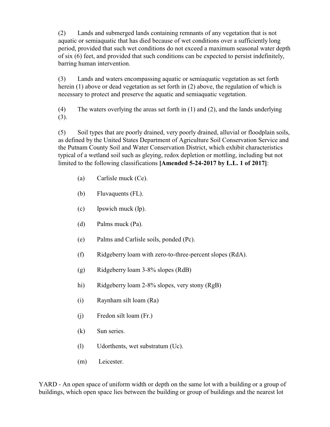(2) Lands and submerged lands containing remnants of any vegetation that is not aquatic or semiaquatic that has died because of wet conditions over a sufficiently long period, provided that such wet conditions do not exceed a maximum seasonal water depth of six (6) feet, and provided that such conditions can be expected to persist indefinitely, barring human intervention.

(3) Lands and waters encompassing aquatic or semiaquatic vegetation as set forth herein (1) above or dead vegetation as set forth in (2) above, the regulation of which is necessary to protect and preserve the aquatic and semiaquatic vegetation.

(4) The waters overlying the areas set forth in (1) and (2), and the lands underlying (3).

(5) Soil types that are poorly drained, very poorly drained, alluvial or floodplain soils, as defined by the United States Department of Agriculture Soil Conservation Service and the Putnam County Soil and Water Conservation District, which exhibit characteristics typical of a wetland soil such as gleying, redox depletion or mottling, including but not limited to the following classifications **[Amended 5-24-2017 by L.L. 1 of 2017]**:

- (a) Carlisle muck (Ce).
- (b) Fluvaquents (FL).
- (c) Ipswich muck (Ip).
- (d) Palms muck (Pa).
- (e) Palms and Carlisle soils, ponded (Pc).
- (f) Ridgeberry loam with zero-to-three-percent slopes (RdA).
- (g) Ridgeberry loam 3-8% slopes (RdB)
- hi) Ridgeberry loam 2-8% slopes, very stony (RgB)
- (i) Raynham silt loam (Ra)
- (j) Fredon silt loam (Fr.)
- (k) Sun series.
- (l) Udorthents, wet substratum (Uc).
- (m) Leicester.

YARD - An open space of uniform width or depth on the same lot with a building or a group of buildings, which open space lies between the building or group of buildings and the nearest lot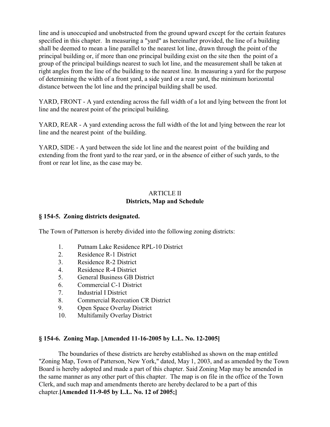line and is unoccupied and unobstructed from the ground upward except for the certain features specified in this chapter. In measuring a "yard" as hereinafter provided, the line of a building shall be deemed to mean a line parallel to the nearest lot line, drawn through the point of the principal building or, if more than one principal building exist on the site then the point of a group of the principal buildings nearest to such lot line, and the measurement shall be taken at right angles from the line of the building to the nearest line. In measuring a yard for the purpose of determining the width of a front yard, a side yard or a rear yard, the minimum horizontal distance between the lot line and the principal building shall be used.

YARD, FRONT - A yard extending across the full width of a lot and lying between the front lot line and the nearest point of the principal building.

YARD, REAR - A yard extending across the full width of the lot and lying between the rear lot line and the nearest point of the building.

YARD, SIDE - A yard between the side lot line and the nearest point of the building and extending from the front yard to the rear yard, or in the absence of either of such yards, to the front or rear lot line, as the case may be.

## ARTICLE II **Districts, Map and Schedule**

## **§ 154-5. Zoning districts designated.**

The Town of Patterson is hereby divided into the following zoning districts:

- 1. Putnam Lake Residence RPL-10 District
- 2. Residence R-1 District
- 3. Residence R-2 District
- 4. Residence R-4 District
- 5. General Business GB District
- 6. Commercial C-1 District
- 7. Industrial I District
- 8. Commercial Recreation CR District
- 9. Open Space Overlay District
- 10. Multifamily Overlay District

## **§ 154-6. Zoning Map. [Amended 11-16-2005 by L.L. No. 12-2005]**

The boundaries of these districts are hereby established as shown on the map entitled "Zoning Map, Town of Patterson, New York," dated, May 1, 2003, and as amended by the Town Board is hereby adopted and made a part of this chapter. Said Zoning Map may be amended in the same manner as any other part of this chapter. The map is on file in the office of the Town Clerk, and such map and amendments thereto are hereby declared to be a part of this chapter.**[Amended 11-9-05 by L.L. No. 12 of 2005;]**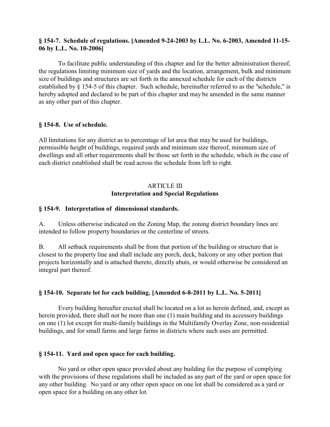## **§ 154-7. Schedule of regulations. [Amended 9-24-2003 by L.L. No. 6-2003, Amended 11-15- 06 by L.L. No. 10-2006]**

To facilitate public understanding of this chapter and for the better administration thereof, the regulations limiting minimum size of yards and the location, arrangement, bulk and minimum size of buildings and structures are set forth in the annexed schedule for each of the districts established by § 154-5 of this chapter. Such schedule, hereinafter referred to as the "schedule," is hereby adopted and declared to be part of this chapter and may be amended in the same manner as any other part of this chapter.

### **§ 154-8. Use of schedule.**

All limitations for any district as to percentage of lot area that may be used for buildings, permissible height of buildings, required yards and minimum size thereof, minimum size of dwellings and all other requirements shall be those set forth in the schedule, which in the case of each district established shall be read across the schedule from left to right.

# ARTICLE III **Interpretation and Special Regulations**

### **§ 154-9. Interpretation of dimensional standards.**

A. Unless otherwise indicated on the Zoning Map, the zoning district boundary lines are intended to follow property boundaries or the centerline of streets.

B. All setback requirements shall be from that portion of the building or structure that is closest to the property line and shall include any porch, deck, balcony or any other portion that projects horizontally and is attached thereto, directly abuts, or would otherwise be considered an integral part thereof.

## **§ 154-10. Separate lot for each building. [Amended 6-8-2011 by L.L. No. 5-2011]**

Every building hereafter erected shall be located on a lot as herein defined, and, except as herein provided, there shall not be more than one (1) main building and its accessory buildings on one (1) lot except for multi-family buildings in the Multifamily Overlay Zone, non-residential buildings, and for small farms and large farms in districts where such uses are permitted.

## **§ 154-11. Yard and open space for each building.**

No yard or other open space provided about any building for the purpose of complying with the provisions of these regulations shall be included as any part of the yard or open space for any other building. No yard or any other open space on one lot shall be considered as a yard or open space for a building on any other lot.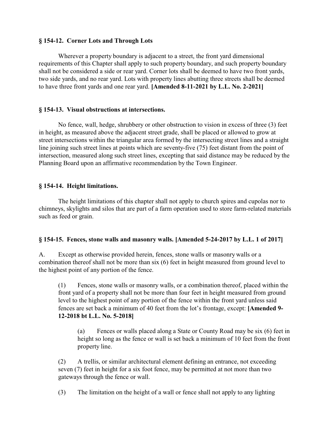### **§ 154-12. Corner Lots and Through Lots**

Wherever a property boundary is adjacent to a street, the front yard dimensional requirements of this Chapter shall apply to such property boundary, and such property boundary shall not be considered a side or rear yard. Corner lots shall be deemed to have two front yards, two side yards, and no rear yard. Lots with property lines abutting three streets shall be deemed to have three front yards and one rear yard. **[Amended 8-11-2021 by L.L. No. 2-2021]**

### **§ 154-13. Visual obstructions at intersections.**

No fence, wall, hedge, shrubbery or other obstruction to vision in excess of three (3) feet in height, as measured above the adjacent street grade, shall be placed or allowed to grow at street intersections within the triangular area formed by the intersecting street lines and a straight line joining such street lines at points which are seventy-five (75) feet distant from the point of intersection, measured along such street lines, excepting that said distance may be reduced by the Planning Board upon an affirmative recommendation by the Town Engineer.

### **§ 154-14. Height limitations.**

The height limitations of this chapter shall not apply to church spires and cupolas nor to chimneys, skylights and silos that are part of a farm operation used to store farm-related materials such as feed or grain.

## **§ 154-15. Fences, stone walls and masonry walls. [Amended 5-24-2017 by L.L. 1 of 2017]**

A. Except as otherwise provided herein, fences, stone walls or masonry walls or a combination thereof shall not be more than six (6) feet in height measured from ground level to the highest point of any portion of the fence.

(1) Fences, stone walls or masonry walls, or a combination thereof, placed within the front yard of a property shall not be more than four feet in height measured from ground level to the highest point of any portion of the fence within the front yard unless said fences are set back a minimum of 40 feet from the lot's frontage, except: **[Amended 9- 12-2018 bt L.L. No. 5-2018]**

(a) Fences or walls placed along a State or County Road may be six (6) feet in height so long as the fence or wall is set back a minimum of 10 feet from the front property line.

(2) A trellis, or similar architectural element defining an entrance, not exceeding seven (7) feet in height for a six foot fence, may be permitted at not more than two gateways through the fence or wall.

(3) The limitation on the height of a wall or fence shall not apply to any lighting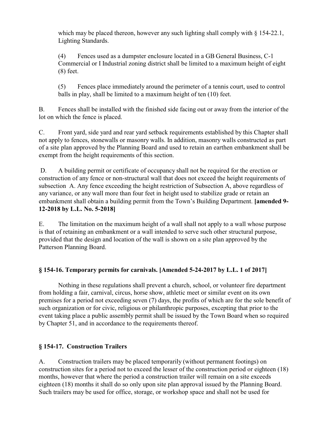which may be placed thereon, however any such lighting shall comply with  $\S 154-22.1$ , Lighting Standards.

(4) Fences used as a dumpster enclosure located in a GB General Business, C-1 Commercial or I Industrial zoning district shall be limited to a maximum height of eight (8) feet.

(5) Fences place immediately around the perimeter of a tennis court, used to control balls in play, shall be limited to a maximum height of ten (10) feet.

B. Fences shall be installed with the finished side facing out or away from the interior of the lot on which the fence is placed.

C. Front yard, side yard and rear yard setback requirements established by this Chapter shall not apply to fences, stonewalls or masonry walls. In addition, masonry walls constructed as part of a site plan approved by the Planning Board and used to retain an earthen embankment shall be exempt from the height requirements of this section.

 D. A building permit or certificate of occupancy shall not be required for the erection or construction of any fence or non-structural wall that does not exceed the height requirements of subsection A. Any fence exceeding the height restriction of Subsection A, above regardless of any variance, or any wall more than four feet in height used to stabilize grade or retain an embankment shall obtain a building permit from the Town's Building Department. **[amended 9- 12-2018 by L.L. No. 5-2018]**

E. The limitation on the maximum height of a wall shall not apply to a wall whose purpose is that of retaining an embankment or a wall intended to serve such other structural purpose, provided that the design and location of the wall is shown on a site plan approved by the Patterson Planning Board.

# **§ 154-16. Temporary permits for carnivals. [Amended 5-24-2017 by L.L. 1 of 2017]**

Nothing in these regulations shall prevent a church, school, or volunteer fire department from holding a fair, carnival, circus, horse show, athletic meet or similar event on its own premises for a period not exceeding seven (7) days, the profits of which are for the sole benefit of such organization or for civic, religious or philanthropic purposes, excepting that prior to the event taking place a public assembly permit shall be issued by the Town Board when so required by Chapter 51, and in accordance to the requirements thereof.

# **§ 154-17. Construction Trailers**

A. Construction trailers may be placed temporarily (without permanent footings) on construction sites for a period not to exceed the lesser of the construction period or eighteen (18) months, however that where the period a construction trailer will remain on a site exceeds eighteen (18) months it shall do so only upon site plan approval issued by the Planning Board. Such trailers may be used for office, storage, or workshop space and shall not be used for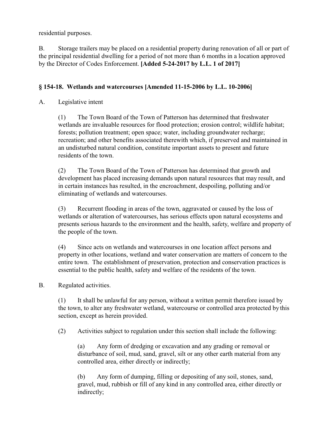residential purposes.

B. Storage trailers may be placed on a residential property during renovation of all or part of the principal residential dwelling for a period of not more than 6 months in a location approved by the Director of Codes Enforcement. **[Added 5-24-2017 by L.L. 1 of 2017]** 

# **§ 154-18. Wetlands and watercourses [Amended 11-15-2006 by L.L. 10-2006]**

## A. Legislative intent

(1) The Town Board of the Town of Patterson has determined that freshwater wetlands are invaluable resources for flood protection; erosion control; wildlife habitat; forests; pollution treatment; open space; water, including groundwater recharge; recreation; and other benefits associated therewith which, if preserved and maintained in an undisturbed natural condition, constitute important assets to present and future residents of the town.

(2) The Town Board of the Town of Patterson has determined that growth and development has placed increasing demands upon natural resources that may result, and in certain instances has resulted, in the encroachment, despoiling, polluting and/or eliminating of wetlands and watercourses.

(3) Recurrent flooding in areas of the town, aggravated or caused by the loss of wetlands or alteration of watercourses, has serious effects upon natural ecosystems and presents serious hazards to the environment and the health, safety, welfare and property of the people of the town.

(4) Since acts on wetlands and watercourses in one location affect persons and property in other locations, wetland and water conservation are matters of concern to the entire town. The establishment of preservation, protection and conservation practices is essential to the public health, safety and welfare of the residents of the town.

## B. Regulated activities.

(1) It shall be unlawful for any person, without a written permit therefore issued by the town, to alter any freshwater wetland, watercourse or controlled area protected by this section, except as herein provided.

(2) Activities subject to regulation under this section shall include the following:

(a) Any form of dredging or excavation and any grading or removal or disturbance of soil, mud, sand, gravel, silt or any other earth material from any controlled area, either directly or indirectly;

(b) Any form of dumping, filling or depositing of any soil, stones, sand, gravel, mud, rubbish or fill of any kind in any controlled area, either directly or indirectly;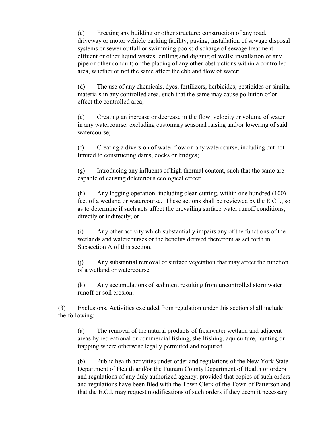(c) Erecting any building or other structure; construction of any road, driveway or motor vehicle parking facility; paving; installation of sewage disposal systems or sewer outfall or swimming pools; discharge of sewage treatment effluent or other liquid wastes; drilling and digging of wells; installation of any pipe or other conduit; or the placing of any other obstructions within a controlled area, whether or not the same affect the ebb and flow of water;

(d) The use of any chemicals, dyes, fertilizers, herbicides, pesticides or similar materials in any controlled area, such that the same may cause pollution of or effect the controlled area;

(e) Creating an increase or decrease in the flow, velocity or volume of water in any watercourse, excluding customary seasonal raising and/or lowering of said watercourse;

(f) Creating a diversion of water flow on any watercourse, including but not limited to constructing dams, docks or bridges;

(g) Introducing any influents of high thermal content, such that the same are capable of causing deleterious ecological effect;

(h) Any logging operation, including clear-cutting, within one hundred (100) feet of a wetland or watercourse. These actions shall be reviewed by the E.C.I., so as to determine if such acts affect the prevailing surface water runoff conditions, directly or indirectly; or

(i) Any other activity which substantially impairs any of the functions of the wetlands and watercourses or the benefits derived therefrom as set forth in Subsection A of this section.

(j) Any substantial removal of surface vegetation that may affect the function of a wetland or watercourse.

(k) Any accumulations of sediment resulting from uncontrolled stormwater runoff or soil erosion.

(3) Exclusions. Activities excluded from regulation under this section shall include the following:

(a) The removal of the natural products of freshwater wetland and adjacent areas by recreational or commercial fishing, shellfishing, aquiculture, hunting or trapping where otherwise legally permitted and required.

(b) Public health activities under order and regulations of the New York State Department of Health and/or the Putnam County Department of Health or orders and regulations of any duly authorized agency, provided that copies of such orders and regulations have been filed with the Town Clerk of the Town of Patterson and that the E.C.I. may request modifications of such orders if they deem it necessary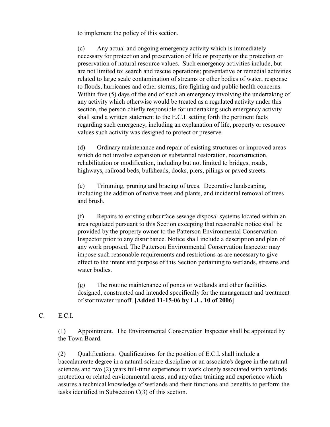to implement the policy of this section.

(c) Any actual and ongoing emergency activity which is immediately necessary for protection and preservation of life or property or the protection or preservation of natural resource values. Such emergency activities include, but are not limited to: search and rescue operations; preventative or remedial activities related to large scale contamination of streams or other bodies of water; response to floods, hurricanes and other storms; fire fighting and public health concerns. Within five (5) days of the end of such an emergency involving the undertaking of any activity which otherwise would be treated as a regulated activity under this section, the person chiefly responsible for undertaking such emergency activity shall send a written statement to the E.C.I. setting forth the pertinent facts regarding such emergency, including an explanation of life, property or resource values such activity was designed to protect or preserve.

(d) Ordinary maintenance and repair of existing structures or improved areas which do not involve expansion or substantial restoration, reconstruction, rehabilitation or modification, including but not limited to bridges, roads, highways, railroad beds, bulkheads, docks, piers, pilings or paved streets.

(e) Trimming, pruning and bracing of trees. Decorative landscaping, including the addition of native trees and plants, and incidental removal of trees and brush.

(f) Repairs to existing subsurface sewage disposal systems located within an area regulated pursuant to this Section excepting that reasonable notice shall be provided by the property owner to the Patterson Environmental Conservation Inspector prior to any disturbance. Notice shall include a description and plan of any work proposed. The Patterson Environmental Conservation Inspector may impose such reasonable requirements and restrictions as are necessary to give effect to the intent and purpose of this Section pertaining to wetlands, streams and water bodies.

(g) The routine maintenance of ponds or wetlands and other facilities designed, constructed and intended specifically for the management and treatment of stormwater runoff. **[Added 11-15-06 by L.L. 10 of 2006]** 

C. E.C.I.

(1) Appointment. The Environmental Conservation Inspector shall be appointed by the Town Board.

(2) Qualifications. Qualifications for the position of E.C.I. shall include a baccalaureate degree in a natural science discipline or an associate's degree in the natural sciences and two (2) years full-time experience in work closely associated with wetlands protection or related environmental areas, and any other training and experience which assures a technical knowledge of wetlands and their functions and benefits to perform the tasks identified in Subsection C(3) of this section.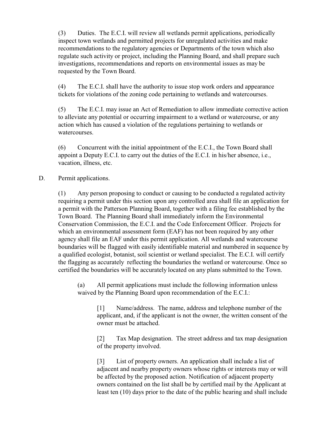(3) Duties. The E.C.I. will review all wetlands permit applications, periodically inspect town wetlands and permitted projects for unregulated activities and make recommendations to the regulatory agencies or Departments of the town which also regulate such activity or project, including the Planning Board, and shall prepare such investigations, recommendations and reports on environmental issues as may be requested by the Town Board.

(4) The E.C.I. shall have the authority to issue stop work orders and appearance tickets for violations of the zoning code pertaining to wetlands and watercourses.

(5) The E.C.I. may issue an Act of Remediation to allow immediate corrective action to alleviate any potential or occurring impairment to a wetland or watercourse, or any action which has caused a violation of the regulations pertaining to wetlands or watercourses.

(6) Concurrent with the initial appointment of the E.C.I., the Town Board shall appoint a Deputy E.C.I. to carry out the duties of the E.C.I. in his/her absence, i.e., vacation, illness, etc.

#### D. Permit applications.

(1) Any person proposing to conduct or causing to be conducted a regulated activity requiring a permit under this section upon any controlled area shall file an application for a permit with the Patterson Planning Board, together with a filing fee established by the Town Board. The Planning Board shall immediately inform the Environmental Conservation Commission, the E.C.I. and the Code Enforcement Officer. Projects for which an environmental assessment form (EAF) has not been required by any other agency shall file an EAF under this permit application. All wetlands and watercourse boundaries will be flagged with easily identifiable material and numbered in sequence by a qualified ecologist, botanist, soil scientist or wetland specialist. The E.C.I. will certify the flagging as accurately reflecting the boundaries the wetland or watercourse. Once so certified the boundaries will be accurately located on any plans submitted to the Town.

(a) All permit applications must include the following information unless waived by the Planning Board upon recommendation of the E.C.I.:

[1] Name/address. The name, address and telephone number of the applicant, and, if the applicant is not the owner, the written consent of the owner must be attached.

[2] Tax Map designation. The street address and tax map designation of the property involved.

[3] List of property owners. An application shall include a list of adjacent and nearby property owners whose rights or interests may or will be affected by the proposed action. Notification of adjacent property owners contained on the list shall be by certified mail by the Applicant at least ten (10) days prior to the date of the public hearing and shall include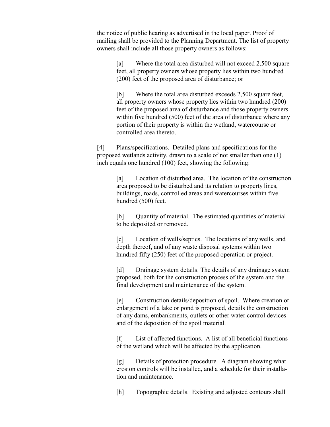the notice of public hearing as advertised in the local paper. Proof of mailing shall be provided to the Planning Department. The list of property owners shall include all those property owners as follows:

[a] Where the total area disturbed will not exceed 2,500 square feet, all property owners whose property lies within two hundred (200) feet of the proposed area of disturbance; or

[b] Where the total area disturbed exceeds 2,500 square feet, all property owners whose property lies within two hundred (200) feet of the proposed area of disturbance and those property owners within five hundred (500) feet of the area of disturbance where any portion of their property is within the wetland, watercourse or controlled area thereto.

[4] Plans/specifications. Detailed plans and specifications for the proposed wetlands activity, drawn to a scale of not smaller than one (1) inch equals one hundred (100) feet, showing the following:

> [a] Location of disturbed area. The location of the construction area proposed to be disturbed and its relation to property lines, buildings, roads, controlled areas and watercourses within five hundred (500) feet.

[b] Quantity of material. The estimated quantities of material to be deposited or removed.

[c] Location of wells/septics. The locations of any wells, and depth thereof, and of any waste disposal systems within two hundred fifty (250) feet of the proposed operation or project.

[d] Drainage system details. The details of any drainage system proposed, both for the construction process of the system and the final development and maintenance of the system.

[e] Construction details/deposition of spoil. Where creation or enlargement of a lake or pond is proposed, details the construction of any dams, embankments, outlets or other water control devices and of the deposition of the spoil material.

[f] List of affected functions. A list of all beneficial functions of the wetland which will be affected by the application.

[g] Details of protection procedure. A diagram showing what erosion controls will be installed, and a schedule for their installation and maintenance.

[h] Topographic details. Existing and adjusted contours shall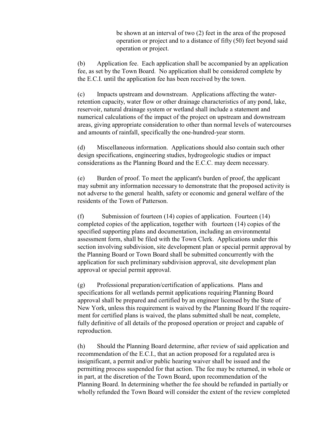be shown at an interval of two (2) feet in the area of the proposed operation or project and to a distance of fifty (50) feet beyond said operation or project.

(b) Application fee. Each application shall be accompanied by an application fee, as set by the Town Board. No application shall be considered complete by the E.C.I. until the application fee has been received by the town.

(c) Impacts upstream and downstream. Applications affecting the waterretention capacity, water flow or other drainage characteristics of any pond, lake, reservoir, natural drainage system or wetland shall include a statement and numerical calculations of the impact of the project on upstream and downstream areas, giving appropriate consideration to other than normal levels of watercourses and amounts of rainfall, specifically the one-hundred-year storm.

(d) Miscellaneous information. Applications should also contain such other design specifications, engineering studies, hydrogeologic studies or impact considerations as the Planning Board and the E.C.C. may deem necessary.

(e) Burden of proof. To meet the applicant's burden of proof, the applicant may submit any information necessary to demonstrate that the proposed activity is not adverse to the general health, safety or economic and general welfare of the residents of the Town of Patterson.

(f) Submission of fourteen (14) copies of application. Fourteen (14) completed copies of the application, together with fourteen (14) copies of the specified supporting plans and documentation, including an environmental assessment form, shall be filed with the Town Clerk. Applications under this section involving subdivision, site development plan or special permit approval by the Planning Board or Town Board shall be submitted concurrently with the application for such preliminary subdivision approval, site development plan approval or special permit approval.

(g) Professional preparation/certification of applications. Plans and specifications for all wetlands permit applications requiring Planning Board approval shall be prepared and certified by an engineer licensed by the State of New York, unless this requirement is waived by the Planning Board If the requirement for certified plans is waived, the plans submitted shall be neat, complete, fully definitive of all details of the proposed operation or project and capable of reproduction.

(h) Should the Planning Board determine, after review of said application and recommendation of the E.C.I., that an action proposed for a regulated area is insignificant, a permit and/or public hearing waiver shall be issued and the permitting process suspended for that action. The fee may be returned, in whole or in part, at the discretion of the Town Board, upon recommendation of the Planning Board. In determining whether the fee should be refunded in partially or wholly refunded the Town Board will consider the extent of the review completed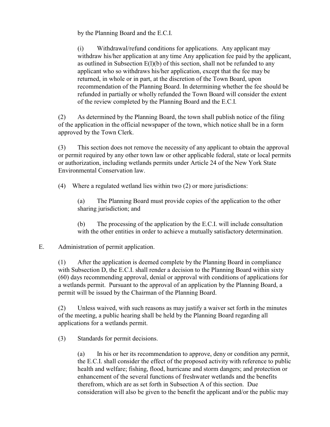by the Planning Board and the E.C.I.

(i) Withdrawal/refund conditions for applications. Any applicant may withdraw his/her application at any time Any application fee paid by the applicant, as outlined in Subsection E(l)(b) of this section, shall not be refunded to any applicant who so withdraws his/her application, except that the fee may be returned, in whole or in part, at the discretion of the Town Board, upon recommendation of the Planning Board. In determining whether the fee should be refunded in partially or wholly refunded the Town Board will consider the extent of the review completed by the Planning Board and the E.C.I.

(2) As determined by the Planning Board, the town shall publish notice of the filing of the application in the official newspaper of the town, which notice shall be in a form approved by the Town Clerk.

(3) This section does not remove the necessity of any applicant to obtain the approval or permit required by any other town law or other applicable federal, state or local permits or authorization, including wetlands permits under Article 24 of the New York State Environmental Conservation law.

(4) Where a regulated wetland lies within two (2) or more jurisdictions:

(a) The Planning Board must provide copies of the application to the other sharing jurisdiction; and

(b) The processing of the application by the E.C.I. will include consultation with the other entities in order to achieve a mutually satisfactory determination.

## E. Administration of permit application.

(1) After the application is deemed complete by the Planning Board in compliance with Subsection D, the E.C.I. shall render a decision to the Planning Board within sixty (60) days recommending approval, denial or approval with conditions of applications for a wetlands permit. Pursuant to the approval of an application by the Planning Board, a permit will be issued by the Chairman of the Planning Board.

(2) Unless waived, with such reasons as may justify a waiver set forth in the minutes of the meeting, a public hearing shall be held by the Planning Board regarding all applications for a wetlands permit.

(3) Standards for permit decisions.

(a) In his or her its recommendation to approve, deny or condition any permit, the E.C.I. shall consider the effect of the proposed activity with reference to public health and welfare; fishing, flood, hurricane and storm dangers; and protection or enhancement of the several functions of freshwater wetlands and the benefits therefrom, which are as set forth in Subsection A of this section. Due consideration will also be given to the benefit the applicant and/or the public may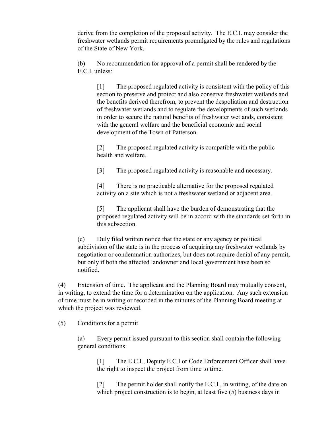derive from the completion of the proposed activity. The E.C.I. may consider the freshwater wetlands permit requirements promulgated by the rules and regulations of the State of New York.

(b) No recommendation for approval of a permit shall be rendered by the E.C.I. unless:

[1] The proposed regulated activity is consistent with the policy of this section to preserve and protect and also conserve freshwater wetlands and the benefits derived therefrom, to prevent the despoliation and destruction of freshwater wetlands and to regulate the developments of such wetlands in order to secure the natural benefits of freshwater wetlands, consistent with the general welfare and the beneficial economic and social development of the Town of Patterson.

[2] The proposed regulated activity is compatible with the public health and welfare.

[3] The proposed regulated activity is reasonable and necessary.

[4] There is no practicable alternative for the proposed regulated activity on a site which is not a freshwater wetland or adjacent area.

[5] The applicant shall have the burden of demonstrating that the proposed regulated activity will be in accord with the standards set forth in this subsection.

(c) Duly filed written notice that the state or any agency or political subdivision of the state is in the process of acquiring any freshwater wetlands by negotiation or condemnation authorizes, but does not require denial of any permit, but only if both the affected landowner and local government have been so notified.

(4) Extension of time. The applicant and the Planning Board may mutually consent, in writing, to extend the time for a determination on the application. Any such extension of time must be in writing or recorded in the minutes of the Planning Board meeting at which the project was reviewed.

(5) Conditions for a permit

(a) Every permit issued pursuant to this section shall contain the following general conditions:

[1] The E.C.I., Deputy E.C.I or Code Enforcement Officer shall have the right to inspect the project from time to time.

[2] The permit holder shall notify the E.C.I., in writing, of the date on which project construction is to begin, at least five (5) business days in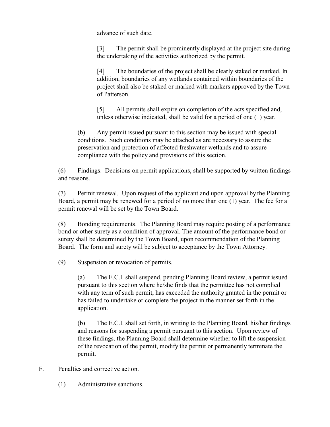advance of such date.

[3] The permit shall be prominently displayed at the project site during the undertaking of the activities authorized by the permit.

[4] The boundaries of the project shall be clearly staked or marked. In addition, boundaries of any wetlands contained within boundaries of the project shall also be staked or marked with markers approved by the Town of Patterson.

[5] All permits shall expire on completion of the acts specified and, unless otherwise indicated, shall be valid for a period of one (1) year.

(b) Any permit issued pursuant to this section may be issued with special conditions. Such conditions may be attached as are necessary to assure the preservation and protection of affected freshwater wetlands and to assure compliance with the policy and provisions of this section.

(6) Findings. Decisions on permit applications, shall be supported by written findings and reasons.

(7) Permit renewal. Upon request of the applicant and upon approval by the Planning Board, a permit may be renewed for a period of no more than one (1) year. The fee for a permit renewal will be set by the Town Board.

(8) Bonding requirements. The Planning Board may require posting of a performance bond or other surety as a condition of approval. The amount of the performance bond or surety shall be determined by the Town Board, upon recommendation of the Planning Board. The form and surety will be subject to acceptance by the Town Attorney.

(9) Suspension or revocation of permits.

(a) The E.C.I. shall suspend, pending Planning Board review, a permit issued pursuant to this section where he/she finds that the permittee has not complied with any term of such permit, has exceeded the authority granted in the permit or has failed to undertake or complete the project in the manner set forth in the application.

(b) The E.C.I. shall set forth, in writing to the Planning Board, his/her findings and reasons for suspending a permit pursuant to this section. Upon review of these findings, the Planning Board shall determine whether to lift the suspension of the revocation of the permit, modify the permit or permanently terminate the permit.

- F. Penalties and corrective action.
	- (1) Administrative sanctions.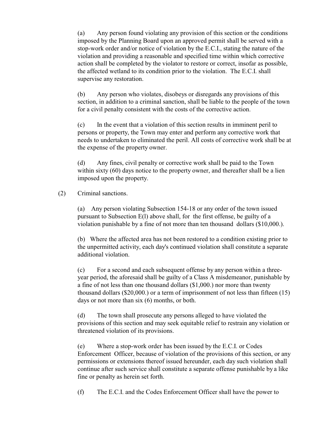(a) Any person found violating any provision of this section or the conditions imposed by the Planning Board upon an approved permit shall be served with a stop-work order and/or notice of violation by the E.C.I., stating the nature of the violation and providing a reasonable and specified time within which corrective action shall be completed by the violator to restore or correct, insofar as possible, the affected wetland to its condition prior to the violation. The E.C.I. shall supervise any restoration.

(b) Any person who violates, disobeys or disregards any provisions of this section, in addition to a criminal sanction, shall be liable to the people of the town for a civil penalty consistent with the costs of the corrective action.

(c) In the event that a violation of this section results in imminent peril to persons or property, the Town may enter and perform any corrective work that needs to undertaken to eliminated the peril. All costs of corrective work shall be at the expense of the property owner.

(d) Any fines, civil penalty or corrective work shall be paid to the Town within sixty (60) days notice to the property owner, and thereafter shall be a lien imposed upon the property.

## (2) Criminal sanctions.

(a) Any person violating Subsection 154-18 or any order of the town issued pursuant to Subsection E(l) above shall, for the first offense, be guilty of a violation punishable by a fine of not more than ten thousand dollars (\$10,000.).

(b) Where the affected area has not been restored to a condition existing prior to the unpermitted activity, each day's continued violation shall constitute a separate additional violation.

(c) For a second and each subsequent offense by any person within a threeyear period, the aforesaid shall be guilty of a Class A misdemeanor, punishable by a fine of not less than one thousand dollars (\$1,000.) nor more than twenty thousand dollars (\$20,000.) or a term of imprisonment of not less than fifteen (15) days or not more than six (6) months, or both.

(d) The town shall prosecute any persons alleged to have violated the provisions of this section and may seek equitable relief to restrain any violation or threatened violation of its provisions.

(e) Where a stop-work order has been issued by the E.C.I. or Codes Enforcement Officer, because of violation of the provisions of this section, or any permissions or extensions thereof issued hereunder, each day such violation shall continue after such service shall constitute a separate offense punishable by a like fine or penalty as herein set forth.

(f) The E.C.I. and the Codes Enforcement Officer shall have the power to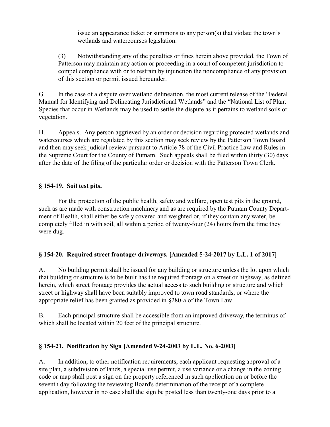issue an appearance ticket or summons to any person(s) that violate the town's wetlands and watercourses legislation.

(3) Notwithstanding any of the penalties or fines herein above provided, the Town of Patterson may maintain any action or proceeding in a court of competent jurisdiction to compel compliance with or to restrain by injunction the noncompliance of any provision of this section or permit issued hereunder.

G. In the case of a dispute over wetland delineation, the most current release of the "Federal Manual for Identifying and Delineating Jurisdictional Wetlands" and the "National List of Plant Species that occur in Wetlands may be used to settle the dispute as it pertains to wetland soils or vegetation.

H. Appeals. Any person aggrieved by an order or decision regarding protected wetlands and watercourses which are regulated by this section may seek review by the Patterson Town Board and then may seek judicial review pursuant to Article 78 of the Civil Practice Law and Rules in the Supreme Court for the County of Putnam. Such appeals shall be filed within thirty (30) days after the date of the filing of the particular order or decision with the Patterson Town Clerk.

## **§ 154-19. Soil test pits.**

For the protection of the public health, safety and welfare, open test pits in the ground, such as are made with construction machinery and as are required by the Putnam County Department of Health, shall either be safely covered and weighted or, if they contain any water, be completely filled in with soil, all within a period of twenty-four (24) hours from the time they were dug.

# **§ 154-20. Required street frontage/ driveways. [Amended 5-24-2017 by L.L. 1 of 2017]**

A. No building permit shall be issued for any building or structure unless the lot upon which that building or structure is to be built has the required frontage on a street or highway, as defined herein, which street frontage provides the actual access to such building or structure and which street or highway shall have been suitably improved to town road standards, or where the appropriate relief has been granted as provided in §280-a of the Town Law.

B. Each principal structure shall be accessible from an improved driveway, the terminus of which shall be located within 20 feet of the principal structure.

## **§ 154-21. Notification by Sign [Amended 9-24-2003 by L.L. No. 6-2003]**

A. In addition, to other notification requirements, each applicant requesting approval of a site plan, a subdivision of lands, a special use permit, a use variance or a change in the zoning code or map shall post a sign on the property referenced in such application on or before the seventh day following the reviewing Board's determination of the receipt of a complete application, however in no case shall the sign be posted less than twenty-one days prior to a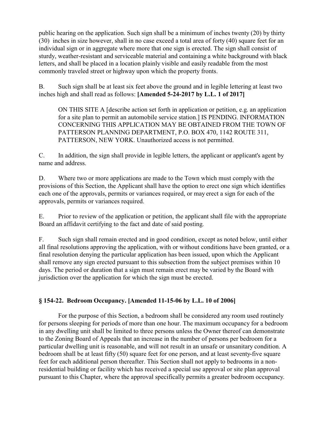public hearing on the application. Such sign shall be a minimum of inches twenty (20) by thirty (30) inches in size however, shall in no case exceed a total area of forty (40) square feet for an individual sign or in aggregate where more that one sign is erected. The sign shall consist of sturdy, weather-resistant and serviceable material and containing a white background with black letters, and shall be placed in a location plainly visible and easily readable from the most commonly traveled street or highway upon which the property fronts.

B. Such sign shall be at least six feet above the ground and in legible lettering at least two inches high and shall read as follows: **[Amended 5-24-2017 by L.L. 1 of 2017]**

ON THIS SITE A [describe action set forth in application or petition, e.g. an application for a site plan to permit an automobile service station.] IS PENDING. INFORMATION CONCERNING THIS APPLICATION MAY BE OBTAINED FROM THE TOWN OF PATTERSON PLANNING DEPARTMENT, P.O. BOX 470, 1142 ROUTE 311, PATTERSON, NEW YORK. Unauthorized access is not permitted.

C. In addition, the sign shall provide in legible letters, the applicant or applicant's agent by name and address.

D. Where two or more applications are made to the Town which must comply with the provisions of this Section, the Applicant shall have the option to erect one sign which identifies each one of the approvals, permits or variances required, or may erect a sign for each of the approvals, permits or variances required.

E. Prior to review of the application or petition, the applicant shall file with the appropriate Board an affidavit certifying to the fact and date of said posting.

F. Such sign shall remain erected and in good condition, except as noted below, until either all final resolutions approving the application, with or without conditions have been granted, or a final resolution denying the particular application has been issued, upon which the Applicant shall remove any sign erected pursuant to this subsection from the subject premises within 10 days. The period or duration that a sign must remain erect may be varied by the Board with jurisdiction over the application for which the sign must be erected.

## **§ 154-22. Bedroom Occupancy. [Amended 11-15-06 by L.L. 10 of 2006]**

For the purpose of this Section, a bedroom shall be considered any room used routinely for persons sleeping for periods of more than one hour. The maximum occupancy for a bedroom in any dwelling unit shall be limited to three persons unless the Owner thereof can demonstrate to the Zoning Board of Appeals that an increase in the number of persons per bedroom for a particular dwelling unit is reasonable, and will not result in an unsafe or unsanitary condition. A bedroom shall be at least fifty (50) square feet for one person, and at least seventy-five square feet for each additional person thereafter. This Section shall not apply to bedrooms in a nonresidential building or facility which has received a special use approval or site plan approval pursuant to this Chapter, where the approval specifically permits a greater bedroom occupancy.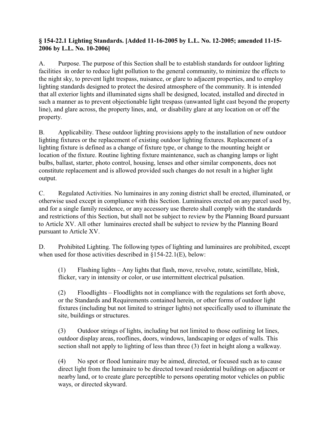## **§ 154-22.1 Lighting Standards. [Added 11-16-2005 by L.L. No. 12-2005; amended 11-15- 2006 by L.L. No. 10-2006]**

A. Purpose. The purpose of this Section shall be to establish standards for outdoor lighting facilities in order to reduce light pollution to the general community, to minimize the effects to the night sky, to prevent light trespass, nuisance, or glare to adjacent properties, and to employ lighting standards designed to protect the desired atmosphere of the community. It is intended that all exterior lights and illuminated signs shall be designed, located, installed and directed in such a manner as to prevent objectionable light trespass (unwanted light cast beyond the property line), and glare across, the property lines, and, or disability glare at any location on or off the property.

B. Applicability. These outdoor lighting provisions apply to the installation of new outdoor lighting fixtures or the replacement of existing outdoor lighting fixtures. Replacement of a lighting fixture is defined as a change of fixture type, or change to the mounting height or location of the fixture. Routine lighting fixture maintenance, such as changing lamps or light bulbs, ballast, starter, photo control, housing, lenses and other similar components, does not constitute replacement and is allowed provided such changes do not result in a higher light output.

C. Regulated Activities. No luminaires in any zoning district shall be erected, illuminated, or otherwise used except in compliance with this Section. Luminaires erected on any parcel used by, and for a single family residence, or any accessory use thereto shall comply with the standards and restrictions of this Section, but shall not be subject to review by the Planning Board pursuant to Article XV. All other luminaires erected shall be subject to review by the Planning Board pursuant to Article XV.

D. Prohibited Lighting. The following types of lighting and luminaires are prohibited, except when used for those activities described in §154-22.1(E), below:

(1) Flashing lights – Any lights that flash, move, revolve, rotate, scintillate, blink, flicker, vary in intensity or color, or use intermittent electrical pulsation.

(2) Floodlights – Floodlights not in compliance with the regulations set forth above, or the Standards and Requirements contained herein, or other forms of outdoor light fixtures (including but not limited to stringer lights) not specifically used to illuminate the site, buildings or structures.

(3) Outdoor strings of lights, including but not limited to those outlining lot lines, outdoor display areas, rooflines, doors, windows, landscaping or edges of walls. This section shall not apply to lighting of less than three (3) feet in height along a walkway.

(4) No spot or flood luminaire may be aimed, directed, or focused such as to cause direct light from the luminaire to be directed toward residential buildings on adjacent or nearby land, or to create glare perceptible to persons operating motor vehicles on public ways, or directed skyward.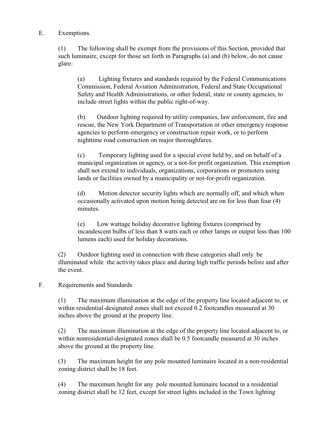E. Exemptions.

(1) The following shall be exempt from the provisions of this Section, provided that such luminaire, except for those set forth in Paragraphs (a) and (b) below, do not cause glare:

(a) Lighting fixtures and standards required by the Federal Communications Commission, Federal Aviation Administration, Federal and State Occupational Safety and Health Administrations, or other federal, state or county agencies, to include street lights within the public right-of-way.

(b) Outdoor lighting required by utility companies, law enforcement, fire and rescue, the New York Department of Transportation or other emergency response agencies to perform emergency or construction repair work, or to perform nighttime road construction on major thoroughfares.

(c) Temporary lighting used for a special event held by, and on behalf of a municipal organization or agency, or a not-for profit organization. This exemption shall not extend to individuals, organizations, corporations or promoters using lands or facilities owned by a municipality or not-for-profit organization.

(d) Motion detector security lights which are normally off, and which when occasionally activated upon motion being detected are on for less than four (4) minutes.

(e) Low wattage holiday decorative lighting fixtures (comprised by incandescent bulbs of less than 8 watts each or other lamps or output less than 100 lumens each) used for holiday decorations.

(2) Outdoor lighting used in connection with these categories shall only be illuminated while the activity takes place and during high traffic periods before and after the event.

F. Requirements and Standards

(1) The maximum illumination at the edge of the property line located adjacent to, or within residential-designated zones shall not exceed 0.2 footcandles measured at 30 inches above the ground at the property line.

(2) The maximum illumination at the edge of the property line located adjacent to, or within nonresidential-designated zones shall be 0.5 footcandle measured at 30 inches above the ground at the property line.

(3) The maximum height for any pole mounted luminaire located in a non-residential zoning district shall be 18 feet.

(4) The maximum height for any pole mounted luminaire located in a residential zoning district shall be 12 feet, except for street lights included in the Town lighting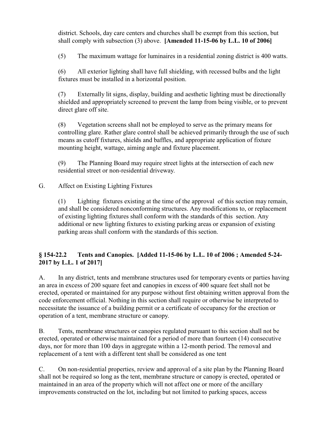district. Schools, day care centers and churches shall be exempt from this section, but shall comply with subsection (3) above. **[Amended 11-15-06 by L.L. 10 of 2006]** 

(5) The maximum wattage for luminaires in a residential zoning district is 400 watts.

(6) All exterior lighting shall have full shielding, with recessed bulbs and the light fixtures must be installed in a horizontal position.

(7) Externally lit signs, display, building and aesthetic lighting must be directionally shielded and appropriately screened to prevent the lamp from being visible, or to prevent direct glare off site.

(8) Vegetation screens shall not be employed to serve as the primary means for controlling glare. Rather glare control shall be achieved primarily through the use of such means as cutoff fixtures, shields and baffles, and appropriate application of fixture mounting height, wattage, aiming angle and fixture placement.

(9) The Planning Board may require street lights at the intersection of each new residential street or non-residential driveway.

G. Affect on Existing Lighting Fixtures

(1) Lighting fixtures existing at the time of the approval of this section may remain, and shall be considered nonconforming structures. Any modifications to, or replacement of existing lighting fixtures shall conform with the standards of this section. Any additional or new lighting fixtures to existing parking areas or expansion of existing parking areas shall conform with the standards of this section.

## **§ 154-22.2 Tents and Canopies. [Added 11-15-06 by L.L. 10 of 2006 ; Amended 5-24- 2017 by L.L. 1 of 2017]**

A. In any district, tents and membrane structures used for temporary events or parties having an area in excess of 200 square feet and canopies in excess of 400 square feet shall not be erected, operated or maintained for any purpose without first obtaining written approval from the code enforcement official. Nothing in this section shall require or otherwise be interpreted to necessitate the issuance of a building permit or a certificate of occupancy for the erection or operation of a tent, membrane structure or canopy.

B. Tents, membrane structures or canopies regulated pursuant to this section shall not be erected, operated or otherwise maintained for a period of more than fourteen (14) consecutive days, nor for more than 100 days in aggregate within a 12-month period. The removal and replacement of a tent with a different tent shall be considered as one tent

C. On non-residential properties, review and approval of a site plan by the Planning Board shall not be required so long as the tent, membrane structure or canopy is erected, operated or maintained in an area of the property which will not affect one or more of the ancillary improvements constructed on the lot, including but not limited to parking spaces, access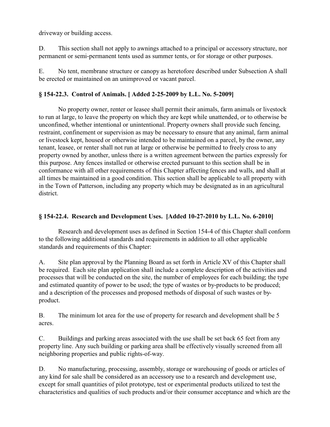driveway or building access.

D. This section shall not apply to awnings attached to a principal or accessory structure, nor permanent or semi-permanent tents used as summer tents, or for storage or other purposes.

E. No tent, membrane structure or canopy as heretofore described under Subsection A shall be erected or maintained on an unimproved or vacant parcel.

## **§ 154-22.3. Control of Animals. [ Added 2-25-2009 by L.L. No. 5-2009]**

No property owner, renter or leasee shall permit their animals, farm animals or livestock to run at large, to leave the property on which they are kept while unattended, or to otherwise be unconfined, whether intentional or unintentional. Property owners shall provide such fencing, restraint, confinement or supervision as may be necessary to ensure that any animal, farm animal or livestock kept, housed or otherwise intended to be maintained on a parcel, by the owner, any tenant, leasee, or renter shall not run at large or otherwise be permitted to freely cross to any property owned by another, unless there is a written agreement between the parties expressly for this purpose. Any fences installed or otherwise erected pursuant to this section shall be in conformance with all other requirements of this Chapter affecting fences and walls, and shall at all times be maintained in a good condition. This section shall be applicable to all property with in the Town of Patterson, including any property which may be designated as in an agricultural district.

### **§ 154-22.4. Research and Development Uses. [Added 10-27-2010 by L.L. No. 6-2010]**

Research and development uses as defined in Section 154-4 of this Chapter shall conform to the following additional standards and requirements in addition to all other applicable standards and requirements of this Chapter:

A. Site plan approval by the Planning Board as set forth in Article XV of this Chapter shall be required. Each site plan application shall include a complete description of the activities and processes that will be conducted on the site, the number of employees for each building; the type and estimated quantity of power to be used; the type of wastes or by-products to be produced; and a description of the processes and proposed methods of disposal of such wastes or byproduct.

B. The minimum lot area for the use of property for research and development shall be 5 acres.

C. Buildings and parking areas associated with the use shall be set back 65 feet from any property line. Any such building or parking area shall be effectively visually screened from all neighboring properties and public rights-of-way.

D. No manufacturing, processing, assembly, storage or warehousing of goods or articles of any kind for sale shall be considered as an accessory use to a research and development use, except for small quantities of pilot prototype, test or experimental products utilized to test the characteristics and qualities of such products and/or their consumer acceptance and which are the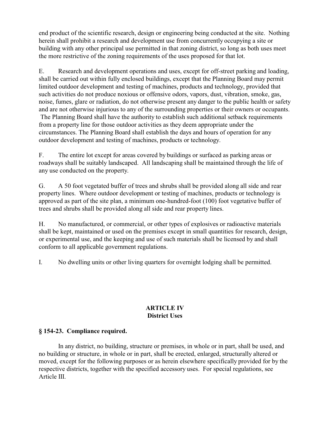end product of the scientific research, design or engineering being conducted at the site. Nothing herein shall prohibit a research and development use from concurrently occupying a site or building with any other principal use permitted in that zoning district, so long as both uses meet the more restrictive of the zoning requirements of the uses proposed for that lot.

E. Research and development operations and uses, except for off-street parking and loading, shall be carried out within fully enclosed buildings, except that the Planning Board may permit limited outdoor development and testing of machines, products and technology, provided that such activities do not produce noxious or offensive odors, vapors, dust, vibration, smoke, gas, noise, fumes, glare or radiation, do not otherwise present any danger to the public health or safety and are not otherwise injurious to any of the surrounding properties or their owners or occupants. The Planning Board shall have the authority to establish such additional setback requirements from a property line for those outdoor activities as they deem appropriate under the circumstances. The Planning Board shall establish the days and hours of operation for any outdoor development and testing of machines, products or technology.

F. The entire lot except for areas covered by buildings or surfaced as parking areas or roadways shall be suitably landscaped. All landscaping shall be maintained through the life of any use conducted on the property.

G. A 50 foot vegetated buffer of trees and shrubs shall be provided along all side and rear property lines. Where outdoor development or testing of machines, products or technology is approved as part of the site plan, a minimum one-hundred-foot (100) foot vegetative buffer of trees and shrubs shall be provided along all side and rear property lines.

H. No manufactured, or commercial, or other types of explosives or radioactive materials shall be kept, maintained or used on the premises except in small quantities for research, design, or experimental use, and the keeping and use of such materials shall be licensed by and shall conform to all applicable government regulations.

I. No dwelling units or other living quarters for overnight lodging shall be permitted.

## **ARTICLE IV District Uses**

## **§ 154-23. Compliance required.**

In any district, no building, structure or premises, in whole or in part, shall be used, and no building or structure, in whole or in part, shall be erected, enlarged, structurally altered or moved, except for the following purposes or as herein elsewhere specifically provided for by the respective districts, together with the specified accessory uses. For special regulations, see Article III.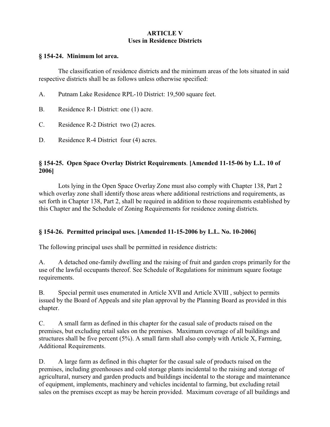## **ARTICLE V Uses in Residence Districts**

#### **§ 154-24. Minimum lot area.**

The classification of residence districts and the minimum areas of the lots situated in said respective districts shall be as follows unless otherwise specified:

| A.        | Putnam Lake Residence RPL-10 District: 19,500 square feet. |
|-----------|------------------------------------------------------------|
| <b>B.</b> | Residence R-1 District: one (1) acre.                      |
| C.        | Residence $R-2$ District two $(2)$ acres.                  |

D. Residence R-4 District four (4) acres.

## **§ 154-25. Open Space Overlay District Requirements**. **[Amended 11-15-06 by L.L. 10 of 2006]**

Lots lying in the Open Space Overlay Zone must also comply with Chapter 138, Part 2 which overlay zone shall identify those areas where additional restrictions and requirements, as set forth in Chapter 138, Part 2, shall be required in addition to those requirements established by this Chapter and the Schedule of Zoning Requirements for residence zoning districts.

## **§ 154-26. Permitted principal uses. [Amended 11-15-2006 by L.L. No. 10-2006]**

The following principal uses shall be permitted in residence districts:

A. A detached one-family dwelling and the raising of fruit and garden crops primarily for the use of the lawful occupants thereof. See Schedule of Regulations for minimum square footage requirements.

B. Special permit uses enumerated in Article XVII and Article XVIII , subject to permits issued by the Board of Appeals and site plan approval by the Planning Board as provided in this chapter.

C. A small farm as defined in this chapter for the casual sale of products raised on the premises, but excluding retail sales on the premises. Maximum coverage of all buildings and structures shall be five percent  $(5\%)$ . A small farm shall also comply with Article X, Farming, Additional Requirements.

D. A large farm as defined in this chapter for the casual sale of products raised on the premises, including greenhouses and cold storage plants incidental to the raising and storage of agricultural, nursery and garden products and buildings incidental to the storage and maintenance of equipment, implements, machinery and vehicles incidental to farming, but excluding retail sales on the premises except as may be herein provided. Maximum coverage of all buildings and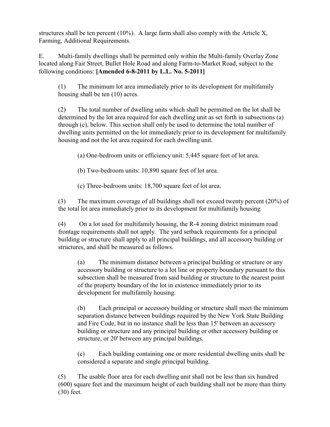structures shall be ten percent  $(10\%)$ . A large farm shall also comply with the Article X, Farming, Additional Requirements.

E. Multi-family dwellings shall be permitted only within the Multi-family Overlay Zone located along Fair Street, Bullet Hole Road and along Farm-to-Market Road, subject to the following conditions: **[Amended 6-8-2011 by L.L. No. 5-2011]**

(1) The minimum lot area immediately prior to its development for multifamily housing shall be ten (10) acres.

(2) The total number of dwelling units which shall be permitted on the lot shall be determined by the lot area required for each dwelling unit as set forth in subsections (a) through (c), below. This section shall only be used to determine the total number of dwelling units permitted on the lot immediately prior to its development for multifamily housing and not the lot area required for each dwelling unit.

(a) One-bedroom units or efficiency unit: 5,445 square feet of lot area.

(b) Two-bedroom units: 10,890 square feet of lot area.

(c) Three-bedroom units: 18,700 square feet of lot area.

(3) The maximum coverage of all buildings shall not exceed twenty percent (20%) of the total lot area immediately prior to its development for multifamily housing

(4) On a lot used for multifamily housing, the R-4 zoning district minimum road frontage requirements shall not apply. The yard setback requirements for a principal building or structure shall apply to all principal buildings, and all accessory building or structures, and shall be measured as follows.

(a) The minimum distance between a principal building or structure or any accessory building or structure to a lot line or property boundary pursuant to this subsection shall be measured from said building or structure to the nearest point of the property boundary of the lot in existence immediately prior to its development for multifamily housing.

(b) Each principal or accessory building or structure shall meet the minimum separation distance between buildings required by the New York State Building and Fire Code, but in no instance shall be less than 15' between an accessory building or structure and any principal building or other accessory building or structure, or 20' between any principal buildings.

(c) Each building containing one or more residential dwelling units shall be considered a separate and single principal building.

(5) The usable floor area for each dwelling unit shall not be less than six hundred (600) square feet and the maximum height of each building shall not be more than thirty (30) feet.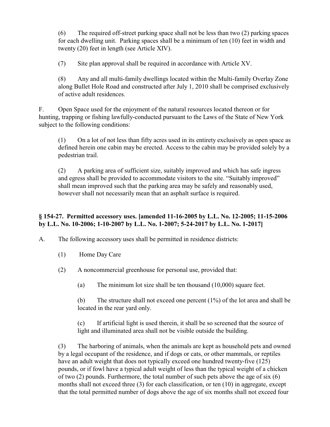(6) The required off-street parking space shall not be less than two (2) parking spaces for each dwelling unit. Parking spaces shall be a minimum of ten (10) feet in width and twenty (20) feet in length (see Article XIV).

(7) Site plan approval shall be required in accordance with Article XV.

(8) Any and all multi-family dwellings located within the Multi-family Overlay Zone along Bullet Hole Road and constructed after July 1, 2010 shall be comprised exclusively of active adult residences.

F. Open Space used for the enjoyment of the natural resources located thereon or for hunting, trapping or fishing lawfully-conducted pursuant to the Laws of the State of New York subject to the following conditions:

(1) On a lot of not less than fifty acres used in its entirety exclusively as open space as defined herein one cabin may be erected. Access to the cabin may be provided solely by a pedestrian trail.

(2) A parking area of sufficient size, suitably improved and which has safe ingress and egress shall be provided to accommodate visitors to the site. "Suitably improved" shall mean improved such that the parking area may be safely and reasonably used, however shall not necessarily mean that an asphalt surface is required.

## **§ 154-27. Permitted accessory uses. [amended 11-16-2005 by L.L. No. 12-2005; 11-15-2006 by L.L. No. 10-2006; 1-10-2007 by L.L. No. 1-2007; 5-24-2017 by L.L. No. 1-2017]**

A. The following accessory uses shall be permitted in residence districts:

- (1) Home Day Care
- (2) A noncommercial greenhouse for personal use, provided that:
	- (a) The minimum lot size shall be ten thousand (10,000) square feet.

(b) The structure shall not exceed one percent (1%) of the lot area and shall be located in the rear yard only.

(c) If artificial light is used therein, it shall be so screened that the source of light and illuminated area shall not be visible outside the building.

(3) The harboring of animals, when the animals are kept as household pets and owned by a legal occupant of the residence, and if dogs or cats, or other mammals, or reptiles have an adult weight that does not typically exceed one hundred twenty-five (125) pounds, or if fowl have a typical adult weight of less than the typical weight of a chicken of two (2) pounds. Furthermore, the total number of such pets above the age of six (6) months shall not exceed three (3) for each classification, or ten (10) in aggregate, except that the total permitted number of dogs above the age of six months shall not exceed four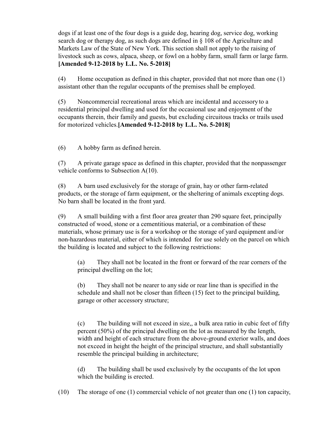dogs if at least one of the four dogs is a guide dog, hearing dog, service dog, working search dog or therapy dog, as such dogs are defined in  $\S$  108 of the Agriculture and Markets Law of the State of New York. This section shall not apply to the raising of livestock such as cows, alpaca, sheep, or fowl on a hobby farm, small farm or large farm. **[Amended 9-12-2018 by L.L. No. 5-2018]**

(4) Home occupation as defined in this chapter, provided that not more than one (1) assistant other than the regular occupants of the premises shall be employed.

(5) Noncommercial recreational areas which are incidental and accessory to a residential principal dwelling and used for the occasional use and enjoyment of the occupants therein, their family and guests, but excluding circuitous tracks or trails used for motorized vehicles.**[Amended 9-12-2018 by L.L. No. 5-2018]**

(6) A hobby farm as defined herein.

(7) A private garage space as defined in this chapter, provided that the nonpassenger vehicle conforms to Subsection A(10).

(8) A barn used exclusively for the storage of grain, hay or other farm-related products, or the storage of farm equipment, or the sheltering of animals excepting dogs. No barn shall be located in the front yard.

(9) A small building with a first floor area greater than 290 square feet, principally constructed of wood, stone or a cementitious material, or a combination of these materials, whose primary use is for a workshop or the storage of yard equipment and/or non-hazardous material, either of which is intended for use solely on the parcel on which the building is located and subject to the following restrictions:

(a) They shall not be located in the front or forward of the rear corners of the principal dwelling on the lot;

(b) They shall not be nearer to any side or rear line than is specified in the schedule and shall not be closer than fifteen (15) feet to the principal building, garage or other accessory structure;

(c) The building will not exceed in size,, a bulk area ratio in cubic feet of fifty percent (50%) of the principal dwelling on the lot as measured by the length, width and height of each structure from the above-ground exterior walls, and does not exceed in height the height of the principal structure, and shall substantially resemble the principal building in architecture;

(d) The building shall be used exclusively by the occupants of the lot upon which the building is erected.

(10) The storage of one (1) commercial vehicle of not greater than one (1) ton capacity,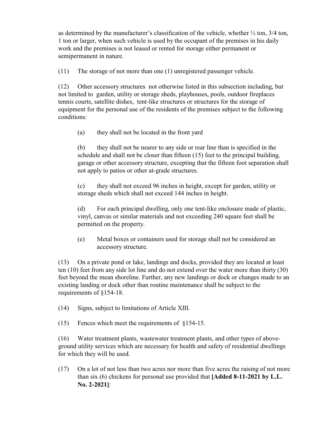as determined by the manufacturer's classification of the vehicle, whether  $\frac{1}{2}$  ton,  $\frac{3}{4}$  ton, 1 ton or larger, when such vehicle is used by the occupant of the premises in his daily work and the premises is not leased or rented for storage either permanent or semipermanent in nature.

(11) The storage of not more than one (1) unregistered passenger vehicle.

(12) Other accessory structures not otherwise listed in this subsection including, but not limited to garden, utility or storage sheds, playhouses, pools, outdoor fireplaces tennis courts, satellite dishes, tent-like structures or structures for the storage of equipment for the personal use of the residents of the premises subject to the following conditions:

(a) they shall not be located in the front yard

(b) they shall not be nearer to any side or rear line than is specified in the schedule and shall not be closer than fifteen (15) feet to the principal building, garage or other accessory structure, excepting that the fifteen foot separation shall not apply to patios or other at-grade structures.

(c) they shall not exceed 96 inches in height, except for garden, utility or storage sheds which shall not exceed 144 inches in height.

(d) For each principal dwelling, only one tent-like enclosure made of plastic, vinyl, canvas or similar materials and not exceeding 240 square feet shall be permitted on the property.

(e) Metal boxes or containers used for storage shall not be considered an accessory structure.

(13) On a private pond or lake, landings and docks, provided they are located at least ten (10) feet from any side lot line and do not extend over the water more than thirty (30) feet beyond the mean shoreline. Further, any new landings or dock or changes made to an existing landing or dock other than routine maintenance shall be subject to the requirements of §154-18.

(14) Signs, subject to limitations of Article XIII.

(15) Fences which meet the requirements of §154-15.

(16) Water treatment plants, wastewater treatment plants, and other types of aboveground utility services which are necessary for health and safety of residential dwellings for which they will be used.

(17) On a lot of not less than two acres nor more than five acres the raising of not more than six (6) chickens for personal use provided that **[Added 8-11-2021 by L.L. No. 2-2021]**: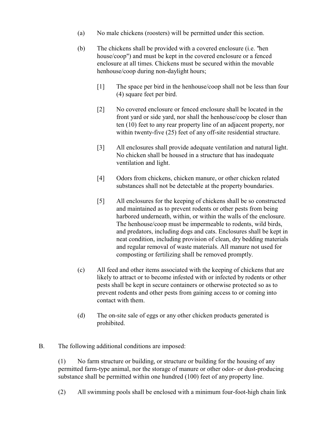- (a) No male chickens (roosters) will be permitted under this section.
- (b) The chickens shall be provided with a covered enclosure (i.e. "hen house/coop") and must be kept in the covered enclosure or a fenced enclosure at all times. Chickens must be secured within the movable henhouse/coop during non-daylight hours;
	- [1] The space per bird in the henhouse/coop shall not be less than four (4) square feet per bird.
	- [2] No covered enclosure or fenced enclosure shall be located in the front yard or side yard, nor shall the henhouse/coop be closer than ten (10) feet to any rear property line of an adjacent property, nor within twenty-five (25) feet of any off-site residential structure.
	- [3] All enclosures shall provide adequate ventilation and natural light. No chicken shall be housed in a structure that has inadequate ventilation and light.
	- [4] Odors from chickens, chicken manure, or other chicken related substances shall not be detectable at the property boundaries.
	- [5] All enclosures for the keeping of chickens shall be so constructed and maintained as to prevent rodents or other pests from being harbored underneath, within, or within the walls of the enclosure. The henhouse/coop must be impermeable to rodents, wild birds, and predators, including dogs and cats. Enclosures shall be kept in neat condition, including provision of clean, dry bedding materials and regular removal of waste materials. All manure not used for composting or fertilizing shall be removed promptly.
- (c) All feed and other items associated with the keeping of chickens that are likely to attract or to become infested with or infected by rodents or other pests shall be kept in secure containers or otherwise protected so as to prevent rodents and other pests from gaining access to or coming into contact with them.
- (d) The on-site sale of eggs or any other chicken products generated is prohibited.
- B. The following additional conditions are imposed:

(1) No farm structure or building, or structure or building for the housing of any permitted farm-type animal, nor the storage of manure or other odor- or dust-producing substance shall be permitted within one hundred (100) feet of any property line.

(2) All swimming pools shall be enclosed with a minimum four-foot-high chain link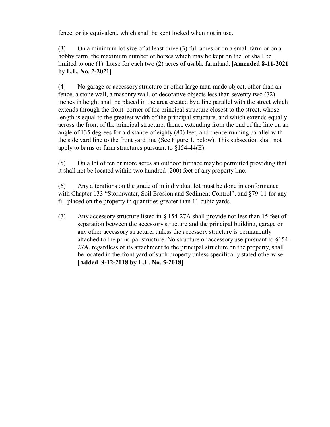fence, or its equivalent, which shall be kept locked when not in use.

(3) On a minimum lot size of at least three (3) full acres or on a small farm or on a hobby farm, the maximum number of horses which may be kept on the lot shall be limited to one (1) horse for each two (2) acres of usable farmland. **[Amended 8-11-2021 by L.L. No. 2-2021]**

(4) No garage or accessory structure or other large man-made object, other than an fence, a stone wall, a masonry wall, or decorative objects less than seventy-two (72) inches in height shall be placed in the area created by a line parallel with the street which extends through the front corner of the principal structure closest to the street, whose length is equal to the greatest width of the principal structure, and which extends equally across the front of the principal structure, thence extending from the end of the line on an angle of 135 degrees for a distance of eighty (80) feet, and thence running parallel with the side yard line to the front yard line (See Figure 1, below). This subsection shall not apply to barns or farm structures pursuant to  $\S 154-44(E)$ .

(5) On a lot of ten or more acres an outdoor furnace may be permitted providing that it shall not be located within two hundred (200) feet of any property line.

(6) Any alterations on the grade of in individual lot must be done in conformance with Chapter 133 "Stormwater, Soil Erosion and Sediment Control", and §79-11 for any fill placed on the property in quantities greater than 11 cubic yards.

(7) Any accessory structure listed in § 154-27A shall provide not less than 15 feet of separation between the accessory structure and the principal building, garage or any other accessory structure, unless the accessory structure is permanently attached to the principal structure. No structure or accessory use pursuant to §154- 27A, regardless of its attachment to the principal structure on the property, shall be located in the front yard of such property unless specifically stated otherwise. **[Added 9-12-2018 by L.L. No. 5-2018]**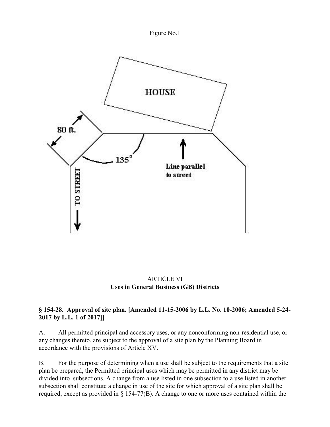Figure No.1



ARTICLE VI **Uses in General Business (GB) Districts**

## **§ 154-28. Approval of site plan. [Amended 11-15-2006 by L.L. No. 10-2006; Amended 5-24- 2017 by L.L. 1 of 2017]]**

A. All permitted principal and accessory uses, or any nonconforming non-residential use, or any changes thereto, are subject to the approval of a site plan by the Planning Board in accordance with the provisions of Article XV.

B. For the purpose of determining when a use shall be subject to the requirements that a site plan be prepared, the Permitted principal uses which may be permitted in any district may be divided into subsections. A change from a use listed in one subsection to a use listed in another subsection shall constitute a change in use of the site for which approval of a site plan shall be required, except as provided in § 154-77(B). A change to one or more uses contained within the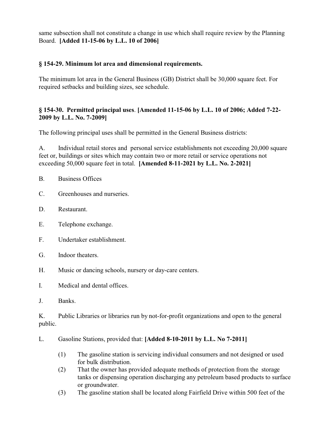same subsection shall not constitute a change in use which shall require review by the Planning Board. **[Added 11-15-06 by L.L. 10 of 2006]** 

### **§ 154-29. Minimum lot area and dimensional requirements.**

The minimum lot area in the General Business (GB) District shall be 30,000 square feet. For required setbacks and building sizes, see schedule.

### **§ 154-30. Permitted principal uses**. **[Amended 11-15-06 by L.L. 10 of 2006; Added 7-22- 2009 by L.L. No. 7-2009]**

The following principal uses shall be permitted in the General Business districts:

A. Individual retail stores and personal service establishments not exceeding 20,000 square feet or, buildings or sites which may contain two or more retail or service operations not exceeding 50,000 square feet in total. **[Amended 8-11-2021 by L.L. No. 2-2021]**

- B. Business Offices
- C. Greenhouses and nurseries.
- D. Restaurant.
- E. Telephone exchange.
- F. Undertaker establishment.
- G. Indoor theaters.
- H. Music or dancing schools, nursery or day-care centers.
- I. Medical and dental offices.
- J. Banks.

K. Public Libraries or libraries run by not-for-profit organizations and open to the general public.

#### L. Gasoline Stations, provided that: **[Added 8-10-2011 by L.L. No 7-2011]**

- (1) The gasoline station is servicing individual consumers and not designed or used for bulk distribution.
- (2) That the owner has provided adequate methods of protection from the storage tanks or dispensing operation discharging any petroleum based products to surface or groundwater.
- (3) The gasoline station shall be located along Fairfield Drive within 500 feet of the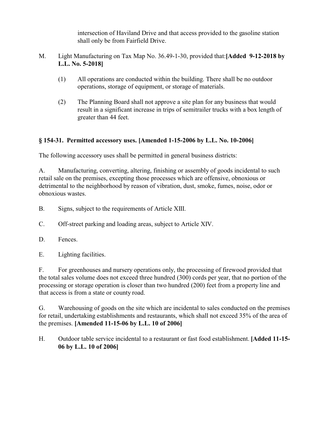intersection of Haviland Drive and that access provided to the gasoline station shall only be from Fairfield Drive.

- M. Light Manufacturing on Tax Map No. 36.49-1-30, provided that:**[Added 9-12-2018 by L.L. No. 5-2018]**
	- (1) All operations are conducted within the building. There shall be no outdoor operations, storage of equipment, or storage of materials.
	- (2) The Planning Board shall not approve a site plan for any business that would result in a significant increase in trips of semitrailer trucks with a box length of greater than 44 feet.

## **§ 154-31. Permitted accessory uses. [Amended 1-15-2006 by L.L. No. 10-2006]**

The following accessory uses shall be permitted in general business districts:

A. Manufacturing, converting, altering, finishing or assembly of goods incidental to such retail sale on the premises, excepting those processes which are offensive, obnoxious or detrimental to the neighborhood by reason of vibration, dust, smoke, fumes, noise, odor or obnoxious wastes.

- B. Signs, subject to the requirements of Article XIII.
- C. Off-street parking and loading areas, subject to Article XIV.
- D. Fences.
- E. Lighting facilities.

F. For greenhouses and nursery operations only, the processing of firewood provided that the total sales volume does not exceed three hundred (300) cords per year, that no portion of the processing or storage operation is closer than two hundred (200) feet from a property line and that access is from a state or county road.

G. Warehousing of goods on the site which are incidental to sales conducted on the premises for retail, undertaking establishments and restaurants, which shall not exceed 35% of the area of the premises. **[Amended 11-15-06 by L.L. 10 of 2006]** 

H. Outdoor table service incidental to a restaurant or fast food establishment. **[Added 11-15- 06 by L.L. 10 of 2006]**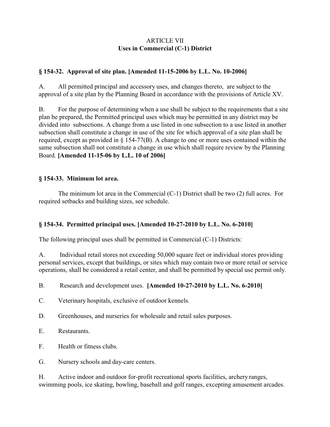### ARTICLE VII **Uses in Commercial (C-1) District**

#### **§ 154-32. Approval of site plan. [Amended 11-15-2006 by L.L. No. 10-2006]**

A. All permitted principal and accessory uses, and changes thereto, are subject to the approval of a site plan by the Planning Board in accordance with the provisions of Article XV.

B. For the purpose of determining when a use shall be subject to the requirements that a site plan be prepared, the Permitted principal uses which may be permitted in any district may be divided into subsections. A change from a use listed in one subsection to a use listed in another subsection shall constitute a change in use of the site for which approval of a site plan shall be required, except as provided in § 154-77(B). A change to one or more uses contained within the same subsection shall not constitute a change in use which shall require review by the Planning Board. **[Amended 11-15-06 by L.L. 10 of 2006]** 

#### **§ 154-33. Minimum lot area.**

The minimum lot area in the Commercial (C-1) District shall be two (2) full acres. For required setbacks and building sizes, see schedule.

#### **§ 154-34. Permitted principal uses. [Amended 10-27-2010 by L.L. No. 6-2010]**

The following principal uses shall be permitted in Commercial (C-1) Districts:

A. Individual retail stores not exceeding 50,000 square feet or individual stores providing personal services, except that buildings, or sites which may contain two or more retail or service operations, shall be considered a retail center, and shall be permitted by special use permit only.

#### B. Research and development uses. **[Amended 10-27-2010 by L.L. No. 6-2010]**

- C. Veterinary hospitals, exclusive of outdoor kennels.
- D. Greenhouses, and nurseries for wholesale and retail sales purposes.
- E. Restaurants.
- F. Health or fitness clubs.
- G. Nursery schools and day-care centers.

H. Active indoor and outdoor for-profit recreational sports facilities, archery ranges, swimming pools, ice skating, bowling, baseball and golf ranges, excepting amusement arcades.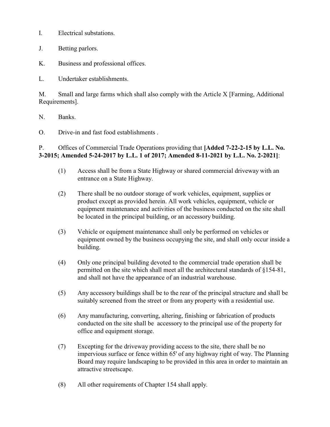- I. Electrical substations.
- J. Betting parlors.
- K. Business and professional offices.

L. Undertaker establishments.

M. Small and large farms which shall also comply with the Article X [Farming, Additional Requirements].

N. Banks.

O. Drive-in and fast food establishments .

### P. Offices of Commercial Trade Operations providing that **[Added 7-22-2-15 by L.L. No. 3-2015; Amended 5-24-2017 by L.L. 1 of 2017; Amended 8-11-2021 by L.L. No. 2-2021]**:

- (1) Access shall be from a State Highway or shared commercial driveway with an entrance on a State Highway.
- (2) There shall be no outdoor storage of work vehicles, equipment, supplies or product except as provided herein. All work vehicles, equipment, vehicle or equipment maintenance and activities of the business conducted on the site shall be located in the principal building, or an accessory building.
- (3) Vehicle or equipment maintenance shall only be performed on vehicles or equipment owned by the business occupying the site, and shall only occur inside a building.
- (4) Only one principal building devoted to the commercial trade operation shall be permitted on the site which shall meet all the architectural standards of §154-81, and shall not have the appearance of an industrial warehouse.
- (5) Any accessory buildings shall be to the rear of the principal structure and shall be suitably screened from the street or from any property with a residential use.
- (6) Any manufacturing, converting, altering, finishing or fabrication of products conducted on the site shall be accessory to the principal use of the property for office and equipment storage.
- (7) Excepting for the driveway providing access to the site, there shall be no impervious surface or fence within 65' of any highway right of way. The Planning Board may require landscaping to be provided in this area in order to maintain an attractive streetscape.
- (8) All other requirements of Chapter 154 shall apply.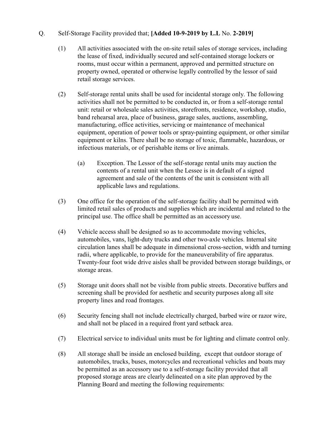### Q. Self-Storage Facility provided that; **[Added 10-9-2019 by L.L** No. **2-2019]**

- (1) All activities associated with the on-site retail sales of storage services, including the lease of fixed, individually secured and self-contained storage lockers or rooms, must occur within a permanent, approved and permitted structure on property owned, operated or otherwise legally controlled by the lessor of said retail storage services.
- (2) Self-storage rental units shall be used for incidental storage only. The following activities shall not be permitted to be conducted in, or from a self-storage rental unit: retail or wholesale sales activities, storefronts, residence, workshop, studio, band rehearsal area, place of business, garage sales, auctions, assembling, manufacturing, office activities, servicing or maintenance of mechanical equipment, operation of power tools or spray-painting equipment, or other similar equipment or kilns. There shall be no storage of toxic, flammable, hazardous, or infectious materials, or of perishable items or live animals.
	- (a) Exception. The Lessor of the self-storage rental units may auction the contents of a rental unit when the Lessee is in default of a signed agreement and sale of the contents of the unit is consistent with all applicable laws and regulations.
- (3) One office for the operation of the self-storage facility shall be permitted with limited retail sales of products and supplies which are incidental and related to the principal use. The office shall be permitted as an accessory use.
- (4) Vehicle access shall be designed so as to accommodate moving vehicles, automobiles, vans, light-duty trucks and other two-axle vehicles. Internal site circulation lanes shall be adequate in dimensional cross-section, width and turning radii, where applicable, to provide for the maneuverability of fire apparatus. Twenty-four foot wide drive aisles shall be provided between storage buildings, or storage areas.
- (5) Storage unit doors shall not be visible from public streets. Decorative buffers and screening shall be provided for aesthetic and security purposes along all site property lines and road frontages.
- (6) Security fencing shall not include electrically charged, barbed wire or razor wire, and shall not be placed in a required front yard setback area.
- (7) Electrical service to individual units must be for lighting and climate control only.
- (8) All storage shall be inside an enclosed building, except that outdoor storage of automobiles, trucks, buses, motorcycles and recreational vehicles and boats may be permitted as an accessory use to a self-storage facility provided that all proposed storage areas are clearly delineated on a site plan approved by the Planning Board and meeting the following requirements: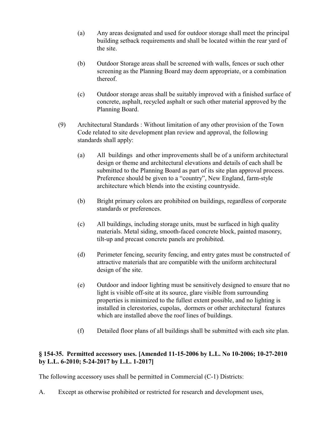- (a) Any areas designated and used for outdoor storage shall meet the principal building setback requirements and shall be located within the rear yard of the site.
- (b) Outdoor Storage areas shall be screened with walls, fences or such other screening as the Planning Board may deem appropriate, or a combination thereof.
- (c) Outdoor storage areas shall be suitably improved with a finished surface of concrete, asphalt, recycled asphalt or such other material approved by the Planning Board.
- (9) Architectural Standards : Without limitation of any other provision of the Town Code related to site development plan review and approval, the following standards shall apply:
	- (a) All buildings and other improvements shall be of a uniform architectural design or theme and architectural elevations and details of each shall be submitted to the Planning Board as part of its site plan approval process. Preference should be given to a "country", New England, farm-style architecture which blends into the existing countryside.
	- (b) Bright primary colors are prohibited on buildings, regardless of corporate standards or preferences.
	- (c) All buildings, including storage units, must be surfaced in high quality materials. Metal siding, smooth-faced concrete block, painted masonry, tilt-up and precast concrete panels are prohibited.
	- (d) Perimeter fencing, security fencing, and entry gates must be constructed of attractive materials that are compatible with the uniform architectural design of the site.
	- (e) Outdoor and indoor lighting must be sensitively designed to ensure that no light is visible off-site at its source, glare visible from surrounding properties is minimized to the fullest extent possible, and no lighting is installed in clerestories, cupolas, dormers or other architectural features which are installed above the roof lines of buildings.
	- (f) Detailed floor plans of all buildings shall be submitted with each site plan.

## **§ 154-35. Permitted accessory uses. [Amended 11-15-2006 by L.L. No 10-2006; 10-27-2010 by L.L. 6-2010; 5-24-2017 by L.L. 1-2017]**

The following accessory uses shall be permitted in Commercial (C-1) Districts:

A. Except as otherwise prohibited or restricted for research and development uses,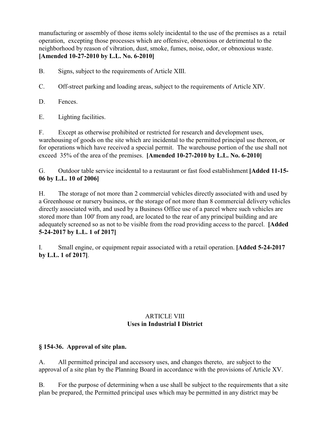manufacturing or assembly of those items solely incidental to the use of the premises as a retail operation, excepting those processes which are offensive, obnoxious or detrimental to the neighborhood by reason of vibration, dust, smoke, fumes, noise, odor, or obnoxious waste. **[Amended 10-27-2010 by L.L. No. 6-2010]**

B. Signs, subject to the requirements of Article XIII.

C. Off-street parking and loading areas, subject to the requirements of Article XIV.

D. Fences.

E. Lighting facilities.

F. Except as otherwise prohibited or restricted for research and development uses, warehousing of goods on the site which are incidental to the permitted principal use thereon, or for operations which have received a special permit. The warehouse portion of the use shall not exceed 35% of the area of the premises. **[Amended 10-27-2010 by L.L. No. 6-2010]**

G. Outdoor table service incidental to a restaurant or fast food establishment **[Added 11-15- 06 by L.L. 10 of 2006]** 

H. The storage of not more than 2 commercial vehicles directly associated with and used by a Greenhouse or nursery business, or the storage of not more than 8 commercial delivery vehicles directly associated with, and used by a Business Office use of a parcel where such vehicles are stored more than 100' from any road, are located to the rear of any principal building and are adequately screened so as not to be visible from the road providing access to the parcel. **[Added 5-24-2017 by L.L. 1 of 2017]** 

I. Small engine, or equipment repair associated with a retail operation. **[Added 5-24-2017 by L.L. 1 of 2017]**.

# ARTICLE VIII **Uses in Industrial I District**

# **§ 154-36. Approval of site plan.**

A. All permitted principal and accessory uses, and changes thereto, are subject to the approval of a site plan by the Planning Board in accordance with the provisions of Article XV.

B. For the purpose of determining when a use shall be subject to the requirements that a site plan be prepared, the Permitted principal uses which may be permitted in any district may be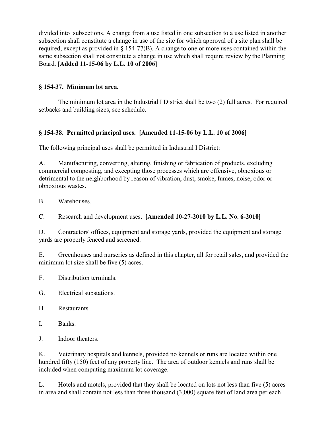divided into subsections. A change from a use listed in one subsection to a use listed in another subsection shall constitute a change in use of the site for which approval of a site plan shall be required, except as provided in § 154-77(B). A change to one or more uses contained within the same subsection shall not constitute a change in use which shall require review by the Planning Board. **[Added 11-15-06 by L.L. 10 of 2006]** 

### **§ 154-37. Minimum lot area.**

The minimum lot area in the Industrial I District shall be two (2) full acres. For required setbacks and building sizes, see schedule.

## **§ 154-38. Permitted principal uses. [Amended 11-15-06 by L.L. 10 of 2006]**

The following principal uses shall be permitted in Industrial I District:

A. Manufacturing, converting, altering, finishing or fabrication of products, excluding commercial composting, and excepting those processes which are offensive, obnoxious or detrimental to the neighborhood by reason of vibration, dust, smoke, fumes, noise, odor or obnoxious wastes.

B. Warehouses.

C. Research and development uses. **[Amended 10-27-2010 by L.L. No. 6-2010]**

D. Contractors' offices, equipment and storage yards, provided the equipment and storage yards are properly fenced and screened.

E. Greenhouses and nurseries as defined in this chapter, all for retail sales, and provided the minimum lot size shall be five (5) acres.

- F. Distribution terminals.
- G. Electrical substations.
- H. Restaurants.
- I. Banks.
- J. Indoor theaters.

K. Veterinary hospitals and kennels, provided no kennels or runs are located within one hundred fifty (150) feet of any property line. The area of outdoor kennels and runs shall be included when computing maximum lot coverage.

L. Hotels and motels, provided that they shall be located on lots not less than five (5) acres in area and shall contain not less than three thousand (3,000) square feet of land area per each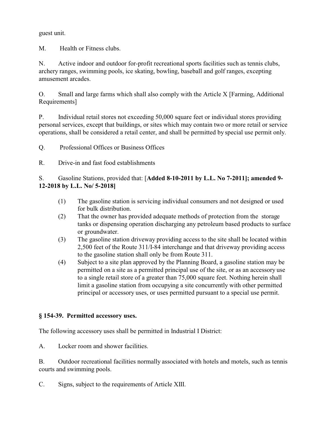guest unit.

M. Health or Fitness clubs.

N. Active indoor and outdoor for-profit recreational sports facilities such as tennis clubs, archery ranges, swimming pools, ice skating, bowling, baseball and golf ranges, excepting amusement arcades.

O. Small and large farms which shall also comply with the Article X [Farming, Additional Requirements]

P. Individual retail stores not exceeding 50,000 square feet or individual stores providing personal services, except that buildings, or sites which may contain two or more retail or service operations, shall be considered a retail center, and shall be permitted by special use permit only.

Q. Professional Offices or Business Offices

R. Drive-in and fast food establishments

S. Gasoline Stations, provided that: [**Added 8-10-2011 by L.L. No 7-2011]; amended 9- 12-2018 by L.L. No/ 5-2018]**

- (1) The gasoline station is servicing individual consumers and not designed or used for bulk distribution.
- (2) That the owner has provided adequate methods of protection from the storage tanks or dispensing operation discharging any petroleum based products to surface or groundwater.
- (3) The gasoline station driveway providing access to the site shall be located within 2,500 feet of the Route 311/I-84 interchange and that driveway providing access to the gasoline station shall only be from Route 311.
- (4) Subject to a site plan approved by the Planning Board, a gasoline station may be permitted on a site as a permitted principal use of the site, or as an accessory use to a single retail store of a greater than 75,000 square feet. Nothing herein shall limit a gasoline station from occupying a site concurrently with other permitted principal or accessory uses, or uses permitted pursuant to a special use permit.

## **§ 154-39. Permitted accessory uses.**

The following accessory uses shall be permitted in Industrial I District:

A. Locker room and shower facilities.

B. Outdoor recreational facilities normally associated with hotels and motels, such as tennis courts and swimming pools.

C. Signs, subject to the requirements of Article XIII.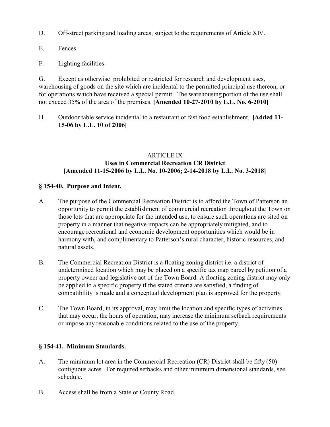D. Off-street parking and loading areas, subject to the requirements of Article XIV.

- E. Fences.
- F. Lighting facilities.

G. Except as otherwise prohibited or restricted for research and development uses, warehousing of goods on the site which are incidental to the permitted principal use thereon, or for operations which have received a special permit. The warehousing portion of the use shall not exceed 35% of the area of the premises. **[Amended 10-27-2010 by L.L. No. 6-2010]**

H. Outdoor table service incidental to a restaurant or fast food establishment. **[Added 11- 15-06 by L.L. 10 of 2006]** 

## ARTICLE IX **Uses in Commercial Recreation CR District [Amended 11-15-2006 by L.L. No. 10-2006; 2-14-2018 by L.L. No. 3-2018]**

#### **§ 154-40. Purpose and Intent.**

- A. The purpose of the Commercial Recreation District is to afford the Town of Patterson an opportunity to permit the establishment of commercial recreation throughout the Town on those lots that are appropriate for the intended use, to ensure such operations are sited on property in a manner that negative impacts can be appropriately mitigated, and to encourage recreational and economic development opportunities which would be in harmony with, and complimentary to Patterson's rural character, historic resources, and natural assets.
- B. The Commercial Recreation District is a floating zoning district i.e. a district of undetermined location which may be placed on a specific tax map parcel by petition of a property owner and legislative act of the Town Board. A floating zoning district may only be applied to a specific property if the stated criteria are satisfied, a finding of compatibility is made and a conceptual development plan is approved for the property.
- C. The Town Board, in its approval, may limit the location and specific types of activities that may occur, the hours of operation, may increase the minimum setback requirements or impose any reasonable conditions related to the use of the property.

#### **§ 154-41. Minimum Standards.**

- A. The minimum lot area in the Commercial Recreation (CR) District shall be fifty (50) contiguous acres. For required setbacks and other minimum dimensional standards, see schedule.
- B. Access shall be from a State or County Road.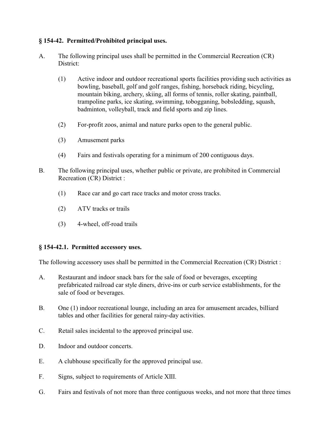### **§ 154-42. Permitted/Prohibited principal uses.**

- A. The following principal uses shall be permitted in the Commercial Recreation (CR) District:
	- (1) Active indoor and outdoor recreational sports facilities providing such activities as bowling, baseball, golf and golf ranges, fishing, horseback riding, bicycling, mountain biking, archery, skiing, all forms of tennis, roller skating, paintball, trampoline parks, ice skating, swimming, tobogganing, bobsledding, squash, badminton, volleyball, track and field sports and zip lines.
	- (2) For-profit zoos, animal and nature parks open to the general public.
	- (3) Amusement parks
	- (4) Fairs and festivals operating for a minimum of 200 contiguous days.
- B. The following principal uses, whether public or private, are prohibited in Commercial Recreation (CR) District :
	- (1) Race car and go cart race tracks and motor cross tracks.
	- (2) ATV tracks or trails
	- (3) 4-wheel, off-road trails

#### **§ 154-42.1. Permitted accessory uses.**

The following accessory uses shall be permitted in the Commercial Recreation (CR) District :

- A. Restaurant and indoor snack bars for the sale of food or beverages, excepting prefabricated railroad car style diners, drive-ins or curb service establishments, for the sale of food or beverages.
- B. One (1) indoor recreational lounge, including an area for amusement arcades, billiard tables and other facilities for general rainy-day activities.
- C. Retail sales incidental to the approved principal use.
- D. Indoor and outdoor concerts.
- E. A clubhouse specifically for the approved principal use.
- F. Signs, subject to requirements of Article XIII.
- G. Fairs and festivals of not more than three contiguous weeks, and not more that three times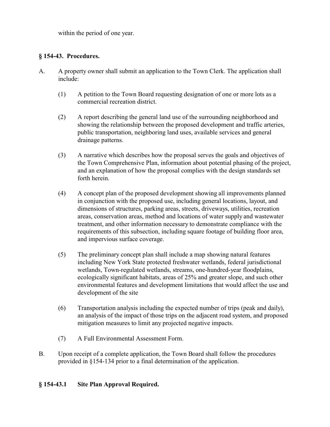within the period of one year.

### **§ 154-43. Procedures.**

- A. A property owner shall submit an application to the Town Clerk. The application shall include:
	- (1) A petition to the Town Board requesting designation of one or more lots as a commercial recreation district.
	- (2) A report describing the general land use of the surrounding neighborhood and showing the relationship between the proposed development and traffic arteries, public transportation, neighboring land uses, available services and general drainage patterns.
	- (3) A narrative which describes how the proposal serves the goals and objectives of the Town Comprehensive Plan, information about potential phasing of the project, and an explanation of how the proposal complies with the design standards set forth herein.
	- (4) A concept plan of the proposed development showing all improvements planned in conjunction with the proposed use, including general locations, layout, and dimensions of structures, parking areas, streets, driveways, utilities, recreation areas, conservation areas, method and locations of water supply and wastewater treatment, and other information necessary to demonstrate compliance with the requirements of this subsection, including square footage of building floor area, and impervious surface coverage.
	- (5) The preliminary concept plan shall include a map showing natural features including New York State protected freshwater wetlands, federal jurisdictional wetlands, Town-regulated wetlands, streams, one-hundred-year floodplains, ecologically significant habitats, areas of 25% and greater slope, and such other environmental features and development limitations that would affect the use and development of the site
	- (6) Transportation analysis including the expected number of trips (peak and daily), an analysis of the impact of those trips on the adjacent road system, and proposed mitigation measures to limit any projected negative impacts.
	- (7) A Full Environmental Assessment Form.
- B. Upon receipt of a complete application, the Town Board shall follow the procedures provided in §154-134 prior to a final determination of the application.

#### **§ 154-43.1 Site Plan Approval Required.**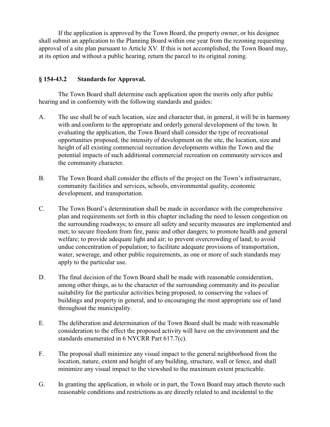If the application is approved by the Town Board, the property owner, or his designee shall submit an application to the Planning Board within one year from the rezoning requesting approval of a site plan pursuant to Article XV. If this is not accomplished, the Town Board may, at its option and without a public hearing, return the parcel to its original zoning.

#### **§ 154-43.2 Standards for Approval.**

The Town Board shall determine each application upon the merits only after public hearing and in conformity with the following standards and guides:

- A. The use shall be of such location, size and character that, in general, it will be in harmony with and conform to the appropriate and orderly general development of the town. In evaluating the application, the Town Board shall consider the type of recreational opportunities proposed, the intensity of development on the site, the location, size and height of all existing commercial recreation developments within the Town and the potential impacts of such additional commercial recreation on community services and the community character.
- B. The Town Board shall consider the effects of the project on the Town's infrastructure, community facilities and services, schools, environmental quality, economic development, and transportation.
- C. The Town Board's determination shall be made in accordance with the comprehensive plan and requirements set forth in this chapter including the need to lessen congestion on the surrounding roadways; to ensure all safety and security measures are implemented and met; to secure freedom from fire, panic and other dangers; to promote health and general welfare; to provide adequate light and air; to prevent overcrowding of land; to avoid undue concentration of population; to facilitate adequate provisions of transportation, water, sewerage, and other public requirements, as one or more of such standards may apply to the particular use.
- D. The final decision of the Town Board shall be made with reasonable consideration, among other things, as to the character of the surrounding community and its peculiar suitability for the particular activities being proposed, to conserving the values of buildings and property in general, and to encouraging the most appropriate use of land throughout the municipality.
- E. The deliberation and determination of the Town Board shall be made with reasonable consideration to the effect the proposed activity will have on the environment and the standards enumerated in 6 NYCRR Part 617.7(c).
- F. The proposal shall minimize any visual impact to the general neighborhood from the location, nature, extent and height of any building, structure, wall or fence, and shall minimize any visual impact to the viewshed to the maximum extent practicable.
- G. In granting the application, in whole or in part, the Town Board may attach thereto such reasonable conditions and restrictions as are directly related to and incidental to the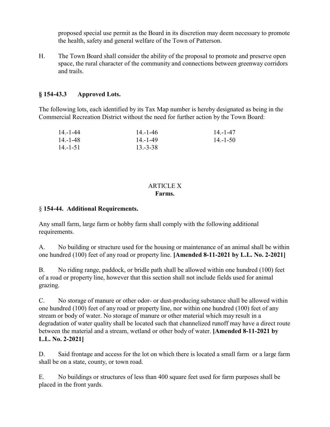proposed special use permit as the Board in its discretion may deem necessary to promote the health, safety and general welfare of the Town of Patterson.

H. The Town Board shall consider the ability of the proposal to promote and preserve open space, the rural character of the community and connections between greenway corridors and trails.

## **§ 154-43.3 Approved Lots.**

The following lots, each identified by its Tax Map number is hereby designated as being in the Commercial Recreation District without the need for further action by the Town Board:

| $14 - 1 - 44$ | $14 - 1 - 46$ | $14 - 1 - 47$ |
|---------------|---------------|---------------|
| $14 - 1 - 48$ | $14 - 1 - 49$ | $14 - 1 - 50$ |
| $14 - 1 - 51$ | $13.-3-38$    |               |

#### ARTICLE X **Farms.**

### § **154-44. Additional Requirements.**

Any small farm, large farm or hobby farm shall comply with the following additional requirements.

A. No building or structure used for the housing or maintenance of an animal shall be within one hundred (100) feet of any road or property line. **[Amended 8-11-2021 by L.L. No. 2-2021]**

B. No riding range, paddock, or bridle path shall be allowed within one hundred (100) feet of a road or property line, however that this section shall not include fields used for animal grazing.

C. No storage of manure or other odor- or dust-producing substance shall be allowed within one hundred (100) feet of any road or property line, nor within one hundred (100) feet of any stream or body of water. No storage of manure or other material which may result in a degradation of water quality shall be located such that channelized runoff may have a direct route between the material and a stream, wetland or other body of water. **[Amended 8-11-2021 by L.L. No. 2-2021]**

D. Said frontage and access for the lot on which there is located a small farm or a large farm shall be on a state, county, or town road.

E. No buildings or structures of less than 400 square feet used for farm purposes shall be placed in the front yards.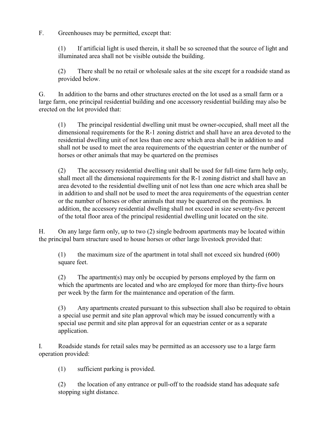F. Greenhouses may be permitted, except that:

(1) If artificial light is used therein, it shall be so screened that the source of light and illuminated area shall not be visible outside the building.

(2) There shall be no retail or wholesale sales at the site except for a roadside stand as provided below.

G. In addition to the barns and other structures erected on the lot used as a small farm or a large farm, one principal residential building and one accessory residential building may also be erected on the lot provided that:

(1) The principal residential dwelling unit must be owner-occupied, shall meet all the dimensional requirements for the R-1 zoning district and shall have an area devoted to the residential dwelling unit of not less than one acre which area shall be in addition to and shall not be used to meet the area requirements of the equestrian center or the number of horses or other animals that may be quartered on the premises

(2) The accessory residential dwelling unit shall be used for full-time farm help only, shall meet all the dimensional requirements for the R-1 zoning district and shall have an area devoted to the residential dwelling unit of not less than one acre which area shall be in addition to and shall not be used to meet the area requirements of the equestrian center or the number of horses or other animals that may be quartered on the premises. In addition, the accessory residential dwelling shall not exceed in size seventy-five percent of the total floor area of the principal residential dwelling unit located on the site.

H. On any large farm only, up to two (2) single bedroom apartments may be located within the principal barn structure used to house horses or other large livestock provided that:

(1) the maximum size of the apartment in total shall not exceed six hundred (600) square feet.

(2) The apartment(s) may only be occupied by persons employed by the farm on which the apartments are located and who are employed for more than thirty-five hours per week by the farm for the maintenance and operation of the farm.

(3) Any apartments created pursuant to this subsection shall also be required to obtain a special use permit and site plan approval which may be issued concurrently with a special use permit and site plan approval for an equestrian center or as a separate application.

I. Roadside stands for retail sales may be permitted as an accessory use to a large farm operation provided:

(1) sufficient parking is provided.

(2) the location of any entrance or pull-off to the roadside stand has adequate safe stopping sight distance.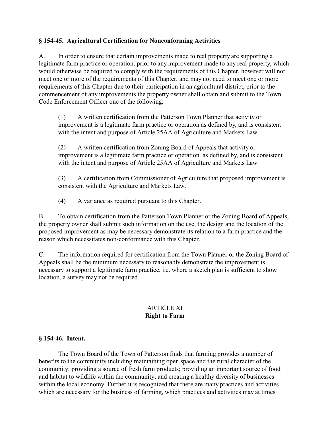### **§ 154-45. Agricultural Certification for Nonconforming Activities**

A. In order to ensure that certain improvements made to real property are supporting a legitimate farm practice or operation, prior to any improvement made to any real property, which would otherwise be required to comply with the requirements of this Chapter, however will not meet one or more of the requirements of this Chapter, and may not need to meet one or more requirements of this Chapter due to their participation in an agricultural district, prior to the commencement of any improvements the property owner shall obtain and submit to the Town Code Enforcement Officer one of the following:

(1) A written certification from the Patterson Town Planner that activity or improvement is a legitimate farm practice or operation as defined by, and is consistent with the intent and purpose of Article 25AA of Agriculture and Markets Law.

(2) A written certification from Zoning Board of Appeals that activity or improvement is a legitimate farm practice or operation as defined by, and is consistent with the intent and purpose of Article 25AA of Agriculture and Markets Law.

(3) A certification from Commissioner of Agriculture that proposed improvement is consistent with the Agriculture and Markets Law.

(4) A variance as required pursuant to this Chapter.

B. To obtain certification from the Patterson Town Planner or the Zoning Board of Appeals, the property owner shall submit such information on the use, the design and the location of the proposed improvement as may be necessary demonstrate its relation to a farm practice and the reason which necessitates non-conformance with this Chapter.

C. The information required for certification from the Town Planner or the Zoning Board of Appeals shall be the minimum necessary to reasonably demonstrate the improvement is necessary to support a legitimate farm practice, i.e. where a sketch plan is sufficient to show location, a survey may not be required.

## ARTICLE XI **Right to Farm**

### **§ 154-46. Intent.**

The Town Board of the Town of Patterson finds that farming provides a number of benefits to the community including maintaining open space and the rural character of the community; providing a source of fresh farm products; providing an important source of food and habitat to wildlife within the community; and creating a healthy diversity of businesses within the local economy. Further it is recognized that there are many practices and activities which are necessary for the business of farming, which practices and activities may at times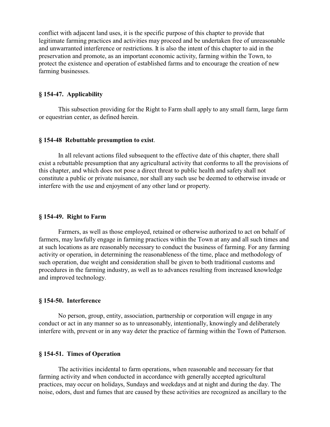conflict with adjacent land uses, it is the specific purpose of this chapter to provide that legitimate farming practices and activities may proceed and be undertaken free of unreasonable and unwarranted interference or restrictions. It is also the intent of this chapter to aid in the preservation and promote, as an important economic activity, farming within the Town, to protect the existence and operation of established farms and to encourage the creation of new farming businesses.

#### **§ 154-47. Applicability**

This subsection providing for the Right to Farm shall apply to any small farm, large farm or equestrian center, as defined herein.

#### **§ 154-48 Rebuttable presumption to exist**.

In all relevant actions filed subsequent to the effective date of this chapter, there shall exist a rebuttable presumption that any agricultural activity that conforms to all the provisions of this chapter, and which does not pose a direct threat to public health and safety shall not constitute a public or private nuisance, nor shall any such use be deemed to otherwise invade or interfere with the use and enjoyment of any other land or property.

#### **§ 154-49. Right to Farm**

Farmers, as well as those employed, retained or otherwise authorized to act on behalf of farmers, may lawfully engage in farming practices within the Town at any and all such times and at such locations as are reasonably necessary to conduct the business of farming. For any farming activity or operation, in determining the reasonableness of the time, place and methodology of such operation, due weight and consideration shall be given to both traditional customs and procedures in the farming industry, as well as to advances resulting from increased knowledge and improved technology.

#### **§ 154-50. Interference**

No person, group, entity, association, partnership or corporation will engage in any conduct or act in any manner so as to unreasonably, intentionally, knowingly and deliberately interfere with, prevent or in any way deter the practice of farming within the Town of Patterson.

#### **§ 154-51. Times of Operation**

The activities incidental to farm operations, when reasonable and necessary for that farming activity and when conducted in accordance with generally accepted agricultural practices, may occur on holidays, Sundays and weekdays and at night and during the day. The noise, odors, dust and fumes that are caused by these activities are recognized as ancillary to the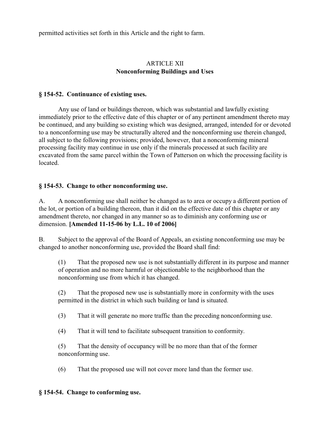permitted activities set forth in this Article and the right to farm.

## ARTICLE XII **Nonconforming Buildings and Uses**

### **§ 154-52. Continuance of existing uses.**

Any use of land or buildings thereon, which was substantial and lawfully existing immediately prior to the effective date of this chapter or of any pertinent amendment thereto may be continued, and any building so existing which was designed, arranged, intended for or devoted to a nonconforming use may be structurally altered and the nonconforming use therein changed, all subject to the following provisions; provided, however, that a nonconforming mineral processing facility may continue in use only if the minerals processed at such facility are excavated from the same parcel within the Town of Patterson on which the processing facility is located.

### **§ 154-53. Change to other nonconforming use.**

A. A nonconforming use shall neither be changed as to area or occupy a different portion of the lot, or portion of a building thereon, than it did on the effective date of this chapter or any amendment thereto, nor changed in any manner so as to diminish any conforming use or dimension. **[Amended 11-15-06 by L.L. 10 of 2006]** 

B. Subject to the approval of the Board of Appeals, an existing nonconforming use may be changed to another nonconforming use, provided the Board shall find:

(1) That the proposed new use is not substantially different in its purpose and manner of operation and no more harmful or objectionable to the neighborhood than the nonconforming use from which it has changed.

(2) That the proposed new use is substantially more in conformity with the uses permitted in the district in which such building or land is situated.

(3) That it will generate no more traffic than the preceding nonconforming use.

(4) That it will tend to facilitate subsequent transition to conformity.

(5) That the density of occupancy will be no more than that of the former nonconforming use.

(6) That the proposed use will not cover more land than the former use.

### **§ 154-54. Change to conforming use.**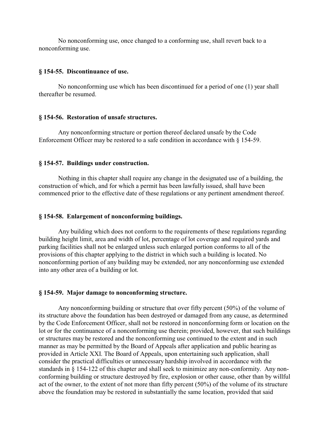No nonconforming use, once changed to a conforming use, shall revert back to a nonconforming use.

#### **§ 154-55. Discontinuance of use.**

No nonconforming use which has been discontinued for a period of one (1) year shall thereafter be resumed.

#### **§ 154-56. Restoration of unsafe structures.**

Any nonconforming structure or portion thereof declared unsafe by the Code Enforcement Officer may be restored to a safe condition in accordance with  $\S$  154-59.

#### **§ 154-57. Buildings under construction.**

Nothing in this chapter shall require any change in the designated use of a building, the construction of which, and for which a permit has been lawfully issued, shall have been commenced prior to the effective date of these regulations or any pertinent amendment thereof.

#### **§ 154-58. Enlargement of nonconforming buildings.**

Any building which does not conform to the requirements of these regulations regarding building height limit, area and width of lot, percentage of lot coverage and required yards and parking facilities shall not be enlarged unless such enlarged portion conforms to all of the provisions of this chapter applying to the district in which such a building is located. No nonconforming portion of any building may be extended, nor any nonconforming use extended into any other area of a building or lot.

#### **§ 154-59. Major damage to nonconforming structure.**

Any nonconforming building or structure that over fifty percent (50%) of the volume of its structure above the foundation has been destroyed or damaged from any cause, as determined by the Code Enforcement Officer, shall not be restored in nonconforming form or location on the lot or for the continuance of a nonconforming use therein; provided, however, that such buildings or structures may be restored and the nonconforming use continued to the extent and in such manner as may be permitted by the Board of Appeals after application and public hearing as provided in Article XXI. The Board of Appeals, upon entertaining such application, shall consider the practical difficulties or unnecessary hardship involved in accordance with the standards in § 154-122 of this chapter and shall seek to minimize any non-conformity. Any nonconforming building or structure destroyed by fire, explosion or other cause, other than by willful act of the owner, to the extent of not more than fifty percent (50%) of the volume of its structure above the foundation may be restored in substantially the same location, provided that said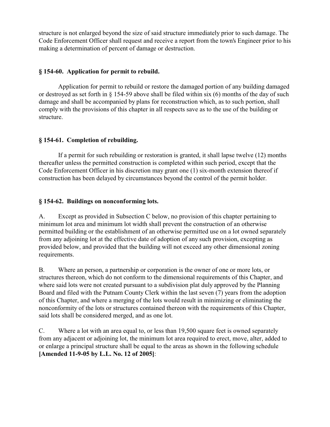structure is not enlarged beyond the size of said structure immediately prior to such damage. The Code Enforcement Officer shall request and receive a report from the town's Engineer prior to his making a determination of percent of damage or destruction.

## **§ 154-60. Application for permit to rebuild.**

Application for permit to rebuild or restore the damaged portion of any building damaged or destroyed as set forth in § 154-59 above shall be filed within six (6) months of the day of such damage and shall be accompanied by plans for reconstruction which, as to such portion, shall comply with the provisions of this chapter in all respects save as to the use of the building or structure.

# **§ 154-61. Completion of rebuilding.**

If a permit for such rebuilding or restoration is granted, it shall lapse twelve (12) months thereafter unless the permitted construction is completed within such period, except that the Code Enforcement Officer in his discretion may grant one (1) six-month extension thereof if construction has been delayed by circumstances beyond the control of the permit holder.

# **§ 154-62. Buildings on nonconforming lots.**

A. Except as provided in Subsection C below, no provision of this chapter pertaining to minimum lot area and minimum lot width shall prevent the construction of an otherwise permitted building or the establishment of an otherwise permitted use on a lot owned separately from any adjoining lot at the effective date of adoption of any such provision, excepting as provided below, and provided that the building will not exceed any other dimensional zoning requirements.

B. Where an person, a partnership or corporation is the owner of one or more lots, or structures thereon, which do not conform to the dimensional requirements of this Chapter, and where said lots were not created pursuant to a subdivision plat duly approved by the Planning Board and filed with the Putnam County Clerk within the last seven (7) years from the adoption of this Chapter, and where a merging of the lots would result in minimizing or eliminating the nonconformity of the lots or structures contained thereon with the requirements of this Chapter, said lots shall be considered merged, and as one lot.

C. Where a lot with an area equal to, or less than 19,500 square feet is owned separately from any adjacent or adjoining lot, the minimum lot area required to erect, move, alter, added to or enlarge a principal structure shall be equal to the areas as shown in the following schedule **[Amended 11-9-05 by L.L. No. 12 of 2005]**: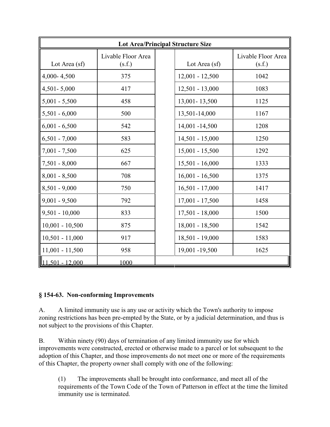| <b>Lot Area/Principal Structure Size</b> |                              |  |                   |                              |  |
|------------------------------------------|------------------------------|--|-------------------|------------------------------|--|
| Lot Area (sf)                            | Livable Floor Area<br>(s.f.) |  | Lot Area (sf)     | Livable Floor Area<br>(s.f.) |  |
| 4,000-4,500                              | 375                          |  | $12,001 - 12,500$ | 1042                         |  |
| $4,501 - 5,000$                          | 417                          |  | $12,501 - 13,000$ | 1083                         |  |
| $5,001 - 5,500$                          | 458                          |  | 13,001-13,500     | 1125                         |  |
| $5,501 - 6,000$                          | 500                          |  | 13,501-14,000     | 1167                         |  |
| $6,001 - 6,500$                          | 542                          |  | 14,001 -14,500    | 1208                         |  |
| $6,501 - 7,000$                          | 583                          |  | $14,501 - 15,000$ | 1250                         |  |
| $7,001 - 7,500$                          | 625                          |  | $15,001 - 15,500$ | 1292                         |  |
| $7,501 - 8,000$                          | 667                          |  | $15,501 - 16,000$ | 1333                         |  |
| $8,001 - 8,500$                          | 708                          |  | $16,001 - 16,500$ | 1375                         |  |
| $8,501 - 9,000$                          | 750                          |  | $16,501 - 17,000$ | 1417                         |  |
| $9,001 - 9,500$                          | 792                          |  | $17,001 - 17,500$ | 1458                         |  |
| $9,501 - 10,000$                         | 833                          |  | $17,501 - 18,000$ | 1500                         |  |
| $10,001 - 10,500$                        | 875                          |  | $18,001 - 18,500$ | 1542                         |  |
| $10,501 - 11,000$                        | 917                          |  | 18,501 - 19,000   | 1583                         |  |
| $11,001 - 11,500$                        | 958                          |  | 19,001 -19,500    | 1625                         |  |
| 11.501 - 12.000                          | 1000                         |  |                   |                              |  |

# **§ 154-63. Non-conforming Improvements**

A. A limited immunity use is any use or activity which the Town's authority to impose zoning restrictions has been pre-empted by the State, or by a judicial determination, and thus is not subject to the provisions of this Chapter.

B. Within ninety (90) days of termination of any limited immunity use for which improvements were constructed, erected or otherwise made to a parcel or lot subsequent to the adoption of this Chapter, and those improvements do not meet one or more of the requirements of this Chapter, the property owner shall comply with one of the following:

(1) The improvements shall be brought into conformance, and meet all of the requirements of the Town Code of the Town of Patterson in effect at the time the limited immunity use is terminated.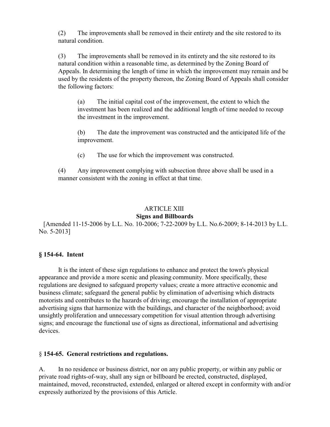(2) The improvements shall be removed in their entirety and the site restored to its natural condition.

(3) The improvements shall be removed in its entirety and the site restored to its natural condition within a reasonable time, as determined by the Zoning Board of Appeals. In determining the length of time in which the improvement may remain and be used by the residents of the property thereon, the Zoning Board of Appeals shall consider the following factors:

(a) The initial capital cost of the improvement, the extent to which the investment has been realized and the additional length of time needed to recoup the investment in the improvement.

(b) The date the improvement was constructed and the anticipated life of the improvement.

(c) The use for which the improvement was constructed.

(4) Any improvement complying with subsection three above shall be used in a manner consistent with the zoning in effect at that time.

#### ARTICLE XIII **Signs and Billboards**

 [Amended 11-15-2006 by L.L. No. 10-2006; 7-22-2009 by L.L. No.6-2009; 8-14-2013 by L.L. No. 5-2013]

### **§ 154-64. Intent**

It is the intent of these sign regulations to enhance and protect the town's physical appearance and provide a more scenic and pleasing community. More specifically, these regulations are designed to safeguard property values; create a more attractive economic and business climate; safeguard the general public by elimination of advertising which distracts motorists and contributes to the hazards of driving; encourage the installation of appropriate advertising signs that harmonize with the buildings, and character of the neighborhood; avoid unsightly proliferation and unnecessary competition for visual attention through advertising signs; and encourage the functional use of signs as directional, informational and advertising devices.

#### § **154-65. General restrictions and regulations.**

A. In no residence or business district, nor on any public property, or within any public or private road rights-of-way, shall any sign or billboard be erected, constructed, displayed, maintained, moved, reconstructed, extended, enlarged or altered except in conformity with and/or expressly authorized by the provisions of this Article.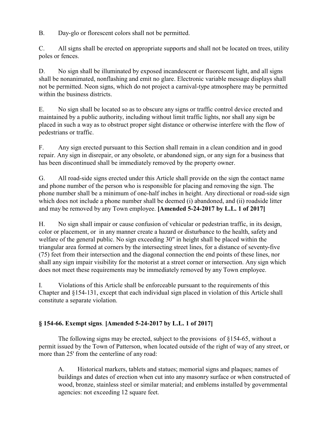B. Day-glo or florescent colors shall not be permitted.

C. All signs shall be erected on appropriate supports and shall not be located on trees, utility poles or fences.

D. No sign shall be illuminated by exposed incandescent or fluorescent light, and all signs shall be nonanimated, nonflashing and emit no glare. Electronic variable message displays shall not be permitted. Neon signs, which do not project a carnival-type atmosphere may be permitted within the business districts.

E. No sign shall be located so as to obscure any signs or traffic control device erected and maintained by a public authority, including without limit traffic lights, nor shall any sign be placed in such a way as to obstruct proper sight distance or otherwise interfere with the flow of pedestrians or traffic.

F. Any sign erected pursuant to this Section shall remain in a clean condition and in good repair. Any sign in disrepair, or any obsolete, or abandoned sign, or any sign for a business that has been discontinued shall be immediately removed by the property owner.

G. All road-side signs erected under this Article shall provide on the sign the contact name and phone number of the person who is responsible for placing and removing the sign. The phone number shall be a minimum of one-half inches in height. Any directional or road-side sign which does not include a phone number shall be deemed (i) abandoned, and (ii) roadside litter and may be removed by any Town employee. **[Amended 5-24-2017 by L.L. 1 of 2017]** 

H. No sign shall impair or cause confusion of vehicular or pedestrian traffic, in its design, color or placement, or in any manner create a hazard or disturbance to the health, safety and welfare of the general public. No sign exceeding 30" in height shall be placed within the triangular area formed at corners by the intersecting street lines, for a distance of seventy-five (75) feet from their intersection and the diagonal connection the end points of these lines, nor shall any sign impair visibility for the motorist at a street corner or intersection. Any sign which does not meet these requirements may be immediately removed by any Town employee.

I. Violations of this Article shall be enforceable pursuant to the requirements of this Chapter and §154-131, except that each individual sign placed in violation of this Article shall constitute a separate violation.

# **§ 154-66. Exempt signs**. **[Amended 5-24-2017 by L.L. 1 of 2017]**

The following signs may be erected, subject to the provisions of  $\S154-65$ , without a permit issued by the Town of Patterson, when located outside of the right of way of any street, or more than 25' from the centerline of any road:

A. Historical markers, tablets and statues; memorial signs and plaques; names of buildings and dates of erection when cut into any masonry surface or when constructed of wood, bronze, stainless steel or similar material; and emblems installed by governmental agencies: not exceeding 12 square feet.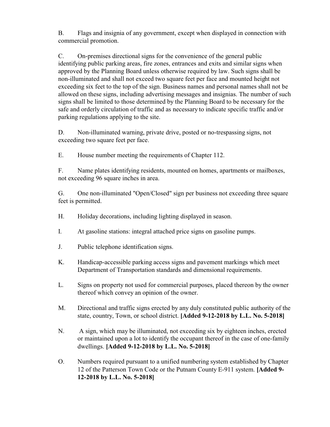B. Flags and insignia of any government, except when displayed in connection with commercial promotion.

C. On-premises directional signs for the convenience of the general public identifying public parking areas, fire zones, entrances and exits and similar signs when approved by the Planning Board unless otherwise required by law. Such signs shall be non-illuminated and shall not exceed two square feet per face and mounted height not exceeding six feet to the top of the sign. Business names and personal names shall not be allowed on these signs, including advertising messages and insignias. The number of such signs shall be limited to those determined by the Planning Board to be necessary for the safe and orderly circulation of traffic and as necessary to indicate specific traffic and/or parking regulations applying to the site.

D. Non-illuminated warning, private drive, posted or no-trespassing signs, not exceeding two square feet per face.

E. House number meeting the requirements of Chapter 112.

F. Name plates identifying residents, mounted on homes, apartments or mailboxes, not exceeding 96 square inches in area.

G. One non-illuminated "Open/Closed" sign per business not exceeding three square feet is permitted.

- H. Holiday decorations, including lighting displayed in season.
- I. At gasoline stations: integral attached price signs on gasoline pumps.
- J. Public telephone identification signs.
- K. Handicap-accessible parking access signs and pavement markings which meet Department of Transportation standards and dimensional requirements.
- L. Signs on property not used for commercial purposes, placed thereon by the owner thereof which convey an opinion of the owner.
- M. Directional and traffic signs erected by any duly constituted public authority of the state, country, Town, or school district. **[Added 9-12-2018 by L.L. No. 5-2018]**
- N. A sign, which may be illuminated, not exceeding six by eighteen inches, erected or maintained upon a lot to identify the occupant thereof in the case of one-family dwellings. **[Added 9-12-2018 by L.L. No. 5-2018]**
- O. Numbers required pursuant to a unified numbering system established by Chapter 12 of the Patterson Town Code or the Putnam County E-911 system. **[Added 9- 12-2018 by L.L. No. 5-2018]**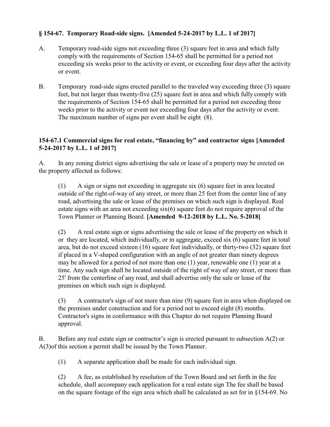# **§ 154-67. Temporary Road-side signs. [Amended 5-24-2017 by L.L. 1 of 2017]**

- A. Temporary road-side signs not exceeding three (3) square feet in area and which fully comply with the requirements of Section 154-65 shall be permitted for a period not exceeding six weeks prior to the activity or event, or exceeding four days after the activity or event.
- B. Temporary road-side signs erected parallel to the traveled way exceeding three (3) square feet, but not larger than twenty-five (25) square feet in area and which fully comply with the requirements of Section 154-65 shall be permitted for a period not exceeding three weeks prior to the activity or event nor exceeding four days after the activity or event. The maximum number of signs per event shall be eight (8).

## **154-67.1 Commercial signs for real estate, "financing by" and contractor signs [Amended 5-24-2017 by L.L. 1 of 2017]**

A. In any zoning district signs advertising the sale or lease of a property may be erected on the property affected as follows:

(1) A sign or signs not exceeding in aggregate six (6) square feet in area located outside of the right-of-way of any street, or more than 25 feet from the center line of any road, advertising the sale or lease of the premises on which such sign is displayed. Real estate signs with an area not exceeding  $six(6)$  square feet do not require approval of the Town Planner or Planning Board. **[Amended 9-12-2018 by L.L. No. 5-2018]**

(2) A real estate sign or signs advertising the sale or lease of the property on which it or they are located, which individually, or in aggregate, exceed six (6) square feet in total area, but do not exceed sixteen (16) square feet individually, or thirty-two (32) square feet if placed in a V-shaped configuration with an angle of not greater than ninety degrees may be allowed for a period of not more than one (1) year, renewable one (1) year at a time. Any such sign shall be located outside of the right of way of any street, or more than 25' from the centerline of any road, and shall advertise only the sale or lease of the premises on which such sign is displayed.

(3) A contractor's sign of not more than nine (9) square feet in area when displayed on the premises under construction and for a period not to exceed eight (8) months. Contractor's signs in conformance with this Chapter do not require Planning Board approval.

B. Before any real estate sign or contractor's sign is erected pursuant to subsection A(2) or A(3)of this section a permit shall be issued by the Town Planner.

(1) A separate application shall be made for each individual sign.

(2) A fee, as established by resolution of the Town Board and set forth in the fee schedule, shall accompany each application for a real estate sign The fee shall be based on the square footage of the sign area which shall be calculated as set for in §154-69. No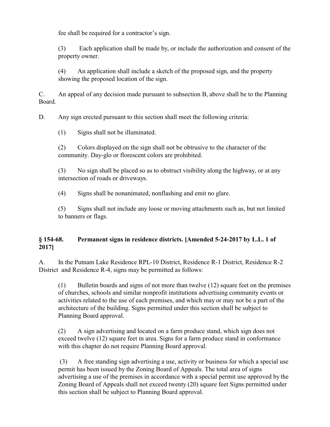fee shall be required for a contractor's sign.

(3) Each application shall be made by, or include the authorization and consent of the property owner.

(4) An application shall include a sketch of the proposed sign, and the property showing the proposed location of the sign.

C. An appeal of any decision made pursuant to subsection B, above shall be to the Planning Board.

D. Any sign erected pursuant to this section shall meet the following criteria:

(1) Signs shall not be illuminated.

(2) Colors displayed on the sign shall not be obtrusive to the character of the community. Day-glo or florescent colors are prohibited.

(3) No sign shall be placed so as to obstruct visibility along the highway, or at any intersection of roads or driveways.

(4) Signs shall be nonanimated, nonflashing and emit no glare.

(5) Signs shall not include any loose or moving attachments such as, but not limited to banners or flags.

# **§ 154-68. Permanent signs in residence districts. [Amended 5-24-2017 by L.L. 1 of 2017]**

A. In the Putnam Lake Residence RPL-10 District, Residence R-1 District, Residence R-2 District and Residence R-4, signs may be permitted as follows:

(1) Bulletin boards and signs of not more than twelve (12) square feet on the premises of churches, schools and similar nonprofit institutions advertising community events or activities related to the use of each premises, and which may or may not be a part of the architecture of the building. Signs permitted under this section shall be subject to Planning Board approval.

(2) A sign advertising and located on a farm produce stand, which sign does not exceed twelve (12) square feet in area. Signs for a farm produce stand in conformance with this chapter do not require Planning Board approval.

 (3) A free standing sign advertising a use, activity or business for which a special use permit has been issued by the Zoning Board of Appeals. The total area of signs advertising a use of the premises in accordance with a special permit use approved by the Zoning Board of Appeals shall not exceed twenty (20) square feet Signs permitted under this section shall be subject to Planning Board approval.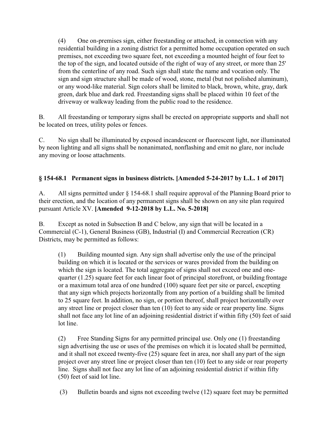(4) One on-premises sign, either freestanding or attached, in connection with any residential building in a zoning district for a permitted home occupation operated on such premises, not exceeding two square feet, not exceeding a mounted height of four feet to the top of the sign, and located outside of the right of way of any street, or more than 25' from the centerline of any road. Such sign shall state the name and vocation only. The sign and sign structure shall be made of wood, stone, metal (but not polished aluminum), or any wood-like material. Sign colors shall be limited to black, brown, white, gray, dark green, dark blue and dark red. Freestanding signs shall be placed within 10 feet of the driveway or walkway leading from the public road to the residence.

B. All freestanding or temporary signs shall be erected on appropriate supports and shall not be located on trees, utility poles or fences.

C. No sign shall be illuminated by exposed incandescent or fluorescent light, nor illuminated by neon lighting and all signs shall be nonanimated, nonflashing and emit no glare, nor include any moving or loose attachments.

# **§ 154-68.1 Permanent signs in business districts. [Amended 5-24-2017 by L.L. 1 of 2017]**

A. All signs permitted under § 154-68.1 shall require approval of the Planning Board prior to their erection, and the location of any permanent signs shall be shown on any site plan required pursuant Article XV. **[Amended 9-12-2018 by L.L. No. 5-2018]**

B. Except as noted in Subsection B and C below, any sign that will be located in a Commercial (C-1), General Business (GB), Industrial (I) and Commercial Recreation (CR) Districts, may be permitted as follows:

(1) Building mounted sign. Any sign shall advertise only the use of the principal building on which it is located or the services or wares provided from the building on which the sign is located. The total aggregate of signs shall not exceed one and onequarter (1.25) square feet for each linear foot of principal storefront, or building frontage or a maximum total area of one hundred (100) square feet per site or parcel, excepting that any sign which projects horizontally from any portion of a building shall be limited to 25 square feet. In addition, no sign, or portion thereof, shall project horizontally over any street line or project closer than ten (10) feet to any side or rear property line. Signs shall not face any lot line of an adjoining residential district if within fifty (50) feet of said lot line.

(2) Free Standing Signs for any permitted principal use. Only one (1) freestanding sign advertising the use or uses of the premises on which it is located shall be permitted, and it shall not exceed twenty-five (25) square feet in area, nor shall any part of the sign project over any street line or project closer than ten (10) feet to any side or rear property line. Signs shall not face any lot line of an adjoining residential district if within fifty (50) feet of said lot line.

(3) Bulletin boards and signs not exceeding twelve (12) square feet may be permitted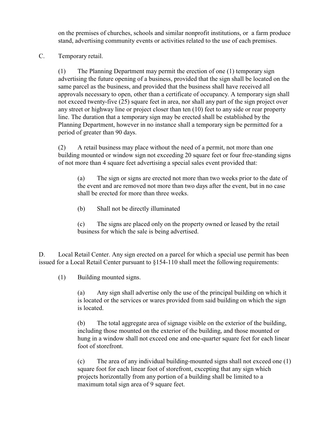on the premises of churches, schools and similar nonprofit institutions, or a farm produce stand, advertising community events or activities related to the use of each premises.

C. Temporary retail.

(1) The Planning Department may permit the erection of one (1) temporary sign advertising the future opening of a business, provided that the sign shall be located on the same parcel as the business, and provided that the business shall have received all approvals necessary to open, other than a certificate of occupancy. A temporary sign shall not exceed twenty-five (25) square feet in area, nor shall any part of the sign project over any street or highway line or project closer than ten (10) feet to any side or rear property line. The duration that a temporary sign may be erected shall be established by the Planning Department, however in no instance shall a temporary sign be permitted for a period of greater than 90 days.

(2) A retail business may place without the need of a permit, not more than one building mounted or window sign not exceeding 20 square feet or four free-standing signs of not more than 4 square feet advertising a special sales event provided that:

(a) The sign or signs are erected not more than two weeks prior to the date of the event and are removed not more than two days after the event, but in no case shall be erected for more than three weeks.

(b) Shall not be directly illuminated

(c) The signs are placed only on the property owned or leased by the retail business for which the sale is being advertised.

D. Local Retail Center. Any sign erected on a parcel for which a special use permit has been issued for a Local Retail Center pursuant to §154-110 shall meet the following requirements:

(1) Building mounted signs.

(a) Any sign shall advertise only the use of the principal building on which it is located or the services or wares provided from said building on which the sign is located.

(b) The total aggregate area of signage visible on the exterior of the building, including those mounted on the exterior of the building, and those mounted or hung in a window shall not exceed one and one-quarter square feet for each linear foot of storefront.

(c) The area of any individual building-mounted signs shall not exceed one (1) square foot for each linear foot of storefront, excepting that any sign which projects horizontally from any portion of a building shall be limited to a maximum total sign area of 9 square feet.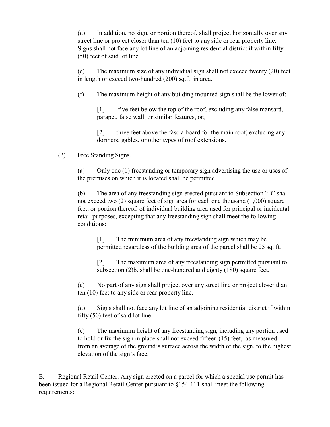(d) In addition, no sign, or portion thereof, shall project horizontally over any street line or project closer than ten (10) feet to any side or rear property line. Signs shall not face any lot line of an adjoining residential district if within fifty (50) feet of said lot line.

(e) The maximum size of any individual sign shall not exceed twenty (20) feet in length or exceed two-hundred (200) sq.ft. in area.

(f) The maximum height of any building mounted sign shall be the lower of;

[1] five feet below the top of the roof, excluding any false mansard, parapet, false wall, or similar features, or;

[2] three feet above the fascia board for the main roof, excluding any dormers, gables, or other types of roof extensions.

### (2) Free Standing Signs.

(a) Only one (1) freestanding or temporary sign advertising the use or uses of the premises on which it is located shall be permitted.

(b) The area of any freestanding sign erected pursuant to Subsection "B" shall not exceed two (2) square feet of sign area for each one thousand (1,000) square feet, or portion thereof, of individual building area used for principal or incidental retail purposes, excepting that any freestanding sign shall meet the following conditions:

[1] The minimum area of any freestanding sign which may be permitted regardless of the building area of the parcel shall be 25 sq. ft.

[2] The maximum area of any freestanding sign permitted pursuant to subsection (2)b. shall be one-hundred and eighty (180) square feet.

(c) No part of any sign shall project over any street line or project closer than ten (10) feet to any side or rear property line.

(d) Signs shall not face any lot line of an adjoining residential district if within fifty (50) feet of said lot line.

(e) The maximum height of any freestanding sign, including any portion used to hold or fix the sign in place shall not exceed fifteen (15) feet, as measured from an average of the ground's surface across the width of the sign, to the highest elevation of the sign's face.

E. Regional Retail Center. Any sign erected on a parcel for which a special use permit has been issued for a Regional Retail Center pursuant to §154-111 shall meet the following requirements: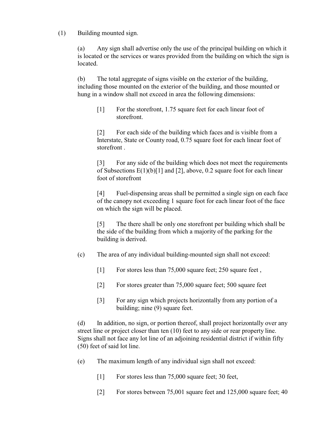(1) Building mounted sign.

(a) Any sign shall advertise only the use of the principal building on which it is located or the services or wares provided from the building on which the sign is located.

(b) The total aggregate of signs visible on the exterior of the building, including those mounted on the exterior of the building, and those mounted or hung in a window shall not exceed in area the following dimensions:

[1] For the storefront, 1.75 square feet for each linear foot of storefront.

[2] For each side of the building which faces and is visible from a Interstate, State or County road, 0.75 square foot for each linear foot of storefront .

[3] For any side of the building which does not meet the requirements of Subsections E(1)(b)[1] and [2], above, 0.2 square foot for each linear foot of storefront

[4] Fuel-dispensing areas shall be permitted a single sign on each face of the canopy not exceeding 1 square foot for each linear foot of the face on which the sign will be placed.

[5] The there shall be only one storefront per building which shall be the side of the building from which a majority of the parking for the building is derived.

- (c) The area of any individual building-mounted sign shall not exceed:
	- [1] For stores less than 75,000 square feet; 250 square feet,
	- [2] For stores greater than 75,000 square feet; 500 square feet
	- [3] For any sign which projects horizontally from any portion of a building; nine (9) square feet.

(d) In addition, no sign, or portion thereof, shall project horizontally over any street line or project closer than ten (10) feet to any side or rear property line. Signs shall not face any lot line of an adjoining residential district if within fifty (50) feet of said lot line.

- (e) The maximum length of any individual sign shall not exceed:
	- [1] For stores less than 75,000 square feet; 30 feet,
	- [2] For stores between 75,001 square feet and 125,000 square feet; 40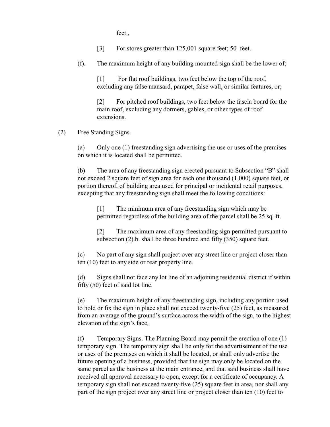feet ,

[3] For stores greater than 125,001 square feet; 50 feet.

(f). The maximum height of any building mounted sign shall be the lower of;

[1] For flat roof buildings, two feet below the top of the roof, excluding any false mansard, parapet, false wall, or similar features, or;

[2] For pitched roof buildings, two feet below the fascia board for the main roof, excluding any dormers, gables, or other types of roof extensions.

### (2) Free Standing Signs.

(a) Only one (1) freestanding sign advertising the use or uses of the premises on which it is located shall be permitted.

(b) The area of any freestanding sign erected pursuant to Subsection "B" shall not exceed 2 square feet of sign area for each one thousand (1,000) square feet, or portion thereof, of building area used for principal or incidental retail purposes, excepting that any freestanding sign shall meet the following conditions:

[1] The minimum area of any freestanding sign which may be permitted regardless of the building area of the parcel shall be 25 sq. ft.

[2] The maximum area of any freestanding sign permitted pursuant to subsection (2).b. shall be three hundred and fifty (350) square feet.

(c) No part of any sign shall project over any street line or project closer than ten (10) feet to any side or rear property line.

(d) Signs shall not face any lot line of an adjoining residential district if within fifty (50) feet of said lot line.

(e) The maximum height of any freestanding sign, including any portion used to hold or fix the sign in place shall not exceed twenty-five (25) feet, as measured from an average of the ground's surface across the width of the sign, to the highest elevation of the sign's face.

(f) Temporary Signs. The Planning Board may permit the erection of one (1) temporary sign. The temporary sign shall be only for the advertisement of the use or uses of the premises on which it shall be located, or shall only advertise the future opening of a business, provided that the sign may only be located on the same parcel as the business at the main entrance, and that said business shall have received all approval necessary to open, except for a certificate of occupancy. A temporary sign shall not exceed twenty-five (25) square feet in area, nor shall any part of the sign project over any street line or project closer than ten (10) feet to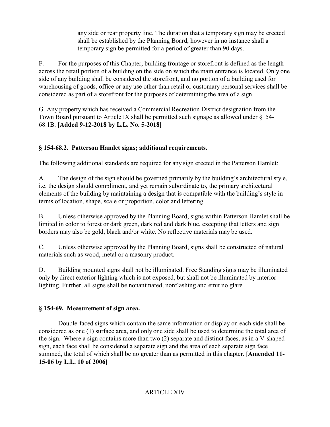any side or rear property line. The duration that a temporary sign may be erected shall be established by the Planning Board, however in no instance shall a temporary sign be permitted for a period of greater than 90 days.

F. For the purposes of this Chapter, building frontage or storefront is defined as the length across the retail portion of a building on the side on which the main entrance is located. Only one side of any building shall be considered the storefront, and no portion of a building used for warehousing of goods, office or any use other than retail or customary personal services shall be considered as part of a storefront for the purposes of determining the area of a sign.

G. Any property which has received a Commercial Recreation District designation from the Town Board pursuant to Article IX shall be permitted such signage as allowed under §154- 68.1B. **[Added 9-12-2018 by L.L. No. 5-2018]**

# **§ 154-68.2. Patterson Hamlet signs; additional requirements.**

The following additional standards are required for any sign erected in the Patterson Hamlet:

A. The design of the sign should be governed primarily by the building's architectural style, i.e. the design should compliment, and yet remain subordinate to, the primary architectural elements of the building by maintaining a design that is compatible with the building's style in terms of location, shape, scale or proportion, color and lettering.

B. Unless otherwise approved by the Planning Board, signs within Patterson Hamlet shall be limited in color to forest or dark green, dark red and dark blue, excepting that letters and sign borders may also be gold, black and/or white. No reflective materials may be used.

C. Unless otherwise approved by the Planning Board, signs shall be constructed of natural materials such as wood, metal or a masonry product.

D. Building mounted signs shall not be illuminated. Free Standing signs may be illuminated only by direct exterior lighting which is not exposed, but shall not be illuminated by interior lighting. Further, all signs shall be nonanimated, nonflashing and emit no glare.

# **§ 154-69. Measurement of sign area.**

Double-faced signs which contain the same information or display on each side shall be considered as one (1) surface area, and only one side shall be used to determine the total area of the sign. Where a sign contains more than two (2) separate and distinct faces, as in a V-shaped sign, each face shall be considered a separate sign and the area of each separate sign face summed, the total of which shall be no greater than as permitted in this chapter. **[Amended 11- 15-06 by L.L. 10 of 2006]**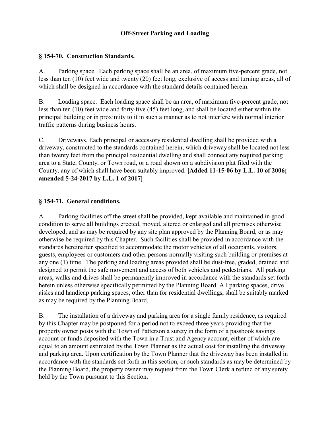# **Off-Street Parking and Loading**

### **§ 154-70. Construction Standards.**

A. Parking space. Each parking space shall be an area, of maximum five-percent grade, not less than ten (10) feet wide and twenty (20) feet long, exclusive of access and turning areas, all of which shall be designed in accordance with the standard details contained herein.

B. Loading space. Each loading space shall be an area, of maximum five-percent grade, not less than ten (10) feet wide and forty-five (45) feet long, and shall be located either within the principal building or in proximity to it in such a manner as to not interfere with normal interior traffic patterns during business hours.

C. Driveways. Each principal or accessory residential dwelling shall be provided with a driveway, constructed to the standards contained herein, which driveway shall be located not less than twenty feet from the principal residential dwelling and shall connect any required parking area to a State, County, or Town road, or a road shown on a subdivision plat filed with the County, any of which shall have been suitably improved. **[Added 11-15-06 by L.L. 10 of 2006; amended 5-24-2017 by L.L. 1 of 2017]** 

## **§ 154-71. General conditions.**

A. Parking facilities off the street shall be provided, kept available and maintained in good condition to serve all buildings erected, moved, altered or enlarged and all premises otherwise developed, and as may be required by any site plan approved by the Planning Board, or as may otherwise be required by this Chapter. Such facilities shall be provided in accordance with the standards hereinafter specified to accommodate the motor vehicles of all occupants, visitors, guests, employees or customers and other persons normally visiting such building or premises at any one (1) time. The parking and loading areas provided shall be dust-free, graded, drained and designed to permit the safe movement and access of both vehicles and pedestrians. All parking areas, walks and drives shall be permanently improved in accordance with the standards set forth herein unless otherwise specifically permitted by the Planning Board. All parking spaces, drive aisles and handicap parking spaces, other than for residential dwellings, shall be suitably marked as may be required by the Planning Board.

B. The installation of a driveway and parking area for a single family residence, as required by this Chapter may be postponed for a period not to exceed three years providing that the property owner posts with the Town of Patterson a surety in the form of a passbook savings account or funds deposited with the Town in a Trust and Agency account, either of which are equal to an amount estimated by the Town Planner as the actual cost for installing the driveway and parking area. Upon certification by the Town Planner that the driveway has been installed in accordance with the standards set forth in this section, or such standards as may be determined by the Planning Board, the property owner may request from the Town Clerk a refund of any surety held by the Town pursuant to this Section.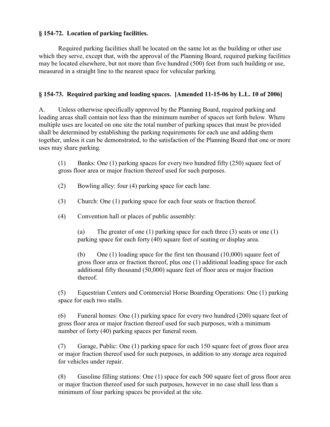## **§ 154-72. Location of parking facilities.**

Required parking facilities shall be located on the same lot as the building or other use which they serve, except that, with the approval of the Planning Board, required parking facilities may be located elsewhere, but not more than five hundred (500) feet from such building or use, measured in a straight line to the nearest space for vehicular parking.

### **§ 154-73. Required parking and loading spaces. [Amended 11-15-06 by L.L. 10 of 2006]**

A. Unless otherwise specifically approved by the Planning Board, required parking and loading areas shall contain not less than the minimum number of spaces set forth below. Where multiple uses are located on one site the total number of parking spaces that must be provided shall be determined by establishing the parking requirements for each use and adding them together, unless it can be demonstrated, to the satisfaction of the Planning Board that one or more uses may share parking.

(1) Banks: One (1) parking spaces for every two hundred fifty (250) square feet of gross floor area or major fraction thereof used for such purposes.

- (2) Bowling alley: four (4) parking space for each lane.
- (3) Church: One (1) parking space for each four seats or fraction thereof.
- (4) Convention hall or places of public assembly:

(a) The greater of one (1) parking space for each three (3) seats or one (1) parking space for each forty (40) square feet of seating or display area.

(b) One (1) loading space for the first ten thousand (10,000) square feet of gross floor area or fraction thereof, plus one (1) additional loading space for each additional fifty thousand (50,000) square feet of floor area or major fraction thereof.

(5) Equestrian Centers and Commercial Horse Boarding Operations: One (1) parking space for each two stalls.

(6) Funeral homes: One (1) parking space for every two hundred (200) square feet of gross floor area or major fraction thereof used for such purposes, with a minimum number of forty (40) parking spaces per funeral room.

(7) Garage, Public: One (1) parking space for each 150 square feet of gross floor area or major fraction thereof used for such purposes, in addition to any storage area required for vehicles under repair.

(8) Gasoline filling stations: One (1) space for each 500 square feet of gross floor area or major fraction thereof used for such purposes, however in no case shall less than a minimum of four parking spaces be provided at the site.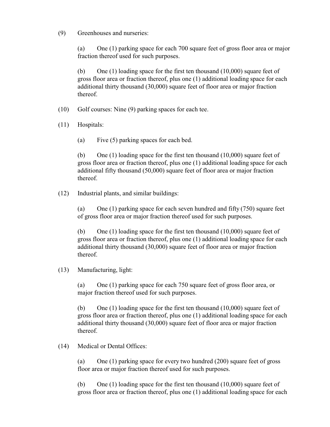(9) Greenhouses and nurseries:

(a) One (1) parking space for each 700 square feet of gross floor area or major fraction thereof used for such purposes.

(b) One (1) loading space for the first ten thousand (10,000) square feet of gross floor area or fraction thereof, plus one (1) additional loading space for each additional thirty thousand (30,000) square feet of floor area or major fraction thereof.

- (10) Golf courses: Nine (9) parking spaces for each tee.
- (11) Hospitals:
	- (a) Five (5) parking spaces for each bed.

(b) One (1) loading space for the first ten thousand (10,000) square feet of gross floor area or fraction thereof, plus one (1) additional loading space for each additional fifty thousand (50,000) square feet of floor area or major fraction thereof.

(12) Industrial plants, and similar buildings:

(a) One (1) parking space for each seven hundred and fifty (750) square feet of gross floor area or major fraction thereof used for such purposes.

(b) One  $(1)$  loading space for the first ten thousand  $(10,000)$  square feet of gross floor area or fraction thereof, plus one (1) additional loading space for each additional thirty thousand (30,000) square feet of floor area or major fraction thereof.

### (13) Manufacturing, light:

(a) One (1) parking space for each 750 square feet of gross floor area, or major fraction thereof used for such purposes.

(b) One (1) loading space for the first ten thousand (10,000) square feet of gross floor area or fraction thereof, plus one (1) additional loading space for each additional thirty thousand (30,000) square feet of floor area or major fraction thereof.

(14) Medical or Dental Offices:

(a) One (1) parking space for every two hundred (200) square feet of gross floor area or major fraction thereof used for such purposes.

(b) One  $(1)$  loading space for the first ten thousand  $(10,000)$  square feet of gross floor area or fraction thereof, plus one (1) additional loading space for each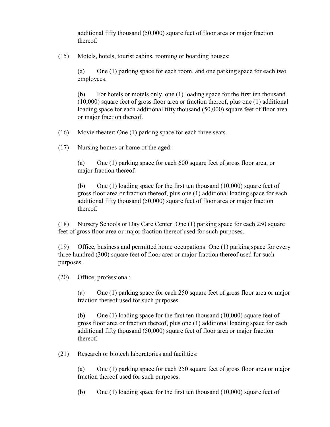additional fifty thousand (50,000) square feet of floor area or major fraction thereof.

(15) Motels, hotels, tourist cabins, rooming or boarding houses:

(a) One (1) parking space for each room, and one parking space for each two employees.

(b) For hotels or motels only, one (1) loading space for the first ten thousand (10,000) square feet of gross floor area or fraction thereof, plus one (1) additional loading space for each additional fifty thousand (50,000) square feet of floor area or major fraction thereof.

(16) Movie theater: One (1) parking space for each three seats.

(17) Nursing homes or home of the aged:

(a) One (1) parking space for each 600 square feet of gross floor area, or major fraction thereof.

(b) One  $(1)$  loading space for the first ten thousand  $(10,000)$  square feet of gross floor area or fraction thereof, plus one (1) additional loading space for each additional fifty thousand (50,000) square feet of floor area or major fraction thereof.

(18) Nursery Schools or Day Care Center: One (1) parking space for each 250 square feet of gross floor area or major fraction thereof used for such purposes.

(19) Office, business and permitted home occupations: One (1) parking space for every three hundred (300) square feet of floor area or major fraction thereof used for such purposes.

(20) Office, professional:

(a) One (1) parking space for each 250 square feet of gross floor area or major fraction thereof used for such purposes.

(b) One  $(1)$  loading space for the first ten thousand  $(10,000)$  square feet of gross floor area or fraction thereof, plus one (1) additional loading space for each additional fifty thousand (50,000) square feet of floor area or major fraction thereof.

(21) Research or biotech laboratories and facilities:

(a) One (1) parking space for each 250 square feet of gross floor area or major fraction thereof used for such purposes.

(b) One (1) loading space for the first ten thousand  $(10,000)$  square feet of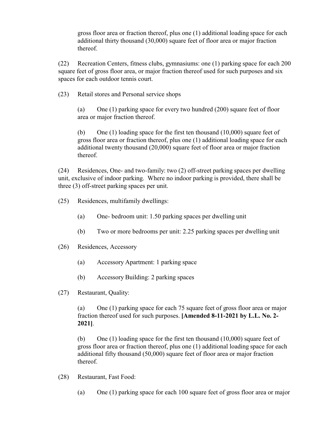gross floor area or fraction thereof, plus one (1) additional loading space for each additional thirty thousand (30,000) square feet of floor area or major fraction thereof.

(22) Recreation Centers, fitness clubs, gymnasiums: one (1) parking space for each 200 square feet of gross floor area, or major fraction thereof used for such purposes and six spaces for each outdoor tennis court.

(23) Retail stores and Personal service shops

(a) One (1) parking space for every two hundred (200) square feet of floor area or major fraction thereof.

(b) One (1) loading space for the first ten thousand (10,000) square feet of gross floor area or fraction thereof, plus one (1) additional loading space for each additional twenty thousand (20,000) square feet of floor area or major fraction thereof.

(24) Residences, One- and two-family: two (2) off-street parking spaces per dwelling unit, exclusive of indoor parking. Where no indoor parking is provided, there shall be three (3) off-street parking spaces per unit.

- (25) Residences, multifamily dwellings:
	- (a) One- bedroom unit: 1.50 parking spaces per dwelling unit
	- (b) Two or more bedrooms per unit: 2.25 parking spaces per dwelling unit
- (26) Residences, Accessory
	- (a) Accessory Apartment: 1 parking space
	- (b) Accessory Building: 2 parking spaces
- (27) Restaurant, Quality:

(a) One (1) parking space for each 75 square feet of gross floor area or major fraction thereof used for such purposes. **[Amended 8-11-2021 by L.L. No. 2- 2021]**.

(b) One  $(1)$  loading space for the first ten thousand  $(10,000)$  square feet of gross floor area or fraction thereof, plus one (1) additional loading space for each additional fifty thousand (50,000) square feet of floor area or major fraction thereof.

- (28) Restaurant, Fast Food:
	- (a) One (1) parking space for each 100 square feet of gross floor area or major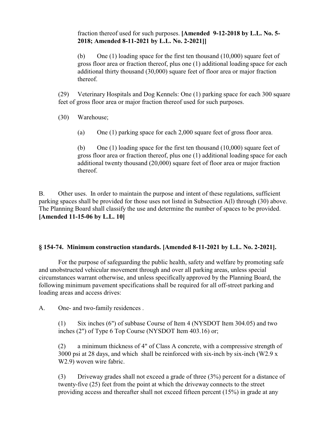## fraction thereof used for such purposes. **[Amended 9-12-2018 by L.L. No. 5- 2018; Amended 8-11-2021 by L.L. No. 2-2021]]**

(b) One (1) loading space for the first ten thousand (10,000) square feet of gross floor area or fraction thereof, plus one (1) additional loading space for each additional thirty thousand (30,000) square feet of floor area or major fraction thereof.

(29) Veterinary Hospitals and Dog Kennels: One (1) parking space for each 300 square feet of gross floor area or major fraction thereof used for such purposes.

(30) Warehouse;

(a) One (1) parking space for each 2,000 square feet of gross floor area.

(b) One  $(1)$  loading space for the first ten thousand  $(10,000)$  square feet of gross floor area or fraction thereof, plus one (1) additional loading space for each additional twenty thousand (20,000) square feet of floor area or major fraction thereof.

B. Other uses. In order to maintain the purpose and intent of these regulations, sufficient parking spaces shall be provided for those uses not listed in Subsection A(l) through (30) above. The Planning Board shall classify the use and determine the number of spaces to be provided. **[Amended 11-15-06 by L.L. 10]**

### **§ 154-74. Minimum construction standards. [Amended 8-11-2021 by L.L. No. 2-2021].**

For the purpose of safeguarding the public health, safety and welfare by promoting safe and unobstructed vehicular movement through and over all parking areas, unless special circumstances warrant otherwise, and unless specifically approved by the Planning Board, the following minimum pavement specifications shall be required for all off-street parking and loading areas and access drives:

A. One- and two-family residences .

(1) Six inches (6") of subbase Course of Item 4 (NYSDOT Item 304.05) and two inches (2") of Type 6 Top Course (NYSDOT Item 403.16) or;

(2) a minimum thickness of 4" of Class A concrete, with a compressive strength of 3000 psi at 28 days, and which shall be reinforced with six-inch by six-inch (W2.9  $x$ ) W2.9) woven wire fabric.

(3) Driveway grades shall not exceed a grade of three (3%) percent for a distance of twenty-five (25) feet from the point at which the driveway connects to the street providing access and thereafter shall not exceed fifteen percent (15%) in grade at any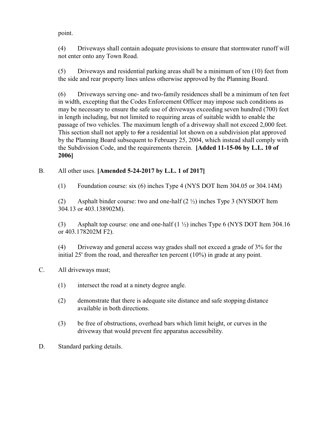point.

(4) Driveways shall contain adequate provisions to ensure that stormwater runoff will not enter onto any Town Road.

(5) Driveways and residential parking areas shall be a minimum of ten (10) feet from the side and rear property lines unless otherwise approved by the Planning Board.

(6) Driveways serving one- and two-family residences shall be a minimum of ten feet in width, excepting that the Codes Enforcement Officer may impose such conditions as may be necessary to ensure the safe use of driveways exceeding seven hundred (700) feet in length including, but not limited to requiring areas of suitable width to enable the passage of two vehicles. The maximum length of a driveway shall not exceed 2,000 feet. This section shall not apply to for a residential lot shown on a subdivision plat approved by the Planning Board subsequent to February 25, 2004, which instead shall comply with the Subdivision Code, and the requirements therein. **[Added 11-15-06 by L.L. 10 of 2006]** 

# B. All other uses. **[Amended 5-24-2017 by L.L. 1 of 2017]**

(1) Foundation course: six (6) inches Type 4 (NYS DOT Item 304.05 or 304.14M)

(2) Asphalt binder course: two and one-half  $(2 \frac{1}{2})$  inches Type 3 (NYSDOT Item 304.13 or 403.138902M).

(3) Asphalt top course: one and one-half (1 ½) inches Type 6 (NYS DOT Item 304.16 or 403.178202M F2).

(4) Driveway and general access way grades shall not exceed a grade of 3% for the initial 25' from the road, and thereafter ten percent (10%) in grade at any point.

- C. All driveways must;
	- (1) intersect the road at a ninety degree angle.
	- (2) demonstrate that there is adequate site distance and safe stopping distance available in both directions.
	- (3) be free of obstructions, overhead bars which limit height, or curves in the driveway that would prevent fire apparatus accessibility.
- D. Standard parking details.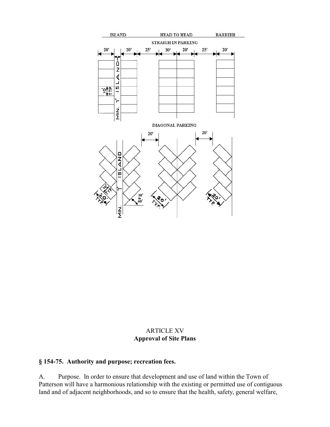

## ARTICLE XV **Approval of Site Plans**

## **§ 154-75. Authority and purpose; recreation fees.**

A. Purpose. In order to ensure that development and use of land within the Town of Patterson will have a harmonious relationship with the existing or permitted use of contiguous land and of adjacent neighborhoods, and so to ensure that the health, safety, general welfare,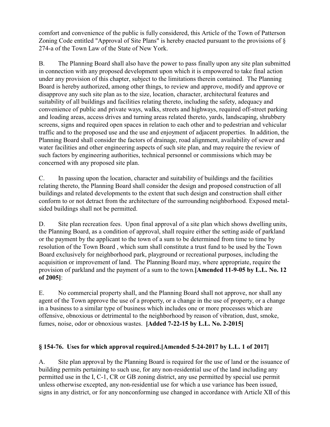comfort and convenience of the public is fully considered, this Article of the Town of Patterson Zoning Code entitled "Approval of Site Plans" is hereby enacted pursuant to the provisions of § 274-a of the Town Law of the State of New York.

B. The Planning Board shall also have the power to pass finally upon any site plan submitted in connection with any proposed development upon which it is empowered to take final action under any provision of this chapter, subject to the limitations therein contained. The Planning Board is hereby authorized, among other things, to review and approve, modify and approve or disapprove any such site plan as to the size, location, character, architectural features and suitability of all buildings and facilities relating thereto, including the safety, adequacy and convenience of public and private ways, walks, streets and highways, required off-street parking and loading areas, access drives and turning areas related thereto, yards, landscaping, shrubbery screens, signs and required open spaces in relation to each other and to pedestrian and vehicular traffic and to the proposed use and the use and enjoyment of adjacent properties. In addition, the Planning Board shall consider the factors of drainage, road alignment, availability of sewer and water facilities and other engineering aspects of such site plan, and may require the review of such factors by engineering authorities, technical personnel or commissions which may be concerned with any proposed site plan.

C. In passing upon the location, character and suitability of buildings and the facilities relating thereto, the Planning Board shall consider the design and proposed construction of all buildings and related developments to the extent that such design and construction shall either conform to or not detract from the architecture of the surrounding neighborhood. Exposed metalsided buildings shall not be permitted.

D. Site plan recreation fees. Upon final approval of a site plan which shows dwelling units, the Planning Board, as a condition of approval, shall require either the setting aside of parkland or the payment by the applicant to the town of a sum to be determined from time to time by resolution of the Town Board , which sum shall constitute a trust fund to be used by the Town Board exclusively for neighborhood park, playground or recreational purposes, including the acquisition or improvement of land. The Planning Board may, where appropriate, require the provision of parkland and the payment of a sum to the town.**[Amended 11-9-05 by L.L. No. 12 of 2005]**:

E. No commercial property shall, and the Planning Board shall not approve, nor shall any agent of the Town approve the use of a property, or a change in the use of property, or a change in a business to a similar type of business which includes one or more processes which are offensive, obnoxious or detrimental to the neighborhood by reason of vibration, dust, smoke, fumes, noise, odor or obnoxious wastes. **[Added 7-22-15 by L.L. No. 2-2015]**

# **§ 154-76. Uses for which approval required.[Amended 5-24-2017 by L.L. 1 of 2017]**

A. Site plan approval by the Planning Board is required for the use of land or the issuance of building permits pertaining to such use, for any non-residential use of the land including any permitted use in the I, C-1, CR or GB zoning district, any use permitted by special use permit unless otherwise excepted, any non-residential use for which a use variance has been issued, signs in any district, or for any nonconforming use changed in accordance with Article XII of this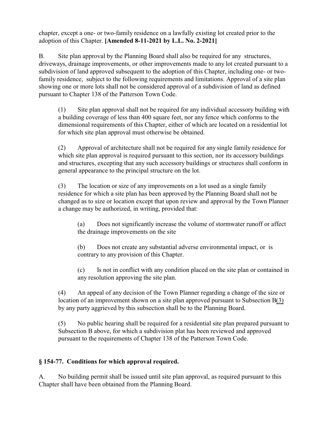chapter, except a one- or two-family residence on a lawfully existing lot created prior to the adoption of this Chapter. **[Amended 8-11-2021 by L.L. No. 2-2021]**

B. Site plan approval by the Planning Board shall also be required for any structures, driveways, drainage improvements, or other improvements made to any lot created pursuant to a subdivision of land approved subsequent to the adoption of this Chapter, including one- or twofamily residence, subject to the following requirements and limitations. Approval of a site plan showing one or more lots shall not be considered approval of a subdivision of land as defined pursuant to Chapter 138 of the Patterson Town Code.

(1) Site plan approval shall not be required for any individual accessory building with a building coverage of less than 400 square feet, nor any fence which conforms to the dimensional requirements of this Chapter, either of which are located on a residential lot for which site plan approval must otherwise be obtained.

(2) Approval of architecture shall not be required for any single family residence for which site plan approval is required pursuant to this section, nor its accessory buildings and structures, excepting that any such accessory buildings or structures shall conform in general appearance to the principal structure on the lot.

(3) The location or size of any improvements on a lot used as a single family residence for which a site plan has been approved by the Planning Board shall not be changed as to size or location except that upon review and approval by the Town Planner a change may be authorized, in writing, provided that:

(a) Does not significantly increase the volume of stormwater runoff or affect the drainage improvements on the site

(b) Does not create any substantial adverse environmental impact, or is contrary to any provision of this Chapter.

(c) Is not in conflict with any condition placed on the site plan or contained in any resolution approving the site plan.

(4) An appeal of any decision of the Town Planner regarding a change of the size or location of an improvement shown on a site plan approved pursuant to Subsection B(3) by any party aggrieved by this subsection shall be to the Planning Board.

(5) No public hearing shall be required for a residential site plan prepared pursuant to Subsection B above, for which a subdivision plat has been reviewed and approved pursuant to the requirements of Chapter 138 of the Patterson Town Code.

# **§ 154-77. Conditions for which approval required.**

A. No building permit shall be issued until site plan approval, as required pursuant to this Chapter shall have been obtained from the Planning Board.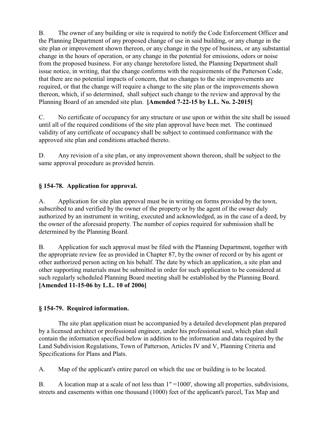B. The owner of any building or site is required to notify the Code Enforcement Officer and the Planning Department of any proposed change of use in said building, or any change in the site plan or improvement shown thereon, or any change in the type of business, or any substantial change in the hours of operation, or any change in the potential for emissions, odors or noise from the proposed business. For any change heretofore listed, the Planning Department shall issue notice, in writing, that the change conforms with the requirements of the Patterson Code, that there are no potential impacts of concern, that no changes to the site improvements are required, or that the change will require a change to the site plan or the improvements shown thereon, which, if so determined, shall subject such change to the review and approval by the Planning Board of an amended site plan. **[Amended 7-22-15 by L.L. No. 2-2015]**

C. No certificate of occupancy for any structure or use upon or within the site shall be issued until all of the required conditions of the site plan approval have been met. The continued validity of any certificate of occupancy shall be subject to continued conformance with the approved site plan and conditions attached thereto.

D. Any revision of a site plan, or any improvement shown thereon, shall be subject to the same approval procedure as provided herein.

# **§ 154-78. Application for approval.**

A. Application for site plan approval must be in writing on forms provided by the town, subscribed to and verified by the owner of the property or by the agent of the owner duly authorized by an instrument in writing, executed and acknowledged, as in the case of a deed, by the owner of the aforesaid property. The number of copies required for submission shall be determined by the Planning Board.

B. Application for such approval must be filed with the Planning Department, together with the appropriate review fee as provided in Chapter 87, by the owner of record or by his agent or other authorized person acting on his behalf. The date by which an application, a site plan and other supporting materials must be submitted in order for such application to be considered at such regularly scheduled Planning Board meeting shall be established by the Planning Board. **[Amended 11-15-06 by L.L. 10 of 2006]** 

### **§ 154-79. Required information.**

The site plan application must be accompanied by a detailed development plan prepared by a licensed architect or professional engineer, under his professional seal, which plan shall contain the information specified below in addition to the information and data required by the Land Subdivision Regulations, Town of Patterson, Articles IV and V, Planning Criteria and Specifications for Plans and Plats.

A. Map of the applicant's entire parcel on which the use or building is to be located.

B. A location map at a scale of not less than  $1" =1000'$ , showing all properties, subdivisions, streets and easements within one thousand (1000) feet of the applicant's parcel, Tax Map and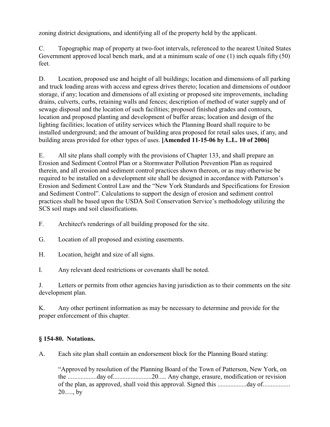zoning district designations, and identifying all of the property held by the applicant.

C. Topographic map of property at two-foot intervals, referenced to the nearest United States Government approved local bench mark, and at a minimum scale of one (1) inch equals fifty (50) feet.

D. Location, proposed use and height of all buildings; location and dimensions of all parking and truck loading areas with access and egress drives thereto; location and dimensions of outdoor storage, if any; location and dimensions of all existing or proposed site improvements, including drains, culverts, curbs, retaining walls and fences; description of method of water supply and of sewage disposal and the location of such facilities; proposed finished grades and contours, location and proposed planting and development of buffer areas; location and design of the lighting facilities; location of utility services which the Planning Board shall require to be installed underground; and the amount of building area proposed for retail sales uses, if any, and building areas provided for other types of uses. **[Amended 11-15-06 by L.L. 10 of 2006]** 

E. All site plans shall comply with the provisions of Chapter 133, and shall prepare an Erosion and Sediment Control Plan or a Stormwater Pollution Prevention Plan as required therein, and all erosion and sediment control practices shown thereon, or as may otherwise be required to be installed on a development site shall be designed in accordance with Patterson's Erosion and Sediment Control Law and the "New York Standards and Specifications for Erosion and Sediment Control". Calculations to support the design of erosion and sediment control practices shall be based upon the USDA Soil Conservation Service's methodology utilizing the SCS soil maps and soil classifications.

- F. Architect's renderings of all building proposed for the site.
- G. Location of all proposed and existing easements.
- H. Location, height and size of all signs.

I. Any relevant deed restrictions or covenants shall be noted.

J. Letters or permits from other agencies having jurisdiction as to their comments on the site development plan.

K. Any other pertinent information as may be necessary to determine and provide for the proper enforcement of this chapter.

# **§ 154-80. Notations.**

A. Each site plan shall contain an endorsement block for the Planning Board stating:

"Approved by resolution of the Planning Board of the Town of Patterson, New York, on the ..................day of........................20..... Any change, erasure, modification or revision of the plan, as approved, shall void this approval. Signed this ..................day of................. 20....., by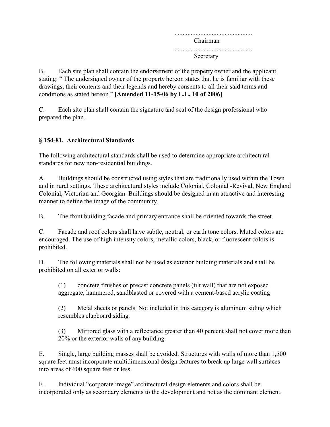................................................ Chairman ................................................ Secretary

B. Each site plan shall contain the endorsement of the property owner and the applicant stating: " The undersigned owner of the property hereon states that he is familiar with these drawings, their contents and their legends and hereby consents to all their said terms and conditions as stated hereon." **[Amended 11-15-06 by L.L. 10 of 2006]** 

C. Each site plan shall contain the signature and seal of the design professional who prepared the plan.

# **§ 154-81. Architectural Standards**

The following architectural standards shall be used to determine appropriate architectural standards for new non-residential buildings.

A. Buildings should be constructed using styles that are traditionally used within the Town and in rural settings. These architectural styles include Colonial, Colonial -Revival, New England Colonial, Victorian and Georgian. Buildings should be designed in an attractive and interesting manner to define the image of the community.

B. The front building facade and primary entrance shall be oriented towards the street.

C. Facade and roof colors shall have subtle, neutral, or earth tone colors. Muted colors are encouraged. The use of high intensity colors, metallic colors, black, or fluorescent colors is prohibited.

D. The following materials shall not be used as exterior building materials and shall be prohibited on all exterior walls:

(1) concrete finishes or precast concrete panels (tilt wall) that are not exposed aggregate, hammered, sandblasted or covered with a cement-based acrylic coating

(2) Metal sheets or panels. Not included in this category is aluminum siding which resembles clapboard siding.

(3) Mirrored glass with a reflectance greater than 40 percent shall not cover more than 20% or the exterior walls of any building.

E. Single, large building masses shall be avoided. Structures with walls of more than 1,500 square feet must incorporate multidimensional design features to break up large wall surfaces into areas of 600 square feet or less.

F. Individual "corporate image" architectural design elements and colors shall be incorporated only as secondary elements to the development and not as the dominant element.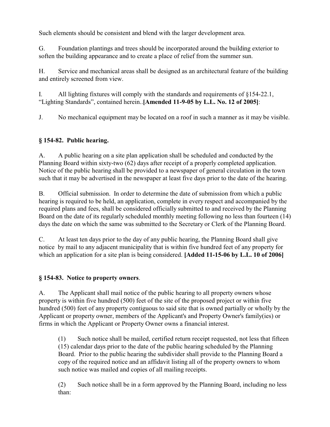Such elements should be consistent and blend with the larger development area.

G. Foundation plantings and trees should be incorporated around the building exterior to soften the building appearance and to create a place of relief from the summer sun.

H. Service and mechanical areas shall be designed as an architectural feature of the building and entirely screened from view.

I. All lighting fixtures will comply with the standards and requirements of §154-22.1, "Lighting Standards", contained herein..**[Amended 11-9-05 by L.L. No. 12 of 2005]**:

J. No mechanical equipment may be located on a roof in such a manner as it may be visible.

# **§ 154-82. Public hearing.**

A. A public hearing on a site plan application shall be scheduled and conducted by the Planning Board within sixty-two (62) days after receipt of a properly completed application. Notice of the public hearing shall be provided to a newspaper of general circulation in the town such that it may be advertised in the newspaper at least five days prior to the date of the hearing.

B. Official submission. In order to determine the date of submission from which a public hearing is required to be held, an application, complete in every respect and accompanied by the required plans and fees, shall be considered officially submitted to and received by the Planning Board on the date of its regularly scheduled monthly meeting following no less than fourteen (14) days the date on which the same was submitted to the Secretary or Clerk of the Planning Board.

C. At least ten days prior to the day of any public hearing, the Planning Board shall give notice by mail to any adjacent municipality that is within five hundred feet of any property for which an application for a site plan is being considered. **[Added 11-15-06 by L.L. 10 of 2006]** 

# **§ 154-83. Notice to property owners**.

A. The Applicant shall mail notice of the public hearing to all property owners whose property is within five hundred (500) feet of the site of the proposed project or within five hundred (500) feet of any property contiguous to said site that is owned partially or wholly by the Applicant or property owner, members of the Applicant's and Property Owner's family(ies) or firms in which the Applicant or Property Owner owns a financial interest.

(1) Such notice shall be mailed, certified return receipt requested, not less that fifteen (15) calendar days prior to the date of the public hearing scheduled by the Planning Board. Prior to the public hearing the subdivider shall provide to the Planning Board a copy of the required notice and an affidavit listing all of the property owners to whom such notice was mailed and copies of all mailing receipts.

(2) Such notice shall be in a form approved by the Planning Board, including no less than: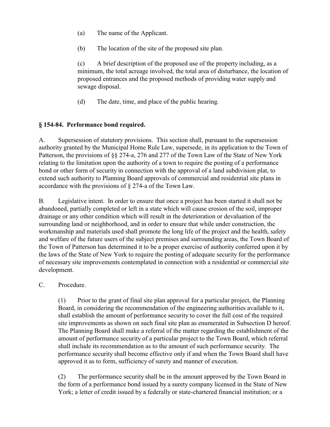- (a) The name of the Applicant.
- (b) The location of the site of the proposed site plan.

(c) A brief description of the proposed use of the property including, as a minimum, the total acreage involved, the total area of disturbance, the location of proposed entrances and the proposed methods of providing water supply and sewage disposal.

(d) The date, time, and place of the public hearing.

## **§ 154-84. Performance bond required.**

A. Supersession of statutory provisions. This section shall, pursuant to the supersession authority granted by the Municipal Home Rule Law, supersede, in its application to the Town of Patterson, the provisions of §§ 274-a, 276 and 277 of the Town Law of the State of New York relating to the limitation upon the authority of a town to require the posting of a performance bond or other form of security in connection with the approval of a land subdivision plat, to extend such authority to Planning Board approvals of commercial and residential site plans in accordance with the provisions of § 274-a of the Town Law.

B. Legislative intent. In order to ensure that once a project has been started it shall not be abandoned, partially completed or left in a state which will cause erosion of the soil, improper drainage or any other condition which will result in the deterioration or devaluation of the surrounding land or neighborhood, and in order to ensure that while under construction, the workmanship and materials used shall promote the long life of the project and the health, safety and welfare of the future users of the subject premises and surrounding areas, the Town Board of the Town of Patterson has determined it to be a proper exercise of authority conferred upon it by the laws of the State of New York to require the posting of adequate security for the performance of necessary site improvements contemplated in connection with a residential or commercial site development.

### C. Procedure.

(1) Prior to the grant of final site plan approval for a particular project, the Planning Board, in considering the recommendation of the engineering authorities available to it, shall establish the amount of performance security to cover the full cost of the required site improvements as shown on such final site plan as enumerated in Subsection D hereof. The Planning Board shall make a referral of the matter regarding the establishment of the amount of performance security of a particular project to the Town Board, which referral shall include its recommendation as to the amount of such performance security. The performance security shall become effective only if and when the Town Board shall have approved it as to form, sufficiency of surety and manner of execution.

(2) The performance security shall be in the amount approved by the Town Board in the form of a performance bond issued by a surety company licensed in the State of New York; a letter of credit issued by a federally or state-chartered financial institution; or a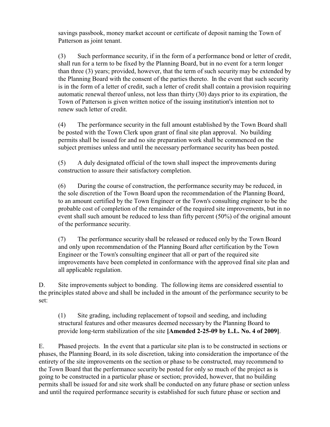savings passbook, money market account or certificate of deposit naming the Town of Patterson as joint tenant.

(3) Such performance security, if in the form of a performance bond or letter of credit, shall run for a term to be fixed by the Planning Board, but in no event for a term longer than three (3) years; provided, however, that the term of such security may be extended by the Planning Board with the consent of the parties thereto. In the event that such security is in the form of a letter of credit, such a letter of credit shall contain a provision requiring automatic renewal thereof unless, not less than thirty (30) days prior to its expiration, the Town of Patterson is given written notice of the issuing institution's intention not to renew such letter of credit.

(4) The performance security in the full amount established by the Town Board shall be posted with the Town Clerk upon grant of final site plan approval. No building permits shall be issued for and no site preparation work shall be commenced on the subject premises unless and until the necessary performance security has been posted.

(5) A duly designated official of the town shall inspect the improvements during construction to assure their satisfactory completion.

(6) During the course of construction, the performance security may be reduced, in the sole discretion of the Town Board upon the recommendation of the Planning Board, to an amount certified by the Town Engineer or the Town's consulting engineer to be the probable cost of completion of the remainder of the required site improvements, but in no event shall such amount be reduced to less than fifty percent (50%) of the original amount of the performance security.

(7) The performance security shall be released or reduced only by the Town Board and only upon recommendation of the Planning Board after certification by the Town Engineer or the Town's consulting engineer that all or part of the required site improvements have been completed in conformance with the approved final site plan and all applicable regulation.

D. Site improvements subject to bonding. The following items are considered essential to the principles stated above and shall be included in the amount of the performance security to be set:

(1) Site grading, including replacement of topsoil and seeding, and including structural features and other measures deemed necessary by the Planning Board to provide long-term stabilization of the site **[Amended 2-25-09 by L.L. No. 4 of 2009]**.

E. Phased projects. In the event that a particular site plan is to be constructed in sections or phases, the Planning Board, in its sole discretion, taking into consideration the importance of the entirety of the site improvements on the section or phase to be constructed, may recommend to the Town Board that the performance security be posted for only so much of the project as is going to be constructed in a particular phase or section; provided, however, that no building permits shall be issued for and site work shall be conducted on any future phase or section unless and until the required performance security is established for such future phase or section and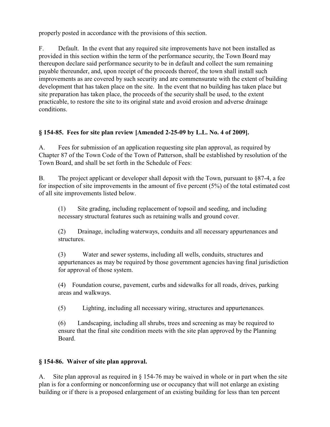properly posted in accordance with the provisions of this section.

F. Default. In the event that any required site improvements have not been installed as provided in this section within the term of the performance security, the Town Board may thereupon declare said performance security to be in default and collect the sum remaining payable thereunder, and, upon receipt of the proceeds thereof, the town shall install such improvements as are covered by such security and are commensurate with the extent of building development that has taken place on the site. In the event that no building has taken place but site preparation has taken place, the proceeds of the security shall be used, to the extent practicable, to restore the site to its original state and avoid erosion and adverse drainage conditions.

# **§ 154-85. Fees for site plan review [Amended 2-25-09 by L.L. No. 4 of 2009].**

A. Fees for submission of an application requesting site plan approval, as required by Chapter 87 of the Town Code of the Town of Patterson, shall be established by resolution of the Town Board, and shall be set forth in the Schedule of Fees:

B. The project applicant or developer shall deposit with the Town, pursuant to  $\S87-4$ , a fee for inspection of site improvements in the amount of five percent  $(5\%)$  of the total estimated cost of all site improvements listed below.

(1) Site grading, including replacement of topsoil and seeding, and including necessary structural features such as retaining walls and ground cover.

(2) Drainage, including waterways, conduits and all necessary appurtenances and structures.

(3) Water and sewer systems, including all wells, conduits, structures and appurtenances as may be required by those government agencies having final jurisdiction for approval of those system.

(4) Foundation course, pavement, curbs and sidewalks for all roads, drives, parking areas and walkways.

(5) Lighting, including all necessary wiring, structures and appurtenances.

(6) Landscaping, including all shrubs, trees and screening as may be required to ensure that the final site condition meets with the site plan approved by the Planning Board.

# **§ 154-86. Waiver of site plan approval.**

A. Site plan approval as required in § 154-76 may be waived in whole or in part when the site plan is for a conforming or nonconforming use or occupancy that will not enlarge an existing building or if there is a proposed enlargement of an existing building for less than ten percent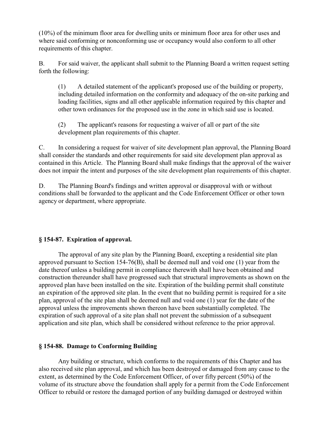(10%) of the minimum floor area for dwelling units or minimum floor area for other uses and where said conforming or nonconforming use or occupancy would also conform to all other requirements of this chapter.

B. For said waiver, the applicant shall submit to the Planning Board a written request setting forth the following:

(1) A detailed statement of the applicant's proposed use of the building or property, including detailed information on the conformity and adequacy of the on-site parking and loading facilities, signs and all other applicable information required by this chapter and other town ordinances for the proposed use in the zone in which said use is located.

(2) The applicant's reasons for requesting a waiver of all or part of the site development plan requirements of this chapter.

C. In considering a request for waiver of site development plan approval, the Planning Board shall consider the standards and other requirements for said site development plan approval as contained in this Article. The Planning Board shall make findings that the approval of the waiver does not impair the intent and purposes of the site development plan requirements of this chapter.

D. The Planning Board's findings and written approval or disapproval with or without conditions shall be forwarded to the applicant and the Code Enforcement Officer or other town agency or department, where appropriate.

### **§ 154-87. Expiration of approval.**

The approval of any site plan by the Planning Board, excepting a residential site plan approved pursuant to Section 154-76(B), shall be deemed null and void one (1) year from the date thereof unless a building permit in compliance therewith shall have been obtained and construction thereunder shall have progressed such that structural improvements as shown on the approved plan have been installed on the site. Expiration of the building permit shall constitute an expiration of the approved site plan. In the event that no building permit is required for a site plan, approval of the site plan shall be deemed null and void one (1) year for the date of the approval unless the improvements shown thereon have been substantially completed. The expiration of such approval of a site plan shall not prevent the submission of a subsequent application and site plan, which shall be considered without reference to the prior approval.

### **§ 154-88. Damage to Conforming Building**

Any building or structure, which conforms to the requirements of this Chapter and has also received site plan approval, and which has been destroyed or damaged from any cause to the extent, as determined by the Code Enforcement Officer, of over fifty percent (50%) of the volume of its structure above the foundation shall apply for a permit from the Code Enforcement Officer to rebuild or restore the damaged portion of any building damaged or destroyed within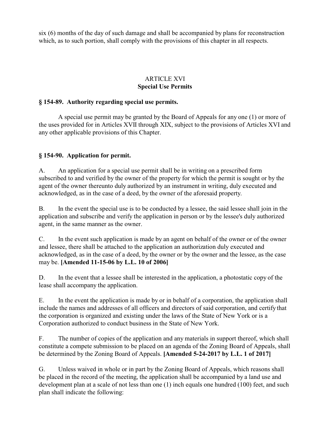six (6) months of the day of such damage and shall be accompanied by plans for reconstruction which, as to such portion, shall comply with the provisions of this chapter in all respects.

## ARTICLE XVI **Special Use Permits**

### **§ 154-89. Authority regarding special use permits.**

A special use permit may be granted by the Board of Appeals for any one (1) or more of the uses provided for in Articles XVII through XIX, subject to the provisions of Articles XVI and any other applicable provisions of this Chapter.

### **§ 154-90. Application for permit.**

A. An application for a special use permit shall be in writing on a prescribed form subscribed to and verified by the owner of the property for which the permit is sought or by the agent of the owner thereunto duly authorized by an instrument in writing, duly executed and acknowledged, as in the case of a deed, by the owner of the aforesaid property.

B. In the event the special use is to be conducted by a lessee, the said lessee shall join in the application and subscribe and verify the application in person or by the lessee's duly authorized agent, in the same manner as the owner.

C. In the event such application is made by an agent on behalf of the owner or of the owner and lessee, there shall be attached to the application an authorization duly executed and acknowledged, as in the case of a deed, by the owner or by the owner and the lessee, as the case may be. **[Amended 11-15-06 by L.L. 10 of 2006]** 

D. In the event that a lessee shall be interested in the application, a photostatic copy of the lease shall accompany the application.

E. In the event the application is made by or in behalf of a corporation, the application shall include the names and addresses of all officers and directors of said corporation, and certify that the corporation is organized and existing under the laws of the State of New York or is a Corporation authorized to conduct business in the State of New York.

F. The number of copies of the application and any materials in support thereof, which shall constitute a compete submission to be placed on an agenda of the Zoning Board of Appeals, shall be determined by the Zoning Board of Appeals. **[Amended 5-24-2017 by L.L. 1 of 2017]** 

G. Unless waived in whole or in part by the Zoning Board of Appeals, which reasons shall be placed in the record of the meeting, the application shall be accompanied by a land use and development plan at a scale of not less than one (1) inch equals one hundred (100) feet, and such plan shall indicate the following: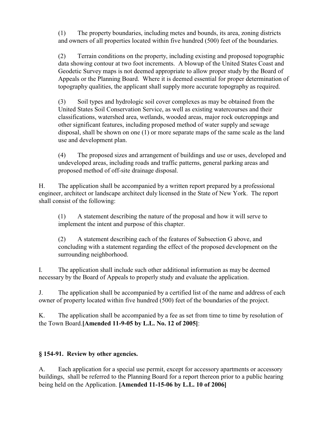(1) The property boundaries, including metes and bounds, its area, zoning districts and owners of all properties located within five hundred (500) feet of the boundaries.

(2) Terrain conditions on the property, including existing and proposed topographic data showing contour at two foot increments. A blowup of the United States Coast and Geodetic Survey maps is not deemed appropriate to allow proper study by the Board of Appeals or the Planning Board. Where it is deemed essential for proper determination of topography qualities, the applicant shall supply more accurate topography as required.

(3) Soil types and hydrologic soil cover complexes as may be obtained from the United States Soil Conservation Service, as well as existing watercourses and their classifications, watershed area, wetlands, wooded areas, major rock outcroppings and other significant features, including proposed method of water supply and sewage disposal, shall be shown on one (1) or more separate maps of the same scale as the land use and development plan.

(4) The proposed sizes and arrangement of buildings and use or uses, developed and undeveloped areas, including roads and traffic patterns, general parking areas and proposed method of off-site drainage disposal.

H. The application shall be accompanied by a written report prepared by a professional engineer, architect or landscape architect duly licensed in the State of New York. The report shall consist of the following:

(1) A statement describing the nature of the proposal and how it will serve to implement the intent and purpose of this chapter.

(2) A statement describing each of the features of Subsection G above, and concluding with a statement regarding the effect of the proposed development on the surrounding neighborhood.

I. The application shall include such other additional information as may be deemed necessary by the Board of Appeals to properly study and evaluate the application.

J. The application shall be accompanied by a certified list of the name and address of each owner of property located within five hundred (500) feet of the boundaries of the project.

K. The application shall be accompanied by a fee as set from time to time by resolution of the Town Board.**[Amended 11-9-05 by L.L. No. 12 of 2005]**:

# **§ 154-91. Review by other agencies.**

A. Each application for a special use permit, except for accessory apartments or accessory buildings, shall be referred to the Planning Board for a report thereon prior to a public hearing being held on the Application. **[Amended 11-15-06 by L.L. 10 of 2006]**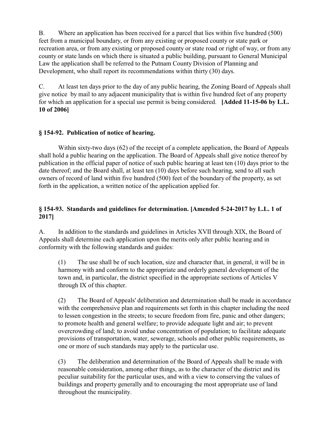B. Where an application has been received for a parcel that lies within five hundred (500) feet from a municipal boundary, or from any existing or proposed county or state park or recreation area, or from any existing or proposed county or state road or right of way, or from any county or state lands on which there is situated a public building, pursuant to General Municipal Law the application shall be referred to the Putnam County Division of Planning and Development, who shall report its recommendations within thirty (30) days.

C. At least ten days prior to the day of any public hearing, the Zoning Board of Appeals shall give notice by mail to any adjacent municipality that is within five hundred feet of any property for which an application for a special use permit is being considered. **[Added 11-15-06 by L.L. 10 of 2006]** 

# **§ 154-92. Publication of notice of hearing.**

Within sixty-two days (62) of the receipt of a complete application, the Board of Appeals shall hold a public hearing on the application. The Board of Appeals shall give notice thereof by publication in the official paper of notice of such public hearing at least ten (10) days prior to the date thereof; and the Board shall, at least ten (10) days before such hearing, send to all such owners of record of land within five hundred (500) feet of the boundary of the property, as set forth in the application, a written notice of the application applied for.

## **§ 154-93. Standards and guidelines for determination. [Amended 5-24-2017 by L.L. 1 of 2017]**

A. In addition to the standards and guidelines in Articles XVII through XIX, the Board of Appeals shall determine each application upon the merits only after public hearing and in conformity with the following standards and guides:

(1) The use shall be of such location, size and character that, in general, it will be in harmony with and conform to the appropriate and orderly general development of the town and, in particular, the district specified in the appropriate sections of Articles V through IX of this chapter.

(2) The Board of Appeals' deliberation and determination shall be made in accordance with the comprehensive plan and requirements set forth in this chapter including the need to lessen congestion in the streets; to secure freedom from fire, panic and other dangers; to promote health and general welfare; to provide adequate light and air; to prevent overcrowding of land; to avoid undue concentration of population; to facilitate adequate provisions of transportation, water, sewerage, schools and other public requirements, as one or more of such standards may apply to the particular use.

(3) The deliberation and determination of the Board of Appeals shall be made with reasonable consideration, among other things, as to the character of the district and its peculiar suitability for the particular uses, and with a view to conserving the values of buildings and property generally and to encouraging the most appropriate use of land throughout the municipality.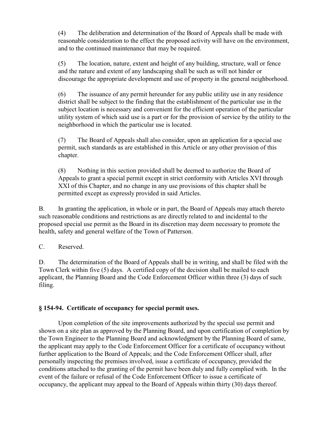(4) The deliberation and determination of the Board of Appeals shall be made with reasonable consideration to the effect the proposed activity will have on the environment, and to the continued maintenance that may be required.

(5) The location, nature, extent and height of any building, structure, wall or fence and the nature and extent of any landscaping shall be such as will not hinder or discourage the appropriate development and use of property in the general neighborhood.

(6) The issuance of any permit hereunder for any public utility use in any residence district shall be subject to the finding that the establishment of the particular use in the subject location is necessary and convenient for the efficient operation of the particular utility system of which said use is a part or for the provision of service by the utility to the neighborhood in which the particular use is located.

(7) The Board of Appeals shall also consider, upon an application for a special use permit, such standards as are established in this Article or any other provision of this chapter.

(8) Nothing in this section provided shall be deemed to authorize the Board of Appeals to grant a special permit except in strict conformity with Articles XVI through XXI of this Chapter, and no change in any use provisions of this chapter shall be permitted except as expressly provided in said Articles.

B. In granting the application, in whole or in part, the Board of Appeals may attach thereto such reasonable conditions and restrictions as are directly related to and incidental to the proposed special use permit as the Board in its discretion may deem necessary to promote the health, safety and general welfare of the Town of Patterson.

C. Reserved.

D. The determination of the Board of Appeals shall be in writing, and shall be filed with the Town Clerk within five (5) days. A certified copy of the decision shall be mailed to each applicant, the Planning Board and the Code Enforcement Officer within three (3) days of such filing.

# **§ 154-94. Certificate of occupancy for special permit uses.**

Upon completion of the site improvements authorized by the special use permit and shown on a site plan as approved by the Planning Board, and upon certification of completion by the Town Engineer to the Planning Board and acknowledgment by the Planning Board of same, the applicant may apply to the Code Enforcement Officer for a certificate of occupancy without further application to the Board of Appeals; and the Code Enforcement Officer shall, after personally inspecting the premises involved, issue a certificate of occupancy, provided the conditions attached to the granting of the permit have been duly and fully complied with. In the event of the failure or refusal of the Code Enforcement Officer to issue a certificate of occupancy, the applicant may appeal to the Board of Appeals within thirty (30) days thereof.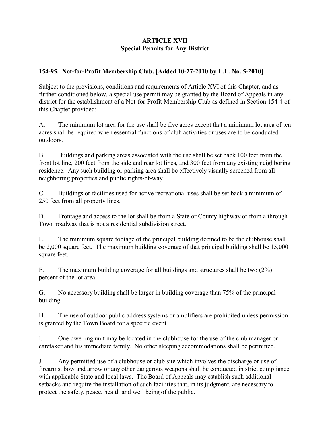## **ARTICLE XVII Special Permits for Any District**

### **154-95. Not-for-Profit Membership Club. [Added 10-27-2010 by L.L. No. 5-2010]**

Subject to the provisions, conditions and requirements of Article XVI of this Chapter, and as further conditioned below, a special use permit may be granted by the Board of Appeals in any district for the establishment of a Not-for-Profit Membership Club as defined in Section 154-4 of this Chapter provided:

A. The minimum lot area for the use shall be five acres except that a minimum lot area of ten acres shall be required when essential functions of club activities or uses are to be conducted outdoors.

B. Buildings and parking areas associated with the use shall be set back 100 feet from the front lot line, 200 feet from the side and rear lot lines, and 300 feet from any existing neighboring residence. Any such building or parking area shall be effectively visually screened from all neighboring properties and public rights-of-way.

C. Buildings or facilities used for active recreational uses shall be set back a minimum of 250 feet from all property lines.

D. Frontage and access to the lot shall be from a State or County highway or from a through Town roadway that is not a residential subdivision street.

E. The minimum square footage of the principal building deemed to be the clubhouse shall be 2,000 square feet. The maximum building coverage of that principal building shall be 15,000 square feet.

F. The maximum building coverage for all buildings and structures shall be two (2%) percent of the lot area.

G. No accessory building shall be larger in building coverage than 75% of the principal building.

H. The use of outdoor public address systems or amplifiers are prohibited unless permission is granted by the Town Board for a specific event.

I. One dwelling unit may be located in the clubhouse for the use of the club manager or caretaker and his immediate family. No other sleeping accommodations shall be permitted.

J. Any permitted use of a clubhouse or club site which involves the discharge or use of firearms, bow and arrow or any other dangerous weapons shall be conducted in strict compliance with applicable State and local laws. The Board of Appeals may establish such additional setbacks and require the installation of such facilities that, in its judgment, are necessary to protect the safety, peace, health and well being of the public.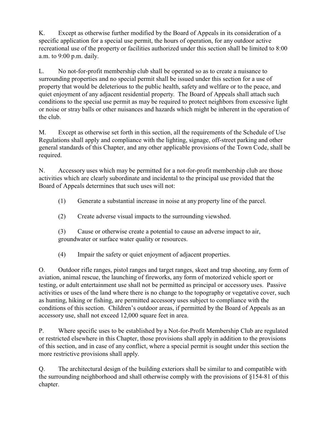K. Except as otherwise further modified by the Board of Appeals in its consideration of a specific application for a special use permit, the hours of operation, for any outdoor active recreational use of the property or facilities authorized under this section shall be limited to 8:00 a.m. to 9:00 p.m. daily.

L. No not-for-profit membership club shall be operated so as to create a nuisance to surrounding properties and no special permit shall be issued under this section for a use of property that would be deleterious to the public health, safety and welfare or to the peace, and quiet enjoyment of any adjacent residential property. The Board of Appeals shall attach such conditions to the special use permit as may be required to protect neighbors from excessive light or noise or stray balls or other nuisances and hazards which might be inherent in the operation of the club.

M. Except as otherwise set forth in this section, all the requirements of the Schedule of Use Regulations shall apply and compliance with the lighting, signage, off-street parking and other general standards of this Chapter, and any other applicable provisions of the Town Code, shall be required.

N. Accessory uses which may be permitted for a not-for-profit membership club are those activities which are clearly subordinate and incidental to the principal use provided that the Board of Appeals determines that such uses will not:

(1) Generate a substantial increase in noise at any property line of the parcel.

(2) Create adverse visual impacts to the surrounding viewshed.

(3) Cause or otherwise create a potential to cause an adverse impact to air, groundwater or surface water quality or resources.

(4) Impair the safety or quiet enjoyment of adjacent properties.

O. Outdoor rifle ranges, pistol ranges and target ranges, skeet and trap shooting, any form of aviation, animal rescue, the launching of fireworks, any form of motorized vehicle sport or testing, or adult entertainment use shall not be permitted as principal or accessory uses. Passive activities or uses of the land where there is no change to the topography or vegetative cover, such as hunting, hiking or fishing, are permitted accessory uses subject to compliance with the conditions of this section. Children's outdoor areas, if permitted by the Board of Appeals as an accessory use, shall not exceed 12,000 square feet in area.

P. Where specific uses to be established by a Not-for-Profit Membership Club are regulated or restricted elsewhere in this Chapter, those provisions shall apply in addition to the provisions of this section, and in case of any conflict, where a special permit is sought under this section the more restrictive provisions shall apply.

Q. The architectural design of the building exteriors shall be similar to and compatible with the surrounding neighborhood and shall otherwise comply with the provisions of §154-81 of this chapter.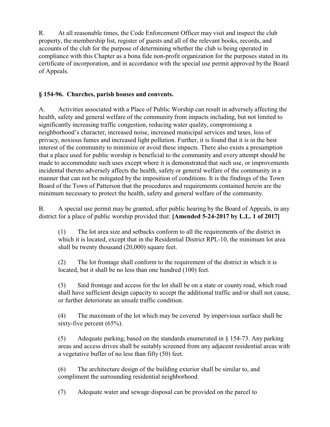R. At all reasonable times, the Code Enforcement Officer may visit and inspect the club property, the membership list, register of guests and all of the relevant books, records, and accounts of the club for the purpose of determining whether the club is being operated in compliance with this Chapter as a bona fide non-profit organization for the purposes stated in its certificate of incorporation, and in accordance with the special use permit approved by the Board of Appeals.

## **§ 154-96. Churches, parish houses and convents.**

A. Activities associated with a Place of Public Worship can result in adversely affecting the health, safety and general welfare of the community from impacts including, but not limited to significantly increasing traffic congestion, reducing water quality, compromising a neighborhood's character, increased noise, increased municipal services and taxes, loss of privacy, noxious fumes and increased light pollution. Further, it is found that it is in the best interest of the community to minimize or avoid these impacts. There also exists a presumption that a place used for public worship is beneficial to the community and every attempt should be made to accommodate such uses except where it is demonstrated that such use, or improvements incidental thereto adversely affects the health, safety or general welfare of the community in a manner that can not be mitigated by the imposition of conditions. It is the findings of the Town Board of the Town of Patterson that the procedures and requirements contained herein are the minimum necessary to protect the health, safety and general welfare of the community.

B. A special use permit may be granted, after public hearing by the Board of Appeals, in any district for a place of public worship provided that: **[Amended 5-24-2017 by L.L. 1 of 2017]** 

(1) The lot area size and setbacks conform to all the requirements of the district in which it is located, except that in the Residential District RPL-10, the minimum lot area shall be twenty thousand (20,000) square feet.

(2) The lot frontage shall conform to the requirement of the district in which it is located, but it shall be no less than one hundred (100) feet.

(3) Said frontage and access for the lot shall be on a state or county road, which road shall have sufficient design capacity to accept the additional traffic and/or shall not cause, or further deteriorate an unsafe traffic condition.

(4) The maximum of the lot which may be covered by impervious surface shall be sixty-five percent  $(65\%)$ .

(5) Adequate parking, based on the standards enumerated in § 154-73. Any parking areas and access drives shall be suitably screened from any adjacent residential areas with a vegetative buffer of no less than fifty (50) feet.

(6) The architecture design of the building exterior shall be similar to, and compliment the surrounding residential neighborhood.

(7) Adequate water and sewage disposal can be provided on the parcel to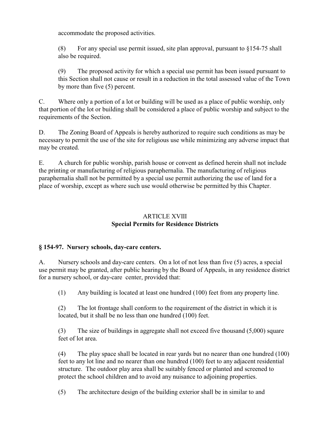accommodate the proposed activities.

(8) For any special use permit issued, site plan approval, pursuant to  $§154-75$  shall also be required.

(9) The proposed activity for which a special use permit has been issued pursuant to this Section shall not cause or result in a reduction in the total assessed value of the Town by more than five (5) percent.

C. Where only a portion of a lot or building will be used as a place of public worship, only that portion of the lot or building shall be considered a place of public worship and subject to the requirements of the Section.

D. The Zoning Board of Appeals is hereby authorized to require such conditions as may be necessary to permit the use of the site for religious use while minimizing any adverse impact that may be created.

E. A church for public worship, parish house or convent as defined herein shall not include the printing or manufacturing of religious paraphernalia. The manufacturing of religious paraphernalia shall not be permitted by a special use permit authorizing the use of land for a place of worship, except as where such use would otherwise be permitted by this Chapter.

### ARTICLE XVIII **Special Permits for Residence Districts**

### **§ 154-97. Nursery schools, day-care centers.**

A. Nursery schools and day-care centers. On a lot of not less than five (5) acres, a special use permit may be granted, after public hearing by the Board of Appeals, in any residence district for a nursery school, or day-care center, provided that:

(1) Any building is located at least one hundred (100) feet from any property line.

(2) The lot frontage shall conform to the requirement of the district in which it is located, but it shall be no less than one hundred (100) feet.

(3) The size of buildings in aggregate shall not exceed five thousand (5,000) square feet of lot area.

(4) The play space shall be located in rear yards but no nearer than one hundred (100) feet to any lot line and no nearer than one hundred (100) feet to any adjacent residential structure. The outdoor play area shall be suitably fenced or planted and screened to protect the school children and to avoid any nuisance to adjoining properties.

(5) The architecture design of the building exterior shall be in similar to and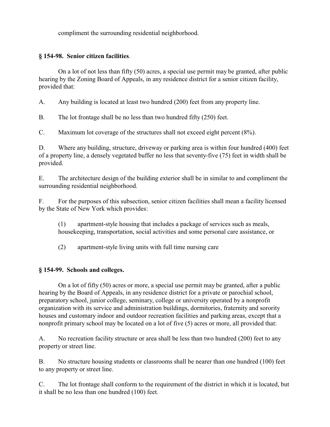compliment the surrounding residential neighborhood.

# **§ 154-98. Senior citizen facilities**.

On a lot of not less than fifty (50) acres, a special use permit may be granted, after public hearing by the Zoning Board of Appeals, in any residence district for a senior citizen facility, provided that:

A. Any building is located at least two hundred (200) feet from any property line.

B. The lot frontage shall be no less than two hundred fifty (250) feet.

C. Maximum lot coverage of the structures shall not exceed eight percent (8%).

D. Where any building, structure, driveway or parking area is within four hundred (400) feet of a property line, a densely vegetated buffer no less that seventy-five (75) feet in width shall be provided.

E. The architecture design of the building exterior shall be in similar to and compliment the surrounding residential neighborhood.

F. For the purposes of this subsection, senior citizen facilities shall mean a facility licensed by the State of New York which provides:

(1) apartment-style housing that includes a package of services such as meals, housekeeping, transportation, social activities and some personal care assistance, or

(2) apartment-style living units with full time nursing care

### **§ 154-99. Schools and colleges.**

On a lot of fifty (50) acres or more, a special use permit may be granted, after a public hearing by the Board of Appeals, in any residence district for a private or parochial school, preparatory school, junior college, seminary, college or university operated by a nonprofit organization with its service and administration buildings, dormitories, fraternity and sorority houses and customary indoor and outdoor recreation facilities and parking areas, except that a nonprofit primary school may be located on a lot of five (5) acres or more, all provided that:

A. No recreation facility structure or area shall be less than two hundred (200) feet to any property or street line.

B. No structure housing students or classrooms shall be nearer than one hundred (100) feet to any property or street line.

C. The lot frontage shall conform to the requirement of the district in which it is located, but it shall be no less than one hundred (100) feet.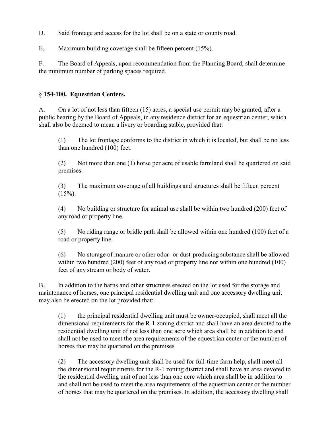D. Said frontage and access for the lot shall be on a state or county road.

E. Maximum building coverage shall be fifteen percent (15%).

F. The Board of Appeals, upon recommendation from the Planning Board, shall determine the minimum number of parking spaces required.

### § **154-100. Equestrian Centers.**

A. On a lot of not less than fifteen (15) acres, a special use permit may be granted, after a public hearing by the Board of Appeals, in any residence district for an equestrian center, which shall also be deemed to mean a livery or boarding stable, provided that:

(1) The lot frontage conforms to the district in which it is located, but shall be no less than one hundred (100) feet.

(2) Not more than one (1) horse per acre of usable farmland shall be quartered on said premises.

(3) The maximum coverage of all buildings and structures shall be fifteen percent  $(15\%)$ .

(4) No building or structure for animal use shall be within two hundred (200) feet of any road or property line.

(5) No riding range or bridle path shall be allowed within one hundred (100) feet of a road or property line.

(6) No storage of manure or other odor- or dust-producing substance shall be allowed within two hundred (200) feet of any road or property line nor within one hundred (100) feet of any stream or body of water.

B. In addition to the barns and other structures erected on the lot used for the storage and maintenance of horses, one principal residential dwelling unit and one accessory dwelling unit may also be erected on the lot provided that:

(1) the principal residential dwelling unit must be owner-occupied, shall meet all the dimensional requirements for the R-1 zoning district and shall have an area devoted to the residential dwelling unit of not less than one acre which area shall be in addition to and shall not be used to meet the area requirements of the equestrian center or the number of horses that may be quartered on the premises

(2) The accessory dwelling unit shall be used for full-time farm help, shall meet all the dimensional requirements for the R-1 zoning district and shall have an area devoted to the residential dwelling unit of not less than one acre which area shall be in addition to and shall not be used to meet the area requirements of the equestrian center or the number of horses that may be quartered on the premises. In addition, the accessory dwelling shall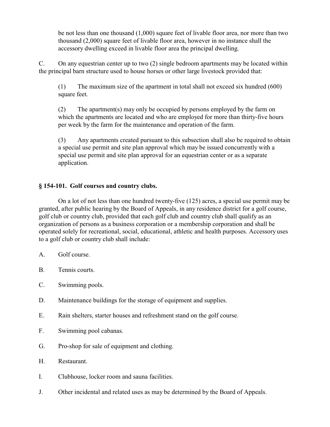be not less than one thousand (1,000) square feet of livable floor area, nor more than two thousand (2,000) square feet of livable floor area, however in no instance shall the accessory dwelling exceed in livable floor area the principal dwelling.

C. On any equestrian center up to two (2) single bedroom apartments may be located within the principal barn structure used to house horses or other large livestock provided that:

(1) The maximum size of the apartment in total shall not exceed six hundred (600) square feet.

(2) The apartment(s) may only be occupied by persons employed by the farm on which the apartments are located and who are employed for more than thirty-five hours per week by the farm for the maintenance and operation of the farm.

(3) Any apartments created pursuant to this subsection shall also be required to obtain a special use permit and site plan approval which may be issued concurrently with a special use permit and site plan approval for an equestrian center or as a separate application.

### **§ 154-101. Golf courses and country clubs.**

On a lot of not less than one hundred twenty-five (125) acres, a special use permit may be granted, after public hearing by the Board of Appeals, in any residence district for a golf course, golf club or country club, provided that each golf club and country club shall qualify as an organization of persons as a business corporation or a membership corporation and shall be operated solely for recreational, social, educational, athletic and health purposes. Accessory uses to a golf club or country club shall include:

- A. Golf course.
- B. Tennis courts.
- C. Swimming pools.
- D. Maintenance buildings for the storage of equipment and supplies.
- E. Rain shelters, starter houses and refreshment stand on the golf course.
- F. Swimming pool cabanas.
- G. Pro-shop for sale of equipment and clothing.
- H. Restaurant.
- I. Clubhouse, locker room and sauna facilities.
- J. Other incidental and related uses as may be determined by the Board of Appeals.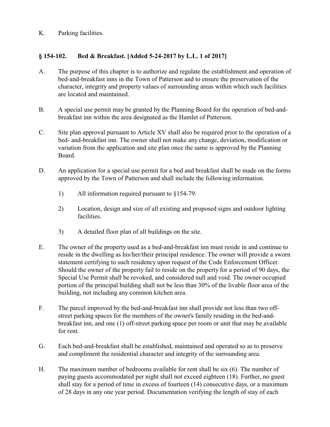K. Parking facilities.

# **§ 154-102. Bed & Breakfast. [Added 5-24-2017 by L.L. 1 of 2017]**

- A. The purpose of this chapter is to authorize and regulate the establishment and operation of bed-and-breakfast inns in the Town of Patterson and to ensure the preservation of the character, integrity and property values of surrounding areas within which such facilities are located and maintained.
- B. A special use permit may be granted by the Planning Board for the operation of bed-andbreakfast inn within the area designated as the Hamlet of Patterson.
- C. Site plan approval pursuant to Article XV shall also be required prior to the operation of a bed- and-breakfast inn. The owner shall not make any change, deviation, modification or variation from the application and site plan once the same is approved by the Planning Board.
- D. An application for a special use permit for a bed and breakfast shall be made on the forms approved by the Town of Patterson and shall include the following information.
	- 1) All information required pursuant to §154-79.
	- 2) Location, design and size of all existing and proposed signs and outdoor lighting facilities.
	- 3) A detailed floor plan of all buildings on the site.
- E. The owner of the property used as a bed-and-breakfast inn must reside in and continue to reside in the dwelling as his/her/their principal residence. The owner will provide a sworn statement certifying to such residency upon request of the Code Enforcement Officer. Should the owner of the property fail to reside on the property for a period of 90 days, the Special Use Permit shall be revoked, and considered null and void. The owner occupied portion of the principal building shall not be less than 30% of the livable floor area of the building, not including any common kitchen area.
- F. The parcel improved by the bed-and-breakfast inn shall provide not less than two offstreet parking spaces for the members of the owner's family residing in the bed-andbreakfast inn, and one (1) off-street parking space per room or unit that may be available for rent.
- G. Each bed-and-breakfast shall be established, maintained and operated so as to preserve and compliment the residential character and integrity of the surrounding area.
- H. The maximum number of bedrooms available for rent shall be six (6). The number of paying guests accommodated per night shall not exceed eighteen (18). Further, no guest shall stay for a period of time in excess of fourteen (14) consecutive days, or a maximum of 28 days in any one year period. Documentation verifying the length of stay of each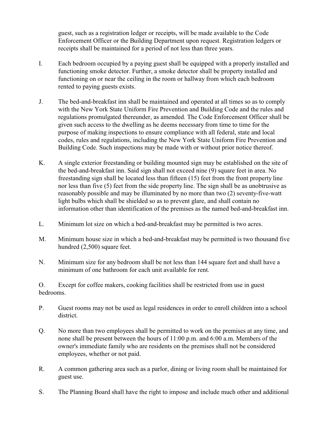guest, such as a registration ledger or receipts, will be made available to the Code Enforcement Officer or the Building Department upon request. Registration ledgers or receipts shall be maintained for a period of not less than three years.

- I. Each bedroom occupied by a paying guest shall be equipped with a properly installed and functioning smoke detector. Further, a smoke detector shall be property installed and functioning on or near the ceiling in the room or hallway from which each bedroom rented to paying guests exists.
- J. The bed-and-breakfast inn shall be maintained and operated at all times so as to comply with the New York State Uniform Fire Prevention and Building Code and the rules and regulations promulgated thereunder, as amended. The Code Enforcement Officer shall be given such access to the dwelling as he deems necessary from time to time for the purpose of making inspections to ensure compliance with all federal, state and local codes, rules and regulations, including the New York State Uniform Fire Prevention and Building Code. Such inspections may be made with or without prior notice thereof.
- K. A single exterior freestanding or building mounted sign may be established on the site of the bed-and-breakfast inn. Said sign shall not exceed nine (9) square feet in area. No freestanding sign shall be located less than fifteen (15) feet from the front property line nor less than five (5) feet from the side property line. The sign shall be as unobtrusive as reasonably possible and may be illuminated by no more than two (2) seventy-five-watt light bulbs which shall be shielded so as to prevent glare, and shall contain no information other than identification of the premises as the named bed-and-breakfast inn.
- L. Minimum lot size on which a bed-and-breakfast may be permitted is two acres.
- M. Minimum house size in which a bed-and-breakfast may be permitted is two thousand five hundred (2,500) square feet.
- N. Minimum size for any bedroom shall be not less than 144 square feet and shall have a minimum of one bathroom for each unit available for rent.

O. Except for coffee makers, cooking facilities shall be restricted from use in guest bedrooms.

- P. Guest rooms may not be used as legal residences in order to enroll children into a school district.
- Q. No more than two employees shall be permitted to work on the premises at any time, and none shall be present between the hours of 11:00 p.m. and 6:00 a.m. Members of the owner's immediate family who are residents on the premises shall not be considered employees, whether or not paid.
- R. A common gathering area such as a parlor, dining or living room shall be maintained for guest use.
- S. The Planning Board shall have the right to impose and include much other and additional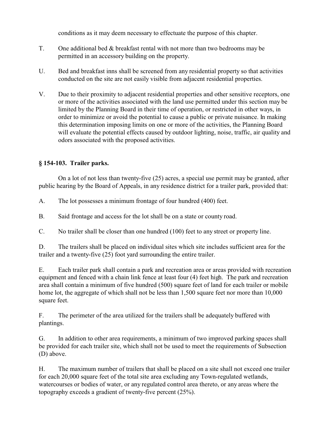conditions as it may deem necessary to effectuate the purpose of this chapter.

- T. One additional bed & breakfast rental with not more than two bedrooms may be permitted in an accessory building on the property.
- U. Bed and breakfast inns shall be screened from any residential property so that activities conducted on the site are not easily visible from adjacent residential properties.
- V. Due to their proximity to adjacent residential properties and other sensitive receptors, one or more of the activities associated with the land use permitted under this section may be limited by the Planning Board in their time of operation, or restricted in other ways, in order to minimize or avoid the potential to cause a public or private nuisance. In making this determination imposing limits on one or more of the activities, the Planning Board will evaluate the potential effects caused by outdoor lighting, noise, traffic, air quality and odors associated with the proposed activities.

# **§ 154-103. Trailer parks.**

On a lot of not less than twenty-five (25) acres, a special use permit may be granted, after public hearing by the Board of Appeals, in any residence district for a trailer park, provided that:

- A. The lot possesses a minimum frontage of four hundred (400) feet.
- B. Said frontage and access for the lot shall be on a state or county road.
- C. No trailer shall be closer than one hundred (100) feet to any street or property line.

D. The trailers shall be placed on individual sites which site includes sufficient area for the trailer and a twenty-five (25) foot yard surrounding the entire trailer.

E. Each trailer park shall contain a park and recreation area or areas provided with recreation equipment and fenced with a chain link fence at least four (4) feet high. The park and recreation area shall contain a minimum of five hundred (500) square feet of land for each trailer or mobile home lot, the aggregate of which shall not be less than 1,500 square feet nor more than 10,000 square feet.

F. The perimeter of the area utilized for the trailers shall be adequately buffered with plantings.

G. In addition to other area requirements, a minimum of two improved parking spaces shall be provided for each trailer site, which shall not be used to meet the requirements of Subsection (D) above.

H. The maximum number of trailers that shall be placed on a site shall not exceed one trailer for each 20,000 square feet of the total site area excluding any Town-regulated wetlands, watercourses or bodies of water, or any regulated control area thereto, or any areas where the topography exceeds a gradient of twenty-five percent (25%).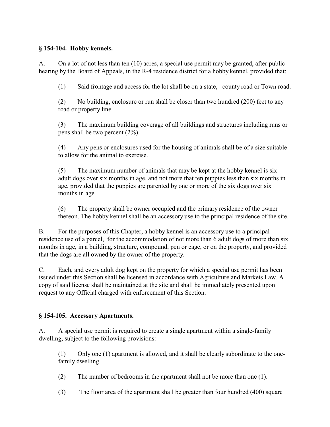### **§ 154-104. Hobby kennels.**

A. On a lot of not less than ten (10) acres, a special use permit may be granted, after public hearing by the Board of Appeals, in the R-4 residence district for a hobby kennel, provided that:

(1) Said frontage and access for the lot shall be on a state, county road or Town road.

(2) No building, enclosure or run shall be closer than two hundred (200) feet to any road or property line.

(3) The maximum building coverage of all buildings and structures including runs or pens shall be two percent (2%).

(4) Any pens or enclosures used for the housing of animals shall be of a size suitable to allow for the animal to exercise.

(5) The maximum number of animals that may be kept at the hobby kennel is six adult dogs over six months in age, and not more that ten puppies less than six months in age, provided that the puppies are parented by one or more of the six dogs over six months in age.

(6) The property shall be owner occupied and the primary residence of the owner thereon. The hobby kennel shall be an accessory use to the principal residence of the site.

B. For the purposes of this Chapter, a hobby kennel is an accessory use to a principal residence use of a parcel, for the accommodation of not more than 6 adult dogs of more than six months in age, in a building, structure, compound, pen or cage, or on the property, and provided that the dogs are all owned by the owner of the property.

C. Each, and every adult dog kept on the property for which a special use permit has been issued under this Section shall be licensed in accordance with Agriculture and Markets Law. A copy of said license shall be maintained at the site and shall be immediately presented upon request to any Official charged with enforcement of this Section.

# **§ 154-105. Accessory Apartments.**

A. A special use permit is required to create a single apartment within a single-family dwelling, subject to the following provisions:

(1) Only one (1) apartment is allowed, and it shall be clearly subordinate to the onefamily dwelling.

- (2) The number of bedrooms in the apartment shall not be more than one (1).
- (3) The floor area of the apartment shall be greater than four hundred (400) square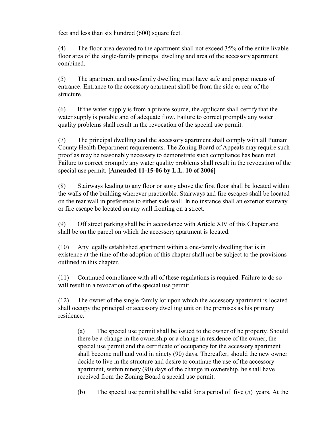feet and less than six hundred (600) square feet.

(4) The floor area devoted to the apartment shall not exceed 35% of the entire livable floor area of the single-family principal dwelling and area of the accessory apartment combined.

(5) The apartment and one-family dwelling must have safe and proper means of entrance. Entrance to the accessory apartment shall be from the side or rear of the structure.

(6) If the water supply is from a private source, the applicant shall certify that the water supply is potable and of adequate flow. Failure to correct promptly any water quality problems shall result in the revocation of the special use permit.

(7) The principal dwelling and the accessory apartment shall comply with all Putnam County Health Department requirements. The Zoning Board of Appeals may require such proof as may be reasonably necessary to demonstrate such compliance has been met. Failure to correct promptly any water quality problems shall result in the revocation of the special use permit. **[Amended 11-15-06 by L.L. 10 of 2006]** 

(8) Stairways leading to any floor or story above the first floor shall be located within the walls of the building wherever practicable. Stairways and fire escapes shall be located on the rear wall in preference to either side wall. In no instance shall an exterior stairway or fire escape be located on any wall fronting on a street.

(9) Off street parking shall be in accordance with Article XIV of this Chapter and shall be on the parcel on which the accessory apartment is located.

(10) Any legally established apartment within a one-family dwelling that is in existence at the time of the adoption of this chapter shall not be subject to the provisions outlined in this chapter.

(11) Continued compliance with all of these regulations is required. Failure to do so will result in a revocation of the special use permit.

(12) The owner of the single-family lot upon which the accessory apartment is located shall occupy the principal or accessory dwelling unit on the premises as his primary residence.

(a) The special use permit shall be issued to the owner of he property. Should there be a change in the ownership or a change in residence of the owner, the special use permit and the certificate of occupancy for the accessory apartment shall become null and void in ninety (90) days. Thereafter, should the new owner decide to live in the structure and desire to continue the use of the accessory apartment, within ninety (90) days of the change in ownership, he shall have received from the Zoning Board a special use permit.

(b) The special use permit shall be valid for a period of five (5) years. At the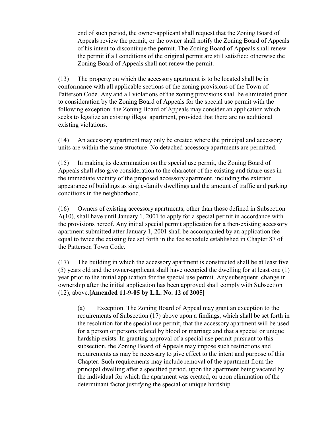end of such period, the owner-applicant shall request that the Zoning Board of Appeals review the permit, or the owner shall notify the Zoning Board of Appeals of his intent to discontinue the permit. The Zoning Board of Appeals shall renew the permit if all conditions of the original permit are still satisfied; otherwise the Zoning Board of Appeals shall not renew the permit.

(13) The property on which the accessory apartment is to be located shall be in conformance with all applicable sections of the zoning provisions of the Town of Patterson Code. Any and all violations of the zoning provisions shall be eliminated prior to consideration by the Zoning Board of Appeals for the special use permit with the following exception: the Zoning Board of Appeals may consider an application which seeks to legalize an existing illegal apartment, provided that there are no additional existing violations.

(14) An accessory apartment may only be created where the principal and accessory units are within the same structure. No detached accessory apartments are permitted.

(15) In making its determination on the special use permit, the Zoning Board of Appeals shall also give consideration to the character of the existing and future uses in the immediate vicinity of the proposed accessory apartment, including the exterior appearance of buildings as single-family dwellings and the amount of traffic and parking conditions in the neighborhood.

(16) Owners of existing accessory apartments, other than those defined in Subsection A(10), shall have until January 1, 2001 to apply for a special permit in accordance with the provisions hereof. Any initial special permit application for a then-existing accessory apartment submitted after January 1, 2001 shall be accompanied by an application fee equal to twice the existing fee set forth in the fee schedule established in Chapter 87 of the Patterson Town Code.

(17) The building in which the accessory apartment is constructed shall be at least five (5) years old and the owner-applicant shall have occupied the dwelling for at least one (1) year prior to the initial application for the special use permit. Any subsequent change in ownership after the initial application has been approved shall comply with Subsection (12), above.**[Amended 11-9-05 by L.L. No. 12 of 2005]**

(a) Exception. The Zoning Board of Appeal may grant an exception to the requirements of Subsection (17) above upon a findings, which shall be set forth in the resolution for the special use permit, that the accessory apartment will be used for a person or persons related by blood or marriage and that a special or unique hardship exists. In granting approval of a special use permit pursuant to this subsection, the Zoning Board of Appeals may impose such restrictions and requirements as may be necessary to give effect to the intent and purpose of this Chapter. Such requirements may include removal of the apartment from the principal dwelling after a specified period, upon the apartment being vacated by the individual for which the apartment was created, or upon elimination of the determinant factor justifying the special or unique hardship.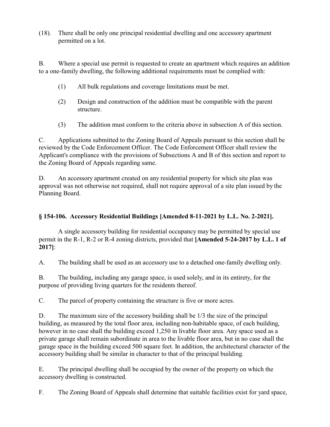(18). There shall be only one principal residential dwelling and one accessory apartment permitted on a lot.

B. Where a special use permit is requested to create an apartment which requires an addition to a one-family dwelling, the following additional requirements must be complied with:

- (1) All bulk regulations and coverage limitations must be met.
- (2) Design and construction of the addition must be compatible with the parent structure.
- (3) The addition must conform to the criteria above in subsection A of this section.

C. Applications submitted to the Zoning Board of Appeals pursuant to this section shall be reviewed by the Code Enforcement Officer. The Code Enforcement Officer shall review the Applicant's compliance with the provisions of Subsections A and B of this section and report to the Zoning Board of Appeals regarding same.

D. An accessory apartment created on any residential property for which site plan was approval was not otherwise not required, shall not require approval of a site plan issued by the Planning Board.

# **§ 154-106. Accessory Residential Buildings [Amended 8-11-2021 by L.L. No. 2-2021].**

A single accessory building for residential occupancy may be permitted by special use permit in the R-1, R-2 or R-4 zoning districts, provided that **[Amended 5-24-2017 by L.L. 1 of 2017]**:

A. The building shall be used as an accessory use to a detached one-family dwelling only.

B. The building, including any garage space, is used solely, and in its entirety, for the purpose of providing living quarters for the residents thereof.

C. The parcel of property containing the structure is five or more acres.

D. The maximum size of the accessory building shall be 1/3 the size of the principal building, as measured by the total floor area, including non-habitable space, of each building, however in no case shall the building exceed 1,250 in livable floor area. Any space used as a private garage shall remain subordinate in area to the livable floor area, but in no case shall the garage space in the building exceed 500 square feet. In addition, the architectural character of the accessory building shall be similar in character to that of the principal building.

E. The principal dwelling shall be occupied by the owner of the property on which the accessory dwelling is constructed.

F. The Zoning Board of Appeals shall determine that suitable facilities exist for yard space,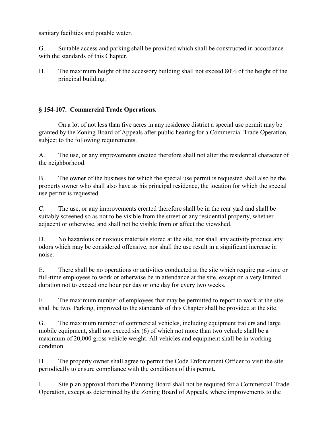sanitary facilities and potable water.

G. Suitable access and parking shall be provided which shall be constructed in accordance with the standards of this Chapter.

H. The maximum height of the accessory building shall not exceed 80% of the height of the principal building.

# **§ 154-107. Commercial Trade Operations.**

On a lot of not less than five acres in any residence district a special use permit may be granted by the Zoning Board of Appeals after public hearing for a Commercial Trade Operation, subject to the following requirements.

A. The use, or any improvements created therefore shall not alter the residential character of the neighborhood.

B. The owner of the business for which the special use permit is requested shall also be the property owner who shall also have as his principal residence, the location for which the special use permit is requested.

C. The use, or any improvements created therefore shall be in the rear yard and shall be suitably screened so as not to be visible from the street or any residential property, whether adjacent or otherwise, and shall not be visible from or affect the viewshed.

D. No hazardous or noxious materials stored at the site, nor shall any activity produce any odors which may be considered offensive, nor shall the use result in a significant increase in noise.

E. There shall be no operations or activities conducted at the site which require part-time or full-time employees to work or otherwise be in attendance at the site, except on a very limited duration not to exceed one hour per day or one day for every two weeks.

F. The maximum number of employees that may be permitted to report to work at the site shall be two. Parking, improved to the standards of this Chapter shall be provided at the site.

G. The maximum number of commercial vehicles, including equipment trailers and large mobile equipment, shall not exceed six (6) of which not more than two vehicle shall be a maximum of 20,000 gross vehicle weight. All vehicles and equipment shall be in working condition.

H. The property owner shall agree to permit the Code Enforcement Officer to visit the site periodically to ensure compliance with the conditions of this permit.

I. Site plan approval from the Planning Board shall not be required for a Commercial Trade Operation, except as determined by the Zoning Board of Appeals, where improvements to the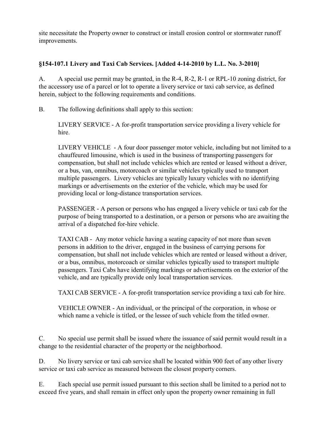site necessitate the Property owner to construct or install erosion control or stormwater runoff improvements.

# **§154-107.1 Livery and Taxi Cab Services. [Added 4-14-2010 by L.L. No. 3-2010]**

A. A special use permit may be granted, in the R-4, R-2, R-1 or RPL-10 zoning district, for the accessory use of a parcel or lot to operate a livery service or taxi cab service, as defined herein, subject to the following requirements and conditions.

B. The following definitions shall apply to this section:

LIVERY SERVICE - A for-profit transportation service providing a livery vehicle for hire.

LIVERY VEHICLE - A four door passenger motor vehicle, including but not limited to a chauffeured limousine, which is used in the business of transporting passengers for compensation, but shall not include vehicles which are rented or leased without a driver, or a bus, van, omnibus, motorcoach or similar vehicles typically used to transport multiple passengers. Livery vehicles are typically luxury vehicles with no identifying markings or advertisements on the exterior of the vehicle, which may be used for providing local or long-distance transportation services.

PASSENGER - A person or persons who has engaged a livery vehicle or taxi cab for the purpose of being transported to a destination, or a person or persons who are awaiting the arrival of a dispatched for-hire vehicle.

TAXI CAB - Any motor vehicle having a seating capacity of not more than seven persons in addition to the driver, engaged in the business of carrying persons for compensation, but shall not include vehicles which are rented or leased without a driver, or a bus, omnibus, motorcoach or similar vehicles typically used to transport multiple passengers. Taxi Cabs have identifying markings or advertisements on the exterior of the vehicle, and are typically provide only local transportation services.

TAXI CAB SERVICE - A for-profit transportation service providing a taxi cab for hire.

VEHICLE OWNER - An individual, or the principal of the corporation, in whose or which name a vehicle is titled, or the lessee of such vehicle from the titled owner.

C. No special use permit shall be issued where the issuance of said permit would result in a change to the residential character of the property or the neighborhood.

D. No livery service or taxi cab service shall be located within 900 feet of any other livery service or taxi cab service as measured between the closest property corners.

E. Each special use permit issued pursuant to this section shall be limited to a period not to exceed five years, and shall remain in effect only upon the property owner remaining in full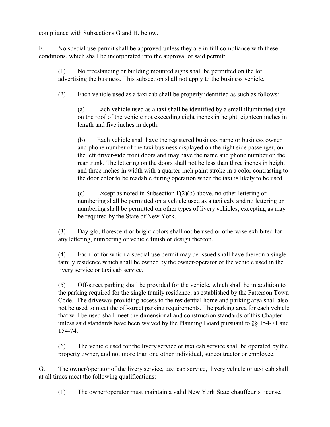compliance with Subsections G and H, below.

F. No special use permit shall be approved unless they are in full compliance with these conditions, which shall be incorporated into the approval of said permit:

(1) No freestanding or building mounted signs shall be permitted on the lot advertising the business. This subsection shall not apply to the business vehicle.

(2) Each vehicle used as a taxi cab shall be properly identified as such as follows:

(a) Each vehicle used as a taxi shall be identified by a small illuminated sign on the roof of the vehicle not exceeding eight inches in height, eighteen inches in length and five inches in depth.

(b) Each vehicle shall have the registered business name or business owner and phone number of the taxi business displayed on the right side passenger, on the left driver-side front doors and may have the name and phone number on the rear trunk. The lettering on the doors shall not be less than three inches in height and three inches in width with a quarter-inch paint stroke in a color contrasting to the door color to be readable during operation when the taxi is likely to be used.

(c) Except as noted in Subsection F(2)(b) above, no other lettering or numbering shall be permitted on a vehicle used as a taxi cab, and no lettering or numbering shall be permitted on other types of livery vehicles, excepting as may be required by the State of New York.

(3) Day-glo, florescent or bright colors shall not be used or otherwise exhibited for any lettering, numbering or vehicle finish or design thereon.

(4) Each lot for which a special use permit may be issued shall have thereon a single family residence which shall be owned by the owner/operator of the vehicle used in the livery service or taxi cab service.

(5) Off-street parking shall be provided for the vehicle, which shall be in addition to the parking required for the single family residence, as established by the Patterson Town Code. The driveway providing access to the residential home and parking area shall also not be used to meet the off-street parking requirements. The parking area for each vehicle that will be used shall meet the dimensional and construction standards of this Chapter unless said standards have been waived by the Planning Board pursuant to §§ 154-71 and 154-74.

(6) The vehicle used for the livery service or taxi cab service shall be operated by the property owner, and not more than one other individual, subcontractor or employee.

G. The owner/operator of the livery service, taxi cab service, livery vehicle or taxi cab shall at all times meet the following qualifications:

(1) The owner/operator must maintain a valid New York State chauffeur's license.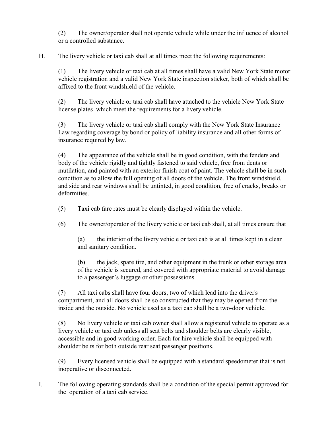(2) The owner/operator shall not operate vehicle while under the influence of alcohol or a controlled substance.

H. The livery vehicle or taxi cab shall at all times meet the following requirements:

(1) The livery vehicle or taxi cab at all times shall have a valid New York State motor vehicle registration and a valid New York State inspection sticker, both of which shall be affixed to the front windshield of the vehicle.

(2) The livery vehicle or taxi cab shall have attached to the vehicle New York State license plates which meet the requirements for a livery vehicle.

(3) The livery vehicle or taxi cab shall comply with the New York State Insurance Law regarding coverage by bond or policy of liability insurance and all other forms of insurance required by law.

(4) The appearance of the vehicle shall be in good condition, with the fenders and body of the vehicle rigidly and tightly fastened to said vehicle, free from dents or mutilation, and painted with an exterior finish coat of paint. The vehicle shall be in such condition as to allow the full opening of all doors of the vehicle. The front windshield, and side and rear windows shall be untinted, in good condition, free of cracks, breaks or deformities.

(5) Taxi cab fare rates must be clearly displayed within the vehicle.

(6) The owner/operator of the livery vehicle or taxi cab shall, at all times ensure that

(a) the interior of the livery vehicle or taxi cab is at all times kept in a clean and sanitary condition.

(b) the jack, spare tire, and other equipment in the trunk or other storage area of the vehicle is secured, and covered with appropriate material to avoid damage to a passenger's luggage or other possessions.

(7) All taxi cabs shall have four doors, two of which lead into the driver's compartment, and all doors shall be so constructed that they may be opened from the inside and the outside. No vehicle used as a taxi cab shall be a two-door vehicle.

(8) No livery vehicle or taxi cab owner shall allow a registered vehicle to operate as a livery vehicle or taxi cab unless all seat belts and shoulder belts are clearly visible, accessible and in good working order. Each for hire vehicle shall be equipped with shoulder belts for both outside rear seat passenger positions.

(9) Every licensed vehicle shall be equipped with a standard speedometer that is not inoperative or disconnected.

I. The following operating standards shall be a condition of the special permit approved for the operation of a taxi cab service.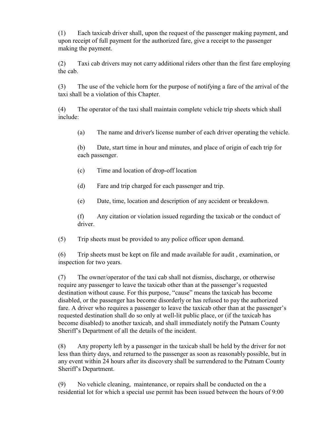(1) Each taxicab driver shall, upon the request of the passenger making payment, and upon receipt of full payment for the authorized fare, give a receipt to the passenger making the payment.

(2) Taxi cab drivers may not carry additional riders other than the first fare employing the cab.

(3) The use of the vehicle horn for the purpose of notifying a fare of the arrival of the taxi shall be a violation of this Chapter.

(4) The operator of the taxi shall maintain complete vehicle trip sheets which shall include:

(a) The name and driver's license number of each driver operating the vehicle.

(b) Date, start time in hour and minutes, and place of origin of each trip for each passenger.

- (c) Time and location of drop-off location
- (d) Fare and trip charged for each passenger and trip.
- (e) Date, time, location and description of any accident or breakdown.

(f) Any citation or violation issued regarding the taxicab or the conduct of driver.

(5) Trip sheets must be provided to any police officer upon demand.

(6) Trip sheets must be kept on file and made available for audit , examination, or inspection for two years.

(7) The owner/operator of the taxi cab shall not dismiss, discharge, or otherwise require any passenger to leave the taxicab other than at the passenger's requested destination without cause. For this purpose, "cause" means the taxicab has become disabled, or the passenger has become disorderly or has refused to pay the authorized fare. A driver who requires a passenger to leave the taxicab other than at the passenger's requested destination shall do so only at well-lit public place, or (if the taxicab has become disabled) to another taxicab, and shall immediately notify the Putnam County Sheriff's Department of all the details of the incident.

(8) Any property left by a passenger in the taxicab shall be held by the driver for not less than thirty days, and returned to the passenger as soon as reasonably possible, but in any event within 24 hours after its discovery shall be surrendered to the Putnam County Sheriff's Department.

(9) No vehicle cleaning, maintenance, or repairs shall be conducted on the a residential lot for which a special use permit has been issued between the hours of 9:00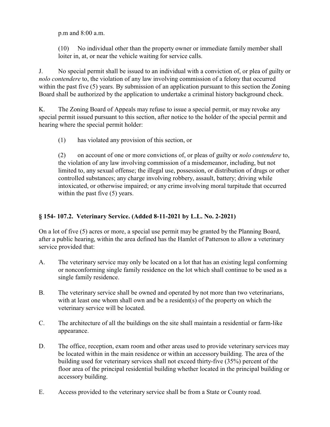p.m and 8:00 a.m.

(10) No individual other than the property owner or immediate family member shall loiter in, at, or near the vehicle waiting for service calls.

J. No special permit shall be issued to an individual with a conviction of, or plea of guilty or *nolo contendere* to, the violation of any law involving commission of a felony that occurred within the past five (5) years. By submission of an application pursuant to this section the Zoning Board shall be authorized by the application to undertake a criminal history background check.

K. The Zoning Board of Appeals may refuse to issue a special permit, or may revoke any special permit issued pursuant to this section, after notice to the holder of the special permit and hearing where the special permit holder:

(1) has violated any provision of this section, or

(2) on account of one or more convictions of, or pleas of guilty or *nolo contendere* to, the violation of any law involving commission of a misdemeanor, including, but not limited to, any sexual offense; the illegal use, possession, or distribution of drugs or other controlled substances; any charge involving robbery, assault, battery; driving while intoxicated, or otherwise impaired; or any crime involving moral turpitude that occurred within the past five  $(5)$  years.

# **§ 154- 107.2. Veterinary Service. (Added 8-11-2021 by L.L. No. 2-2021)**

On a lot of five (5) acres or more, a special use permit may be granted by the Planning Board, after a public hearing, within the area defined has the Hamlet of Patterson to allow a veterinary service provided that:

- A. The veterinary service may only be located on a lot that has an existing legal conforming or nonconforming single family residence on the lot which shall continue to be used as a single family residence.
- B. The veterinary service shall be owned and operated by not more than two veterinarians, with at least one whom shall own and be a resident(s) of the property on which the veterinary service will be located.
- C. The architecture of all the buildings on the site shall maintain a residential or farm-like appearance.
- D. The office, reception, exam room and other areas used to provide veterinary services may be located within in the main residence or within an accessory building. The area of the building used for veterinary services shall not exceed thirty-five (35%) percent of the floor area of the principal residential building whether located in the principal building or accessory building.
- E. Access provided to the veterinary service shall be from a State or County road.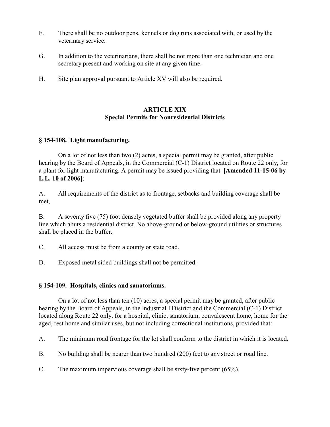- F. There shall be no outdoor pens, kennels or dog runs associated with, or used by the veterinary service.
- G. In addition to the veterinarians, there shall be not more than one technician and one secretary present and working on site at any given time.
- H. Site plan approval pursuant to Article XV will also be required.

### **ARTICLE XIX Special Permits for Nonresidential Districts**

#### **§ 154-108. Light manufacturing.**

On a lot of not less than two (2) acres, a special permit may be granted, after public hearing by the Board of Appeals, in the Commercial (C-1) District located on Route 22 only, for a plant for light manufacturing. A permit may be issued providing that **[Amended 11-15-06 by L.L. 10 of 2006]**:

A. All requirements of the district as to frontage, setbacks and building coverage shall be met,

B. A seventy five (75) foot densely vegetated buffer shall be provided along any property line which abuts a residential district. No above-ground or below-ground utilities or structures shall be placed in the buffer.

C. All access must be from a county or state road.

D. Exposed metal sided buildings shall not be permitted.

#### **§ 154-109. Hospitals, clinics and sanatoriums.**

On a lot of not less than ten (10) acres, a special permit may be granted, after public hearing by the Board of Appeals, in the Industrial I District and the Commercial (C-1) District located along Route 22 only, for a hospital, clinic, sanatorium, convalescent home, home for the aged, rest home and similar uses, but not including correctional institutions, provided that:

A. The minimum road frontage for the lot shall conform to the district in which it is located.

B. No building shall be nearer than two hundred (200) feet to any street or road line.

C. The maximum impervious coverage shall be sixty-five percent (65%).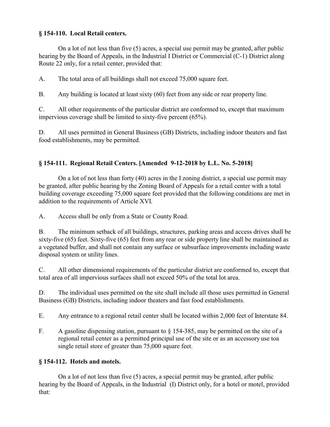## **§ 154-110. Local Retail centers.**

On a lot of not less than five (5) acres, a special use permit may be granted, after public hearing by the Board of Appeals, in the Industrial I District or Commercial (C-1) District along Route 22 only, for a retail center, provided that:

A. The total area of all buildings shall not exceed 75,000 square feet.

B. Any building is located at least sixty (60) feet from any side or rear property line.

C. All other requirements of the particular district are conformed to, except that maximum impervious coverage shall be limited to sixty-five percent (65%).

D. All uses permitted in General Business (GB) Districts, including indoor theaters and fast food establishments, may be permitted.

# **§ 154-111. Regional Retail Centers. [Amended 9-12-2018 by L.L. No. 5-2018]**

On a lot of not less than forty (40) acres in the I zoning district, a special use permit may be granted, after public hearing by the Zoning Board of Appeals for a retail center with a total building coverage exceeding 75,000 square feet provided that the following conditions are met in addition to the requirements of Article XVI.

A. Access shall be only from a State or County Road.

B. The minimum setback of all buildings, structures, parking areas and access drives shall be sixty-five (65) feet. Sixty-five (65) feet from any rear or side property line shall be maintained as a vegetated buffer, and shall not contain any surface or subsurface improvements including waste disposal system or utility lines.

C. All other dimensional requirements of the particular district are conformed to, except that total area of all impervious surfaces shall not exceed 50% of the total lot area.

D. The individual uses permitted on the site shall include all those uses permitted in General Business (GB) Districts, including indoor theaters and fast food establishments.

E. Any entrance to a regional retail center shall be located within 2,000 feet of Interstate 84.

F. A gasoline dispensing station, pursuant to  $\S$  154-385, may be permitted on the site of a regional retail center as a permitted principal use of the site or as an accessory use toa single retail store of greater than 75,000 square feet.

# **§ 154-112. Hotels and motels.**

On a lot of not less than five (5) acres, a special permit may be granted, after public hearing by the Board of Appeals, in the Industrial (I) District only, for a hotel or motel, provided that: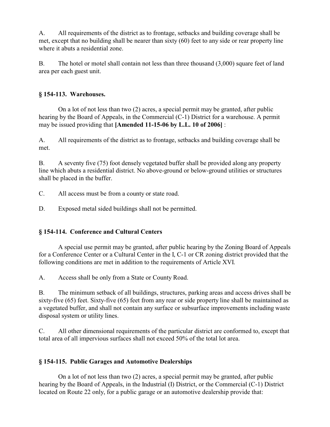A. All requirements of the district as to frontage, setbacks and building coverage shall be met, except that no building shall be nearer than sixty (60) feet to any side or rear property line where it abuts a residential zone.

B. The hotel or motel shall contain not less than three thousand (3,000) square feet of land area per each guest unit.

### **§ 154-113. Warehouses.**

On a lot of not less than two (2) acres, a special permit may be granted, after public hearing by the Board of Appeals, in the Commercial (C-1) District for a warehouse. A permit may be issued providing that **[Amended 11-15-06 by L.L. 10 of 2006]** :

A. All requirements of the district as to frontage, setbacks and building coverage shall be met.

B. A seventy five (75) foot densely vegetated buffer shall be provided along any property line which abuts a residential district. No above-ground or below-ground utilities or structures shall be placed in the buffer.

C. All access must be from a county or state road.

D. Exposed metal sided buildings shall not be permitted.

# **§ 154-114. Conference and Cultural Centers**

A special use permit may be granted, after public hearing by the Zoning Board of Appeals for a Conference Center or a Cultural Center in the I, C-1 or CR zoning district provided that the following conditions are met in addition to the requirements of Article XVI.

A. Access shall be only from a State or County Road.

B. The minimum setback of all buildings, structures, parking areas and access drives shall be sixty-five (65) feet. Sixty-five (65) feet from any rear or side property line shall be maintained as a vegetated buffer, and shall not contain any surface or subsurface improvements including waste disposal system or utility lines.

C. All other dimensional requirements of the particular district are conformed to, except that total area of all impervious surfaces shall not exceed 50% of the total lot area.

# **§ 154-115. Public Garages and Automotive Dealerships**

On a lot of not less than two (2) acres, a special permit may be granted, after public hearing by the Board of Appeals, in the Industrial (I) District, or the Commercial (C-1) District located on Route 22 only, for a public garage or an automotive dealership provide that: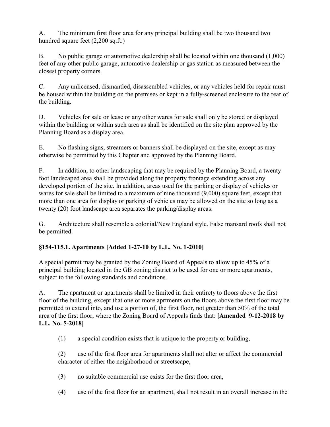A. The minimum first floor area for any principal building shall be two thousand two hundred square feet (2,200 sq.ft.)

B. No public garage or automotive dealership shall be located within one thousand (1,000) feet of any other public garage, automotive dealership or gas station as measured between the closest property corners.

C. Any unlicensed, dismantled, disassembled vehicles, or any vehicles held for repair must be housed within the building on the premises or kept in a fully-screened enclosure to the rear of the building.

D. Vehicles for sale or lease or any other wares for sale shall only be stored or displayed within the building or within such area as shall be identified on the site plan approved by the Planning Board as a display area.

E. No flashing signs, streamers or banners shall be displayed on the site, except as may otherwise be permitted by this Chapter and approved by the Planning Board.

F. In addition, to other landscaping that may be required by the Planning Board, a twenty foot landscaped area shall be provided along the property frontage extending across any developed portion of the site. In addition, areas used for the parking or display of vehicles or wares for sale shall be limited to a maximum of nine thousand (9,000) square feet, except that more than one area for display or parking of vehicles may be allowed on the site so long as a twenty (20) foot landscape area separates the parking/display areas.

G. Architecture shall resemble a colonial/New England style. False mansard roofs shall not be permitted.

# **§154-115.1. Apartments [Added 1-27-10 by L.L. No. 1-2010]**

A special permit may be granted by the Zoning Board of Appeals to allow up to 45% of a principal building located in the GB zoning district to be used for one or more apartments, subject to the following standards and conditions.

A. The apartment or apartments shall be limited in their entirety to floors above the first floor of the building, except that one or more aprtments on the floors above the first floor may be permitted to extend into, and use a portion of, the first floor, not greater than 50% of the total area of the first floor, where the Zoning Board of Appeals finds that: **[Amended 9-12-2018 by L.L. No. 5-2018]**

(1) a special condition exists that is unique to the property or building,

(2) use of the first floor area for apartments shall not alter or affect the commercial character of either the neighborhood or streetscape,

- (3) no suitable commercial use exists for the first floor area,
- (4) use of the first floor for an apartment, shall not result in an overall increase in the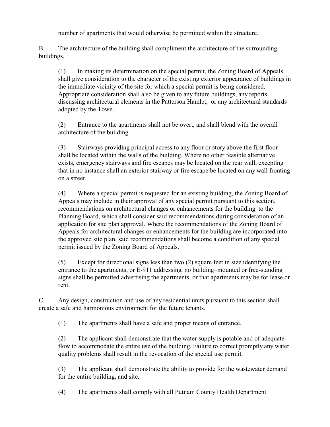number of apartments that would otherwise be permitted within the structure.

B. The architecture of the building shall compliment the architecture of the surrounding buildings.

(1) In making its determination on the special permit, the Zoning Board of Appeals shall give consideration to the character of the existing exterior appearance of buildings in the immediate vicinity of the site for which a special permit is being considered. Appropriate consideration shall also be given to any future buildings, any reports discussing architectural elements in the Patterson Hamlet, or any architectural standards adopted by the Town.

(2) Entrance to the apartments shall not be overt, and shall blend with the overall architecture of the building.

(3) Stairways providing principal access to any floor or story above the first floor shall be located within the walls of the building. Where no other feasible alternative exists, emergency stairways and fire escapes may be located on the rear wall, excepting that in no instance shall an exterior stairway or fire escape be located on any wall fronting on a street.

(4) Where a special permit is requested for an existing building, the Zoning Board of Appeals may include in their approval of any special permit pursuant to this section, recommendations on architectural changes or enhancements for the building to the Planning Board, which shall consider said recommendations during consideration of an application for site plan approval. Where the recommendations of the Zoning Board of Appeals for architectural changes or enhancements for the building are incorporated into the approved site plan, said recommendations shall become a condition of any special permit issued by the Zoning Board of Appeals.

(5) Except for directional signs less than two (2) square feet in size identifying the entrance to the apartments, or E-911 addressing, no building–mounted or free-standing signs shall be permitted advertising the apartments, or that apartments may be for lease or rent.

C. Any design, construction and use of any residential units pursuant to this section shall create a safe and harmonious environment for the future tenants.

(1) The apartments shall have a safe and proper means of entrance.

(2) The applicant shall demonstrate that the water supply is potable and of adequate flow to accommodate the entire use of the building. Failure to correct promptly any water quality problems shall result in the revocation of the special use permit.

(3) The applicant shall demonstrate the ability to provide for the wastewater demand for the entire building, and site.

(4) The apartments shall comply with all Putnam County Health Department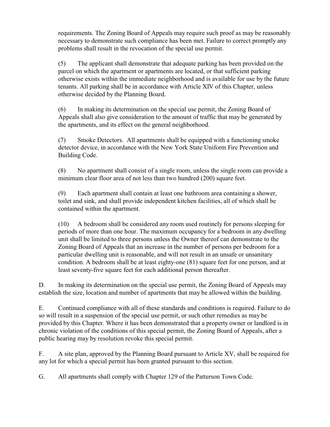requirements. The Zoning Board of Appeals may require such proof as may be reasonably necessary to demonstrate such compliance has been met. Failure to correct promptly any problems shall result in the revocation of the special use permit.

(5) The applicant shall demonstrate that adequate parking has been provided on the parcel on which the apartment or apartments are located, or that sufficient parking otherwise exists within the immediate neighborhood and is available for use by the future tenants. All parking shall be in accordance with Article XIV of this Chapter, unless otherwise decided by the Planning Board.

(6) In making its determination on the special use permit, the Zoning Board of Appeals shall also give consideration to the amount of traffic that may be generated by the apartments, and its effect on the general neighborhood.

(7) Smoke Detectors. All apartments shall be equipped with a functioning smoke detector device, in accordance with the New York State Uniform Fire Prevention and Building Code.

(8) No apartment shall consist of a single room, unless the single room can provide a minimum clear floor area of not less than two hundred (200) square feet.

(9) Each apartment shall contain at least one bathroom area containing a shower, toilet and sink, and shall provide independent kitchen facilities, all of which shall be contained within the apartment.

(10) A bedroom shall be considered any room used routinely for persons sleeping for periods of more than one hour. The maximum occupancy for a bedroom in any dwelling unit shall be limited to three persons unless the Owner thereof can demonstrate to the Zoning Board of Appeals that an increase in the number of persons per bedroom for a particular dwelling unit is reasonable, and will not result in an unsafe or unsanitary condition. A bedroom shall be at least eighty-one (81) square feet for one person, and at least seventy-five square feet for each additional person thereafter.

D. In making its determination on the special use permit, the Zoning Board of Appeals may establish the size, location and number of apartments that may be allowed within the building.

E. Continued compliance with all of these standards and conditions is required. Failure to do so will result in a suspension of the special use permit, or such other remedies as may be provided by this Chapter. Where it has been demonstrated that a property owner or landlord is in chronic violation of the conditions of this special permit, the Zoning Board of Appeals, after a public hearing may by resolution revoke this special permit.

F. A site plan, approved by the Planning Board pursuant to Article XV, shall be required for any lot for which a special permit has been granted pursuant to this section.

G. All apartments shall comply with Chapter 129 of the Patterson Town Code.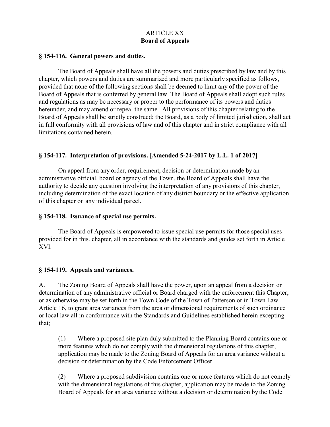# ARTICLE XX **Board of Appeals**

#### **§ 154-116. General powers and duties.**

The Board of Appeals shall have all the powers and duties prescribed by law and by this chapter, which powers and duties are summarized and more particularly specified as follows, provided that none of the following sections shall be deemed to limit any of the power of the Board of Appeals that is conferred by general law. The Board of Appeals shall adopt such rules and regulations as may be necessary or proper to the performance of its powers and duties hereunder, and may amend or repeal the same. All provisions of this chapter relating to the Board of Appeals shall be strictly construed; the Board, as a body of limited jurisdiction, shall act in full conformity with all provisions of law and of this chapter and in strict compliance with all limitations contained herein.

### **§ 154-117. Interpretation of provisions. [Amended 5-24-2017 by L.L. 1 of 2017]**

On appeal from any order, requirement, decision or determination made by an administrative official, board or agency of the Town, the Board of Appeals shall have the authority to decide any question involving the interpretation of any provisions of this chapter, including determination of the exact location of any district boundary or the effective application of this chapter on any individual parcel.

### **§ 154-118. Issuance of special use permits.**

The Board of Appeals is empowered to issue special use permits for those special uses provided for in this. chapter, all in accordance with the standards and guides set forth in Article XVI.

### **§ 154-119. Appeals and variances.**

A. The Zoning Board of Appeals shall have the power, upon an appeal from a decision or determination of any administrative official or Board charged with the enforcement this Chapter, or as otherwise may be set forth in the Town Code of the Town of Patterson or in Town Law Article 16, to grant area variances from the area or dimensional requirements of such ordinance or local law all in conformance with the Standards and Guidelines established herein excepting that;

(1) Where a proposed site plan duly submitted to the Planning Board contains one or more features which do not comply with the dimensional regulations of this chapter, application may be made to the Zoning Board of Appeals for an area variance without a decision or determination by the Code Enforcement Officer.

(2) Where a proposed subdivision contains one or more features which do not comply with the dimensional regulations of this chapter, application may be made to the Zoning Board of Appeals for an area variance without a decision or determination by the Code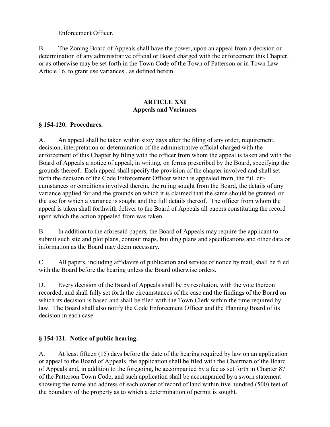### Enforcement Officer.

B. The Zoning Board of Appeals shall have the power, upon an appeal from a decision or determination of any administrative official or Board charged with the enforcement this Chapter, or as otherwise may be set forth in the Town Code of the Town of Patterson or in Town Law Article 16, to grant use variances , as defined herein.

# **ARTICLE XXI Appeals and Variances**

### **§ 154-120. Procedures.**

A. An appeal shall be taken within sixty days after the filing of any order, requirement, decision, interpretation or determination of the administrative official charged with the enforcement of this Chapter by filing with the officer from whom the appeal is taken and with the Board of Appeals a notice of appeal, in writing, on forms prescribed by the Board, specifying the grounds thereof. Each appeal shall specify the provision of the chapter involved and shall set forth the decision of the Code Enforcement Officer which is appealed from, the full circumstances or conditions involved therein, the ruling sought from the Board, the details of any variance applied for and the grounds on which it is claimed that the same should be granted, or the use for which a variance is sought and the full details thereof. The officer from whom the appeal is taken shall forthwith deliver to the Board of Appeals all papers constituting the record upon which the action appealed from was taken.

B. In addition to the aforesaid papers, the Board of Appeals may require the applicant to submit such site and plot plans, contour maps, building plans and specifications and other data or information as the Board may deem necessary.

C. All papers, including affidavits of publication and service of notice by mail, shall be filed with the Board before the hearing unless the Board otherwise orders.

D. Every decision of the Board of Appeals shall be by resolution, with the vote thereon recorded, and shall fully set forth the circumstances of the case and the findings of the Board on which its decision is based and shall be filed with the Town Clerk within the time required by law. The Board shall also notify the Code Enforcement Officer and the Planning Board of its decision in each case.

# **§ 154-121. Notice of public hearing.**

A. At least fifteen (15) days before the date of the hearing required by law on an application or appeal to the Board of Appeals, the application shall be filed with the Chairman of the Board of Appeals and, in addition to the foregoing, be accompanied by a fee as set forth in Chapter 87 of the Patterson Town Code, and such application shall be accompanied by a sworn statement showing the name and address of each owner of record of land within five hundred (500) feet of the boundary of the property as to which a determination of permit is sought.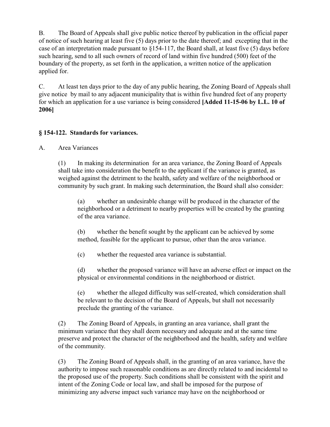B. The Board of Appeals shall give public notice thereof by publication in the official paper of notice of such hearing at least five (5) days prior to the date thereof; and excepting that in the case of an interpretation made pursuant to §154-117, the Board shall, at least five (5) days before such hearing, send to all such owners of record of land within five hundred (500) feet of the boundary of the property, as set forth in the application, a written notice of the application applied for.

C. At least ten days prior to the day of any public hearing, the Zoning Board of Appeals shall give notice by mail to any adjacent municipality that is within five hundred feet of any property for which an application for a use variance is being considered **[Added 11-15-06 by L.L. 10 of 2006]**

# **§ 154-122. Standards for variances.**

A. Area Variances

(1) In making its determination for an area variance, the Zoning Board of Appeals shall take into consideration the benefit to the applicant if the variance is granted, as weighed against the detriment to the health, safety and welfare of the neighborhood or community by such grant. In making such determination, the Board shall also consider:

(a) whether an undesirable change will be produced in the character of the neighborhood or a detriment to nearby properties will be created by the granting of the area variance.

(b) whether the benefit sought by the applicant can be achieved by some method, feasible for the applicant to pursue, other than the area variance.

(c) whether the requested area variance is substantial.

(d) whether the proposed variance will have an adverse effect or impact on the physical or environmental conditions in the neighborhood or district.

(e) whether the alleged difficulty was self-created, which consideration shall be relevant to the decision of the Board of Appeals, but shall not necessarily preclude the granting of the variance.

(2) The Zoning Board of Appeals, in granting an area variance, shall grant the minimum variance that they shall deem necessary and adequate and at the same time preserve and protect the character of the neighborhood and the health, safety and welfare of the community.

(3) The Zoning Board of Appeals shall, in the granting of an area variance, have the authority to impose such reasonable conditions as are directly related to and incidental to the proposed use of the property. Such conditions shall be consistent with the spirit and intent of the Zoning Code or local law, and shall be imposed for the purpose of minimizing any adverse impact such variance may have on the neighborhood or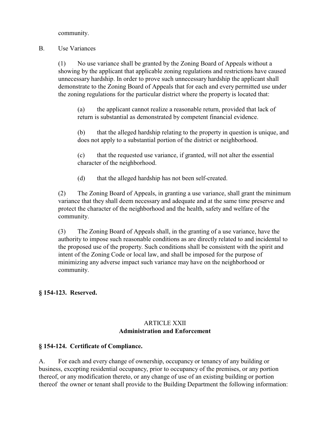community.

#### B. Use Variances

(1) No use variance shall be granted by the Zoning Board of Appeals without a showing by the applicant that applicable zoning regulations and restrictions have caused unnecessary hardship. In order to prove such unnecessary hardship the applicant shall demonstrate to the Zoning Board of Appeals that for each and every permitted use under the zoning regulations for the particular district where the property is located that:

(a) the applicant cannot realize a reasonable return, provided that lack of return is substantial as demonstrated by competent financial evidence.

(b) that the alleged hardship relating to the property in question is unique, and does not apply to a substantial portion of the district or neighborhood.

(c) that the requested use variance, if granted, will not alter the essential character of the neighborhood.

(d) that the alleged hardship has not been self-created.

(2) The Zoning Board of Appeals, in granting a use variance, shall grant the minimum variance that they shall deem necessary and adequate and at the same time preserve and protect the character of the neighborhood and the health, safety and welfare of the community.

(3) The Zoning Board of Appeals shall, in the granting of a use variance, have the authority to impose such reasonable conditions as are directly related to and incidental to the proposed use of the property. Such conditions shall be consistent with the spirit and intent of the Zoning Code or local law, and shall be imposed for the purpose of minimizing any adverse impact such variance may have on the neighborhood or community.

### **§ 154-123. Reserved.**

### ARTICLE XXII **Administration and Enforcement**

### **§ 154-124. Certificate of Compliance.**

A. For each and every change of ownership, occupancy or tenancy of any building or business, excepting residential occupancy, prior to occupancy of the premises, or any portion thereof, or any modification thereto, or any change of use of an existing building or portion thereof the owner or tenant shall provide to the Building Department the following information: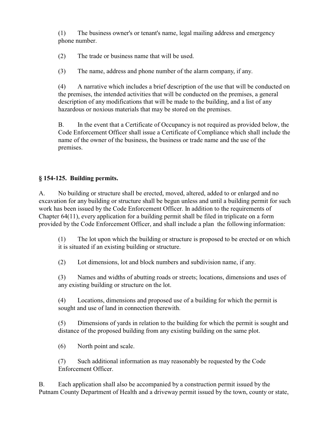(1) The business owner's or tenant's name, legal mailing address and emergency phone number.

(2) The trade or business name that will be used.

(3) The name, address and phone number of the alarm company, if any.

(4) A narrative which includes a brief description of the use that will be conducted on the premises, the intended activities that will be conducted on the premises, a general description of any modifications that will be made to the building, and a list of any hazardous or noxious materials that may be stored on the premises.

B. In the event that a Certificate of Occupancy is not required as provided below, the Code Enforcement Officer shall issue a Certificate of Compliance which shall include the name of the owner of the business, the business or trade name and the use of the premises.

# **§ 154-125. Building permits.**

A. No building or structure shall be erected, moved, altered, added to or enlarged and no excavation for any building or structure shall be begun unless and until a building permit for such work has been issued by the Code Enforcement Officer. In addition to the requirements of Chapter 64(11), every application for a building permit shall be filed in triplicate on a form provided by the Code Enforcement Officer, and shall include a plan the following information:

(1) The lot upon which the building or structure is proposed to be erected or on which it is situated if an existing building or structure.

(2) Lot dimensions, lot and block numbers and subdivision name, if any.

(3) Names and widths of abutting roads or streets; locations, dimensions and uses of any existing building or structure on the lot.

(4) Locations, dimensions and proposed use of a building for which the permit is sought and use of land in connection therewith.

(5) Dimensions of yards in relation to the building for which the permit is sought and distance of the proposed building from any existing building on the same plot.

(6) North point and scale.

(7) Such additional information as may reasonably be requested by the Code Enforcement Officer.

B. Each application shall also be accompanied by a construction permit issued by the Putnam County Department of Health and a driveway permit issued by the town, county or state,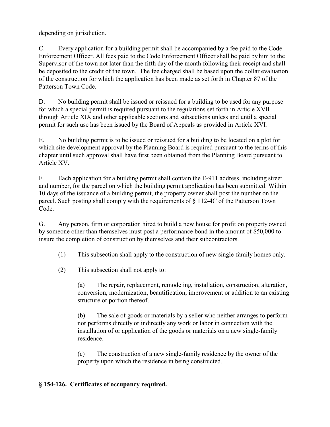depending on jurisdiction.

C. Every application for a building permit shall be accompanied by a fee paid to the Code Enforcement Officer. All fees paid to the Code Enforcement Officer shall be paid by him to the Supervisor of the town not later than the fifth day of the month following their receipt and shall be deposited to the credit of the town. The fee charged shall be based upon the dollar evaluation of the construction for which the application has been made as set forth in Chapter 87 of the Patterson Town Code.

D. No building permit shall be issued or reissued for a building to be used for any purpose for which a special permit is required pursuant to the regulations set forth in Article XVII through Article XIX and other applicable sections and subsections unless and until a special permit for such use has been issued by the Board of Appeals as provided in Article XVI.

E. No building permit is to be issued or reissued for a building to be located on a plot for which site development approval by the Planning Board is required pursuant to the terms of this chapter until such approval shall have first been obtained from the Planning Board pursuant to Article XV.

F. Each application for a building permit shall contain the E-911 address, including street and number, for the parcel on which the building permit application has been submitted. Within 10 days of the issuance of a building permit, the property owner shall post the number on the parcel. Such posting shall comply with the requirements of § 112-4C of the Patterson Town Code.

G. Any person, firm or corporation hired to build a new house for profit on property owned by someone other than themselves must post a performance bond in the amount of \$50,000 to insure the completion of construction by themselves and their subcontractors.

(1) This subsection shall apply to the construction of new single-family homes only.

(2) This subsection shall not apply to:

(a) The repair, replacement, remodeling, installation, construction, alteration, conversion, modernization, beautification, improvement or addition to an existing structure or portion thereof.

(b) The sale of goods or materials by a seller who neither arranges to perform nor performs directly or indirectly any work or labor in connection with the installation of or application of the goods or materials on a new single-family residence.

(c) The construction of a new single-family residence by the owner of the property upon which the residence in being constructed.

#### **§ 154-126. Certificates of occupancy required.**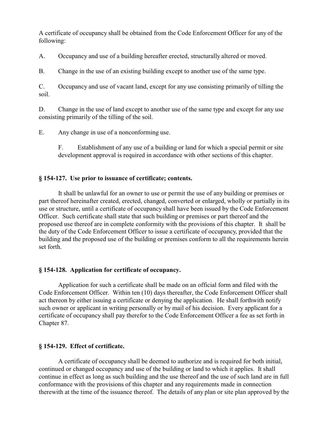A certificate of occupancy shall be obtained from the Code Enforcement Officer for any of the following:

A. Occupancy and use of a building hereafter erected, structurally altered or moved.

B. Change in the use of an existing building except to another use of the same type.

C. Occupancy and use of vacant land, except for any use consisting primarily of tilling the soil.

D. Change in the use of land except to another use of the same type and except for any use consisting primarily of the tilling of the soil.

E. Any change in use of a nonconforming use.

F. Establishment of any use of a building or land for which a special permit or site development approval is required in accordance with other sections of this chapter.

#### **§ 154-127. Use prior to issuance of certificate; contents.**

It shall be unlawful for an owner to use or permit the use of any building or premises or part thereof hereinafter created, erected, changed, converted or enlarged, wholly or partially in its use or structure, until a certificate of occupancy shall have been issued by the Code Enforcement Officer. Such certificate shall state that such building or premises or part thereof and the proposed use thereof are in complete conformity with the provisions of this chapter. It shall be the duty of the Code Enforcement Officer to issue a certificate of occupancy, provided that the building and the proposed use of the building or premises conform to all the requirements herein set forth.

#### **§ 154-128. Application for certificate of occupancy.**

Application for such a certificate shall be made on an official form and filed with the Code Enforcement Officer. Within ten (10) days thereafter, the Code Enforcement Officer shall act thereon by either issuing a certificate or denying the application. He shall forthwith notify such owner or applicant in writing personally or by mail of his decision. Every applicant for a certificate of occupancy shall pay therefor to the Code Enforcement Officer a fee as set forth in Chapter 87.

### **§ 154-129. Effect of certificate.**

A certificate of occupancy shall be deemed to authorize and is required for both initial, continued or changed occupancy and use of the building or land to which it applies. It shall continue in effect as long as such building and the use thereof and the use of such land are in full conformance with the provisions of this chapter and any requirements made in connection therewith at the time of the issuance thereof. The details of any plan or site plan approved by the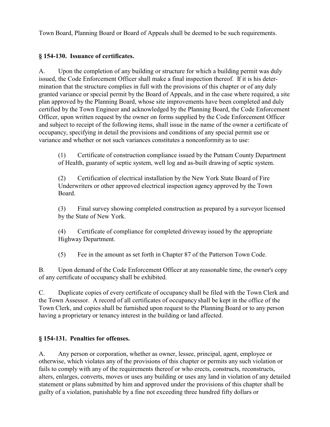Town Board, Planning Board or Board of Appeals shall be deemed to be such requirements.

## **§ 154-130. Issuance of certificates.**

A. Upon the completion of any building or structure for which a building permit was duly issued, the Code Enforcement Officer shall make a final inspection thereof. If it is his determination that the structure complies in full with the provisions of this chapter or of any duly granted variance or special permit by the Board of Appeals, and in the case where required, a site plan approved by the Planning Board, whose site improvements have been completed and duly certified by the Town Engineer and acknowledged by the Planning Board, the Code Enforcement Officer, upon written request by the owner on forms supplied by the Code Enforcement Officer and subject to receipt of the following items, shall issue in the name of the owner a certificate of occupancy, specifying in detail the provisions and conditions of any special permit use or variance and whether or not such variances constitutes a nonconformity as to use:

(1) Certificate of construction compliance issued by the Putnam County Department of Health, guaranty of septic system, well log and as-built drawing of septic system.

(2) Certification of electrical installation by the New York State Board of Fire Underwriters or other approved electrical inspection agency approved by the Town Board.

(3) Final survey showing completed construction as prepared by a surveyor licensed by the State of New York.

(4) Certificate of compliance for completed driveway issued by the appropriate Highway Department.

(5) Fee in the amount as set forth in Chapter 87 of the Patterson Town Code.

B. Upon demand of the Code Enforcement Officer at any reasonable time, the owner's copy of any certificate of occupancy shall be exhibited.

C. Duplicate copies of every certificate of occupancy shall be filed with the Town Clerk and the Town Assessor. A record of all certificates of occupancy shall be kept in the office of the Town Clerk, and copies shall be furnished upon request to the Planning Board or to any person having a proprietary or tenancy interest in the building or land affected.

### **§ 154-131. Penalties for offenses.**

A. Any person or corporation, whether as owner, lessee, principal, agent, employee or otherwise, which violates any of the provisions of this chapter or permits any such violation or fails to comply with any of the requirements thereof or who erects, constructs, reconstructs, alters, enlarges, converts, moves or uses any building or uses any land in violation of any detailed statement or plans submitted by him and approved under the provisions of this chapter shall be guilty of a violation, punishable by a fine not exceeding three hundred fifty dollars or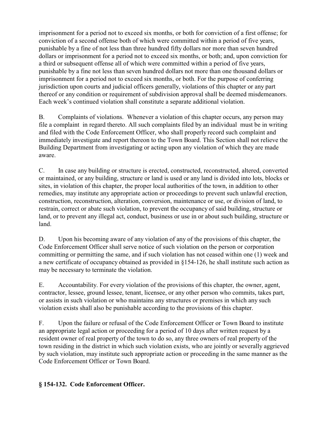imprisonment for a period not to exceed six months, or both for conviction of a first offense; for conviction of a second offense both of which were committed within a period of five years, punishable by a fine of not less than three hundred fifty dollars nor more than seven hundred dollars or imprisonment for a period not to exceed six months, or both; and, upon conviction for a third or subsequent offense all of which were committed within a period of five years, punishable by a fine not less than seven hundred dollars not more than one thousand dollars or imprisonment for a period not to exceed six months, or both. For the purpose of conferring jurisdiction upon courts and judicial officers generally, violations of this chapter or any part thereof or any condition or requirement of subdivision approval shall be deemed misdemeanors. Each week's continued violation shall constitute a separate additional violation.

B. Complaints of violations. Whenever a violation of this chapter occurs, any person may file a complaint in regard thereto. All such complaints filed by an individual must be in writing and filed with the Code Enforcement Officer, who shall properly record such complaint and immediately investigate and report thereon to the Town Board. This Section shall not relieve the Building Department from investigating or acting upon any violation of which they are made aware.

C. In case any building or structure is erected, constructed, reconstructed, altered, converted or maintained, or any building, structure or land is used or any land is divided into lots, blocks or sites, in violation of this chapter, the proper local authorities of the town, in addition to other remedies, may institute any appropriate action or proceedings to prevent such unlawful erection, construction, reconstruction, alteration, conversion, maintenance or use, or division of land, to restrain, correct or abate such violation, to prevent the occupancy of said building, structure or land, or to prevent any illegal act, conduct, business or use in or about such building, structure or land.

D. Upon his becoming aware of any violation of any of the provisions of this chapter, the Code Enforcement Officer shall serve notice of such violation on the person or corporation committing or permitting the same, and if such violation has not ceased within one (1) week and a new certificate of occupancy obtained as provided in §154-126, he shall institute such action as may be necessary to terminate the violation.

E. Accountability. For every violation of the provisions of this chapter, the owner, agent, contractor, lessee, ground lessee, tenant, licensee, or any other person who commits, takes part, or assists in such violation or who maintains any structures or premises in which any such violation exists shall also be punishable according to the provisions of this chapter.

F. Upon the failure or refusal of the Code Enforcement Officer or Town Board to institute an appropriate legal action or proceeding for a period of 10 days after written request by a resident owner of real property of the town to do so, any three owners of real property of the town residing in the district in which such violation exists, who are jointly or severally aggrieved by such violation, may institute such appropriate action or proceeding in the same manner as the Code Enforcement Officer or Town Board.

### **§ 154-132. Code Enforcement Officer.**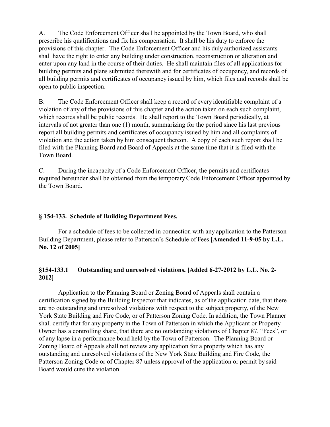A. The Code Enforcement Officer shall be appointed by the Town Board, who shall prescribe his qualifications and fix his compensation. It shall be his duty to enforce the provisions of this chapter. The Code Enforcement Officer and his duly authorized assistants shall have the right to enter any building under construction, reconstruction or alteration and enter upon any land in the course of their duties. He shall maintain files of all applications for building permits and plans submitted therewith and for certificates of occupancy, and records of all building permits and certificates of occupancy issued by him, which files and records shall be open to public inspection.

B. The Code Enforcement Officer shall keep a record of every identifiable complaint of a violation of any of the provisions of this chapter and the action taken on each such complaint, which records shall be public records. He shall report to the Town Board periodically, at intervals of not greater than one (1) month, summarizing for the period since his last previous report all building permits and certificates of occupancy issued by him and all complaints of violation and the action taken by him consequent thereon. A copy of each such report shall be filed with the Planning Board and Board of Appeals at the same time that it is filed with the Town Board.

C. During the incapacity of a Code Enforcement Officer, the permits and certificates required hereunder shall be obtained from the temporaryCode Enforcement Officer appointed by the Town Board.

#### **§ 154-133. Schedule of Building Department Fees.**

For a schedule of fees to be collected in connection with any application to the Patterson Building Department, please refer to Patterson's Schedule of Fees.**[Amended 11-9-05 by L.L. No. 12 of 2005]**

#### **§154-133.1 Outstanding and unresolved violations. [Added 6-27-2012 by L.L. No. 2- 2012]**

Application to the Planning Board or Zoning Board of Appeals shall contain a certification signed by the Building Inspector that indicates, as of the application date, that there are no outstanding and unresolved violations with respect to the subject property, of the New York State Building and Fire Code, or of Patterson Zoning Code. In addition, the Town Planner shall certify that for any property in the Town of Patterson in which the Applicant or Property Owner has a controlling share, that there are no outstanding violations of Chapter 87, "Fees", or of any lapse in a performance bond held by the Town of Patterson. The Planning Board or Zoning Board of Appeals shall not review any application for a property which has any outstanding and unresolved violations of the New York State Building and Fire Code, the Patterson Zoning Code or of Chapter 87 unless approval of the application or permit by said Board would cure the violation.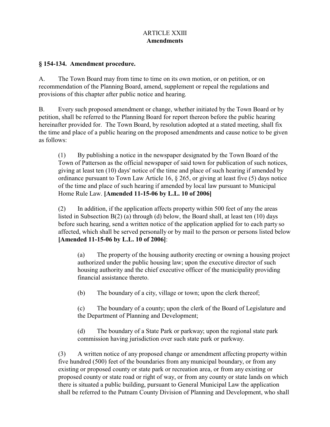### ARTICLE XXIII **Amendments**

#### **§ 154-134. Amendment procedure.**

A. The Town Board may from time to time on its own motion, or on petition, or on recommendation of the Planning Board, amend, supplement or repeal the regulations and provisions of this chapter after public notice and hearing.

B. Every such proposed amendment or change, whether initiated by the Town Board or by petition, shall be referred to the Planning Board for report thereon before the public hearing hereinafter provided for. The Town Board, by resolution adopted at a stated meeting, shall fix the time and place of a public hearing on the proposed amendments and cause notice to be given as follows:

(1) By publishing a notice in the newspaper designated by the Town Board of the Town of Patterson as the official newspaper of said town for publication of such notices, giving at least ten (10) days' notice of the time and place of such hearing if amended by ordinance pursuant to Town Law Article 16, § 265, or giving at least five (5) days notice of the time and place of such hearing if amended by local law pursuant to Municipal Home Rule Law. **[Amended 11-15-06 by L.L. 10 of 2006]**

(2) In addition, if the application affects property within 500 feet of any the areas listed in Subsection B(2) (a) through (d) below, the Board shall, at least ten (10) days before such hearing, send a written notice of the application applied for to each party so affected, which shall be served personally or by mail to the person or persons listed below **[Amended 11-15-06 by L.L. 10 of 2006]**:

(a) The property of the housing authority erecting or owning a housing project authorized under the public housing law; upon the executive director of such housing authority and the chief executive officer of the municipality providing financial assistance thereto.

(b) The boundary of a city, village or town; upon the clerk thereof;

(c) The boundary of a county; upon the clerk of the Board of Legislature and the Department of Planning and Development;

(d) The boundary of a State Park or parkway; upon the regional state park commission having jurisdiction over such state park or parkway.

(3) A written notice of any proposed change or amendment affecting property within five hundred (500) feet of the boundaries from any municipal boundary, or from any existing or proposed county or state park or recreation area, or from any existing or proposed county or state road or right of way, or from any county or state lands on which there is situated a public building, pursuant to General Municipal Law the application shall be referred to the Putnam County Division of Planning and Development, who shall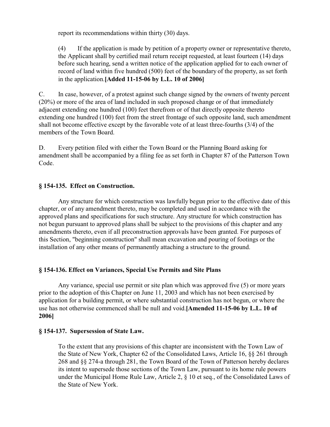report its recommendations within thirty (30) days.

(4) If the application is made by petition of a property owner or representative thereto, the Applicant shall by certified mail return receipt requested, at least fourteen (14) days before such hearing, send a written notice of the application applied for to each owner of record of land within five hundred (500) feet of the boundary of the property, as set forth in the application.**[Added 11-15-06 by L.L. 10 of 2006]**

C. In case, however, of a protest against such change signed by the owners of twenty percent (20%) or more of the area of land included in such proposed change or of that immediately adjacent extending one hundred (100) feet therefrom or of that directly opposite thereto extending one hundred (100) feet from the street frontage of such opposite land, such amendment shall not become effective except by the favorable vote of at least three-fourths (3/4) of the members of the Town Board.

D. Every petition filed with either the Town Board or the Planning Board asking for amendment shall be accompanied by a filing fee as set forth in Chapter 87 of the Patterson Town Code.

### **§ 154-135. Effect on Construction.**

Any structure for which construction was lawfully begun prior to the effective date of this chapter, or of any amendment thereto, may be completed and used in accordance with the approved plans and specifications for such structure. Any structure for which construction has not begun pursuant to approved plans shall be subject to the provisions of this chapter and any amendments thereto, even if all preconstruction approvals have been granted. For purposes of this Section, "beginning construction" shall mean excavation and pouring of footings or the installation of any other means of permanently attaching a structure to the ground.

#### **§ 154-136. Effect on Variances, Special Use Permits and Site Plans**

Any variance, special use permit or site plan which was approved five (5) or more years prior to the adoption of this Chapter on June 11, 2003 and which has not been exercised by application for a building permit, or where substantial construction has not begun, or where the use has not otherwise commenced shall be null and void.**[Amended 11-15-06 by L.L. 10 of 2006]**

#### **§ 154-137. Supersession of State Law.**

To the extent that any provisions of this chapter are inconsistent with the Town Law of the State of New York, Chapter 62 of the Consolidated Laws, Article 16, §§ 261 through 268 and §§ 274-a through 281, the Town Board of the Town of Patterson hereby declares its intent to supersede those sections of the Town Law, pursuant to its home rule powers under the Municipal Home Rule Law, Article 2, § 10 et seq., of the Consolidated Laws of the State of New York.